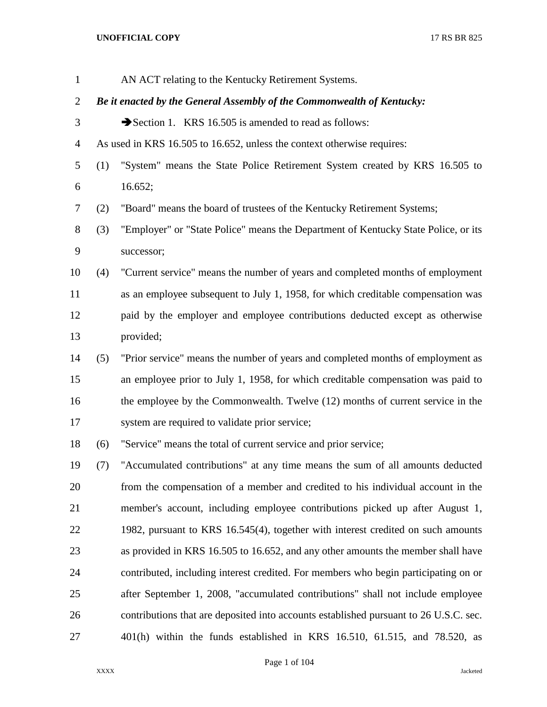| $\mathbf{1}$   |     | AN ACT relating to the Kentucky Retirement Systems.                                   |
|----------------|-----|---------------------------------------------------------------------------------------|
| $\overline{2}$ |     | Be it enacted by the General Assembly of the Commonwealth of Kentucky:                |
| 3              |     | Section 1. KRS 16.505 is amended to read as follows:                                  |
| $\overline{4}$ |     | As used in KRS 16.505 to 16.652, unless the context otherwise requires:               |
| 5              | (1) | "System" means the State Police Retirement System created by KRS 16.505 to            |
| 6              |     | 16.652;                                                                               |
| 7              | (2) | "Board" means the board of trustees of the Kentucky Retirement Systems;               |
| 8              | (3) | "Employer" or "State Police" means the Department of Kentucky State Police, or its    |
| 9              |     | successor;                                                                            |
| 10             | (4) | "Current service" means the number of years and completed months of employment        |
| 11             |     | as an employee subsequent to July 1, 1958, for which creditable compensation was      |
| 12             |     | paid by the employer and employee contributions deducted except as otherwise          |
| 13             |     | provided;                                                                             |
| 14             | (5) | "Prior service" means the number of years and completed months of employment as       |
| 15             |     | an employee prior to July 1, 1958, for which creditable compensation was paid to      |
| 16             |     | the employee by the Commonwealth. Twelve (12) months of current service in the        |
| 17             |     | system are required to validate prior service;                                        |
| 18             | (6) | "Service" means the total of current service and prior service;                       |
| 19             | (7) | "Accumulated contributions" at any time means the sum of all amounts deducted         |
| 20             |     | from the compensation of a member and credited to his individual account in the       |
| 21             |     | member's account, including employee contributions picked up after August 1,          |
| 22             |     | 1982, pursuant to KRS 16.545(4), together with interest credited on such amounts      |
| 23             |     | as provided in KRS 16.505 to 16.652, and any other amounts the member shall have      |
| 24             |     | contributed, including interest credited. For members who begin participating on or   |
| 25             |     | after September 1, 2008, "accumulated contributions" shall not include employee       |
| 26             |     | contributions that are deposited into accounts established pursuant to 26 U.S.C. sec. |
| 27             |     | $401(h)$ within the funds established in KRS 16.510, 61.515, and 78.520, as           |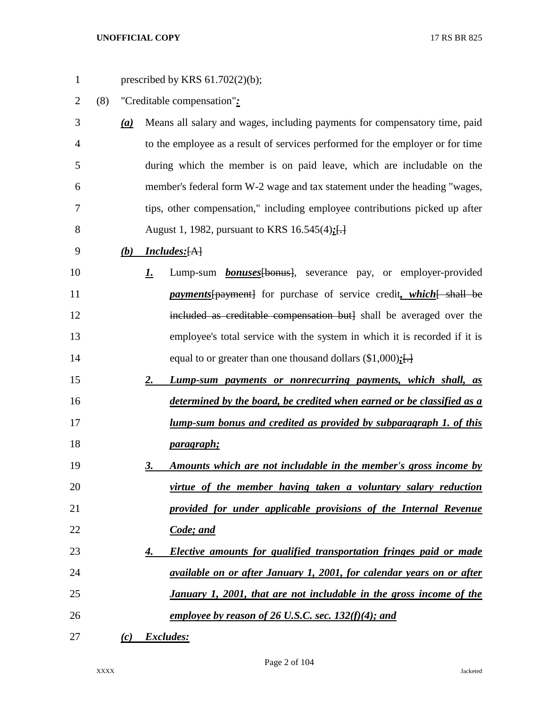| $\mathbf{1}$   |     |     | prescribed by KRS $61.702(2)(b)$ ;                                                |
|----------------|-----|-----|-----------------------------------------------------------------------------------|
| $\overline{2}$ | (8) |     | "Creditable compensation":                                                        |
| 3              |     | (a) | Means all salary and wages, including payments for compensatory time, paid        |
| 4              |     |     | to the employee as a result of services performed for the employer or for time    |
| 5              |     |     | during which the member is on paid leave, which are includable on the             |
| 6              |     |     | member's federal form W-2 wage and tax statement under the heading "wages,        |
| 7              |     |     | tips, other compensation," including employee contributions picked up after       |
| 8              |     |     | August 1, 1982, pursuant to KRS 16.545(4);[-]                                     |
| 9              |     | (b) | <b>Includes:</b> [A]                                                              |
| 10             |     |     | Lump-sum <b>bonuses</b> [bonus], severance pay, or employer-provided<br><u>I.</u> |
| 11             |     |     | <i>payments</i> [payment] for purchase of service credit, which [ shall be        |
| 12             |     |     | included as creditable compensation but] shall be averaged over the               |
| 13             |     |     | employee's total service with the system in which it is recorded if it is         |
| 14             |     |     | equal to or greater than one thousand dollars $(\$1,000)$ ; []                    |
| 15             |     |     | Lump-sum payments or nonrecurring payments, which shall, as<br>2.                 |
| 16             |     |     | determined by the board, be credited when earned or be classified as a            |
| 17             |     |     | <u>lump-sum bonus and credited as provided by subparagraph 1. of this</u>         |
| 18             |     |     | <i>paragraph</i> ;                                                                |
| 19             |     |     | Amounts which are not includable in the member's gross income by<br><u>3.</u>     |
| 20             |     |     | virtue of the member having taken a voluntary salary reduction                    |
| 21             |     |     | provided for under applicable provisions of the Internal Revenue                  |
| 22             |     |     | Code; and                                                                         |
| 23             |     |     | Elective amounts for qualified transportation fringes paid or made<br>4.          |
| 24             |     |     | available on or after January 1, 2001, for calendar years on or after             |
| 25             |     |     | January 1, 2001, that are not includable in the gross income of the               |
| 26             |     |     | employee by reason of 26 U.S.C. sec. $132(f)(4)$ ; and                            |
| 27             |     | (c) | Excludes:                                                                         |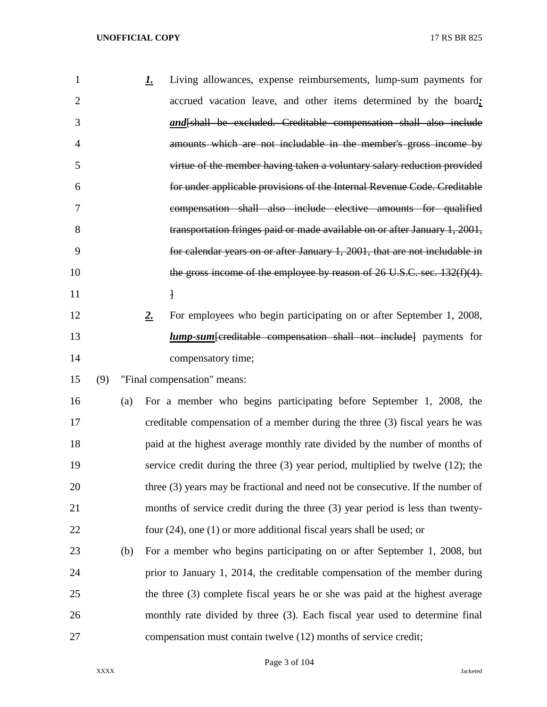| 1              |     |     | Living allowances, expense reimbursements, lump-sum payments for<br><u>l.</u>        |
|----------------|-----|-----|--------------------------------------------------------------------------------------|
| $\overline{2}$ |     |     | accrued vacation leave, and other items determined by the board;                     |
| 3              |     |     | and [shall be excluded. Creditable compensation shall also include                   |
| $\overline{4}$ |     |     | amounts which are not includable in the member's gross income by                     |
| 5              |     |     | virtue of the member having taken a voluntary salary reduction provided              |
| 6              |     |     | for under applicable provisions of the Internal Revenue Code. Creditable             |
| 7              |     |     | compensation shall also include elective amounts for qualified                       |
| 8              |     |     | transportation fringes paid or made available on or after January 1, 2001,           |
| 9              |     |     | for calendar years on or after January 1, 2001, that are not includable in           |
| 10             |     |     | the gross income of the employee by reason of $26$ U.S.C. sec. $132(f)(4)$ .         |
| 11             |     |     | $\mathbf{1}$                                                                         |
| 12             |     |     | For employees who begin participating on or after September 1, 2008,<br>$2_{\cdot}$  |
| 13             |     |     | <i>lump-sum</i> [creditable compensation shall not include] payments for             |
| 14             |     |     | compensatory time;                                                                   |
| 15             | (9) |     | "Final compensation" means:                                                          |
| 16             |     | (a) | For a member who begins participating before September 1, 2008, the                  |
| 17             |     |     | creditable compensation of a member during the three (3) fiscal years he was         |
| 18             |     |     | paid at the highest average monthly rate divided by the number of months of          |
| 19             |     |     | service credit during the three $(3)$ year period, multiplied by twelve $(12)$ ; the |
| 20             |     |     | three (3) years may be fractional and need not be consecutive. If the number of      |
| 21             |     |     | months of service credit during the three (3) year period is less than twenty-       |
| 22             |     |     | four $(24)$ , one $(1)$ or more additional fiscal years shall be used; or            |
| 23             |     | (b) | For a member who begins participating on or after September 1, 2008, but             |
| 24             |     |     | prior to January 1, 2014, the creditable compensation of the member during           |
| 25             |     |     | the three (3) complete fiscal years he or she was paid at the highest average        |
| 26             |     |     | monthly rate divided by three (3). Each fiscal year used to determine final          |
| 27             |     |     | compensation must contain twelve (12) months of service credit;                      |

Page 3 of 104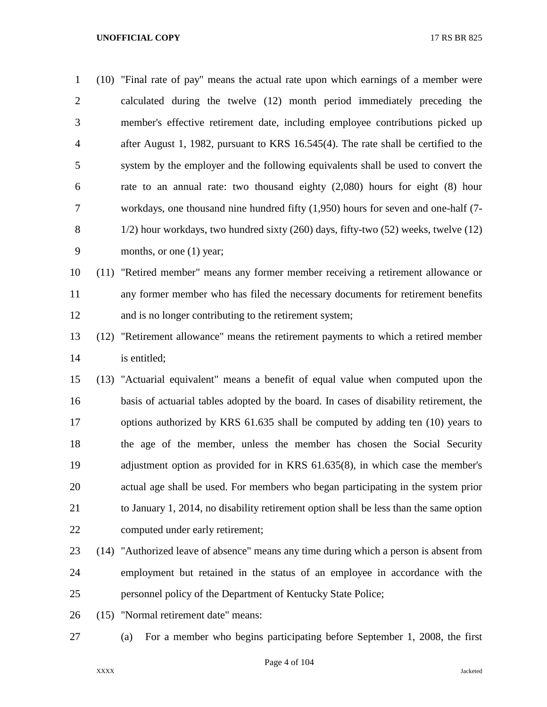| 1              | (10) "Final rate of pay" means the actual rate upon which earnings of a member were    |
|----------------|----------------------------------------------------------------------------------------|
| 2              | calculated during the twelve (12) month period immediately preceding the               |
| 3              | member's effective retirement date, including employee contributions picked up         |
| $\overline{4}$ | after August 1, 1982, pursuant to KRS 16.545(4). The rate shall be certified to the    |
| 5              | system by the employer and the following equivalents shall be used to convert the      |
| 6              | rate to an annual rate: two thousand eighty $(2,080)$ hours for eight $(8)$ hour       |
| 7              | workdays, one thousand nine hundred fifty $(1,950)$ hours for seven and one-half $(7-$ |
| 8              | 1/2) hour workdays, two hundred sixty (260) days, fifty-two (52) weeks, twelve (12)    |
| 9              | months, or one $(1)$ year;                                                             |
| 10             | (11) "Retired member" means any former member receiving a retirement allowance or      |
| 11             | any former member who has filed the necessary documents for retirement benefits        |
|                |                                                                                        |

- and is no longer contributing to the retirement system;
- (12) "Retirement allowance" means the retirement payments to which a retired member is entitled;
- (13) "Actuarial equivalent" means a benefit of equal value when computed upon the basis of actuarial tables adopted by the board. In cases of disability retirement, the options authorized by KRS 61.635 shall be computed by adding ten (10) years to the age of the member, unless the member has chosen the Social Security adjustment option as provided for in KRS 61.635(8), in which case the member's actual age shall be used. For members who began participating in the system prior to January 1, 2014, no disability retirement option shall be less than the same option computed under early retirement;
- (14) "Authorized leave of absence" means any time during which a person is absent from employment but retained in the status of an employee in accordance with the personnel policy of the Department of Kentucky State Police;
- (15) "Normal retirement date" means:
- (a) For a member who begins participating before September 1, 2008, the first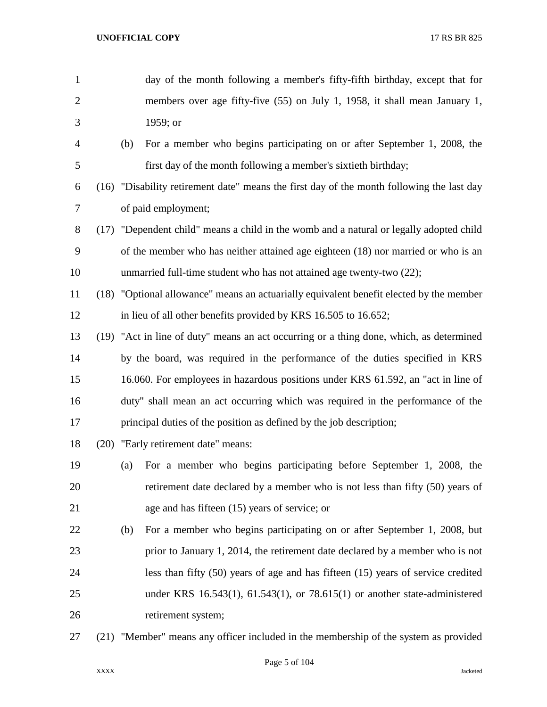- day of the month following a member's fifty-fifth birthday, except that for members over age fifty-five (55) on July 1, 1958, it shall mean January 1, 1959; or (b) For a member who begins participating on or after September 1, 2008, the first day of the month following a member's sixtieth birthday; (16) "Disability retirement date" means the first day of the month following the last day of paid employment; (17) "Dependent child" means a child in the womb and a natural or legally adopted child of the member who has neither attained age eighteen (18) nor married or who is an unmarried full-time student who has not attained age twenty-two (22); (18) "Optional allowance" means an actuarially equivalent benefit elected by the member 12 in lieu of all other benefits provided by KRS 16.505 to 16.652; (19) "Act in line of duty" means an act occurring or a thing done, which, as determined by the board, was required in the performance of the duties specified in KRS 16.060. For employees in hazardous positions under KRS 61.592, an "act in line of duty" shall mean an act occurring which was required in the performance of the principal duties of the position as defined by the job description; (20) "Early retirement date" means: (a) For a member who begins participating before September 1, 2008, the retirement date declared by a member who is not less than fifty (50) years of age and has fifteen (15) years of service; or (b) For a member who begins participating on or after September 1, 2008, but prior to January 1, 2014, the retirement date declared by a member who is not less than fifty (50) years of age and has fifteen (15) years of service credited under KRS 16.543(1), 61.543(1), or 78.615(1) or another state-administered retirement system; (21) "Member" means any officer included in the membership of the system as provided
	-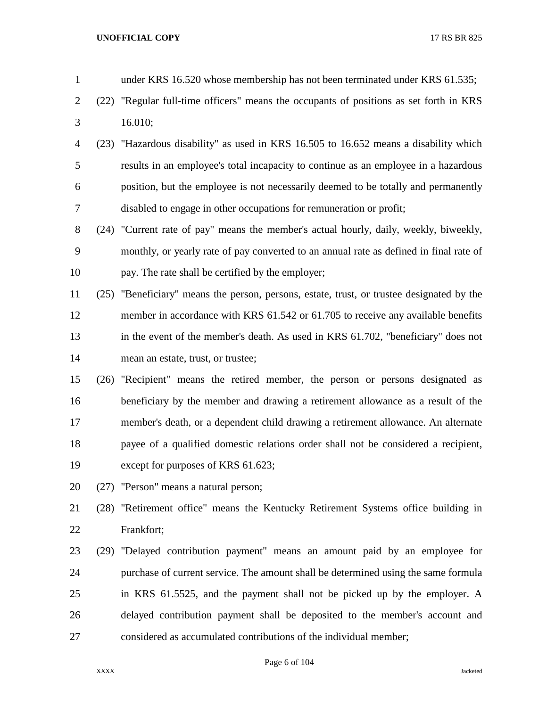| $\mathbf{1}$   |      | under KRS 16.520 whose membership has not been terminated under KRS 61.535;               |
|----------------|------|-------------------------------------------------------------------------------------------|
| $\overline{2}$ | (22) | "Regular full-time officers" means the occupants of positions as set forth in KRS         |
| 3              |      | 16.010;                                                                                   |
| $\overline{4}$ |      | (23) "Hazardous disability" as used in KRS 16.505 to 16.652 means a disability which      |
| 5              |      | results in an employee's total incapacity to continue as an employee in a hazardous       |
| 6              |      | position, but the employee is not necessarily deemed to be totally and permanently        |
| 7              |      | disabled to engage in other occupations for remuneration or profit;                       |
| $8\,$          |      | (24) "Current rate of pay" means the member's actual hourly, daily, weekly, biweekly,     |
| 9              |      | monthly, or yearly rate of pay converted to an annual rate as defined in final rate of    |
| 10             |      | pay. The rate shall be certified by the employer;                                         |
| 11             |      | (25) "Beneficiary" means the person, persons, estate, trust, or trustee designated by the |
| 12             |      | member in accordance with KRS 61.542 or 61.705 to receive any available benefits          |
| 13             |      | in the event of the member's death. As used in KRS 61.702, "beneficiary" does not         |
| 14             |      | mean an estate, trust, or trustee;                                                        |
| 15             | (26) | "Recipient" means the retired member, the person or persons designated as                 |
| 16             |      | beneficiary by the member and drawing a retirement allowance as a result of the           |
| 17             |      | member's death, or a dependent child drawing a retirement allowance. An alternate         |
| 18             |      | payee of a qualified domestic relations order shall not be considered a recipient,        |
| 19             |      | except for purposes of KRS 61.623;                                                        |
| 20             |      | (27) "Person" means a natural person;                                                     |
| 21             |      | (28) "Retirement office" means the Kentucky Retirement Systems office building in         |
| 22             |      | Frankfort;                                                                                |
| 23             |      | (29) "Delayed contribution payment" means an amount paid by an employee for               |
| 24             |      | purchase of current service. The amount shall be determined using the same formula        |
| 25             |      | in KRS 61.5525, and the payment shall not be picked up by the employer. A                 |
| 26             |      | delayed contribution payment shall be deposited to the member's account and               |
| 27             |      | considered as accumulated contributions of the individual member;                         |
|                |      |                                                                                           |

Page 6 of 104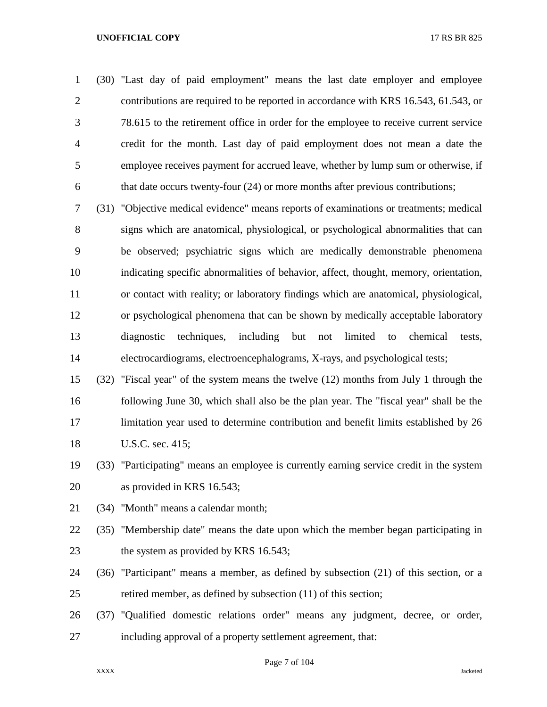(30) "Last day of paid employment" means the last date employer and employee contributions are required to be reported in accordance with KRS 16.543, 61.543, or 78.615 to the retirement office in order for the employee to receive current service credit for the month. Last day of paid employment does not mean a date the employee receives payment for accrued leave, whether by lump sum or otherwise, if that date occurs twenty-four (24) or more months after previous contributions;

 (31) "Objective medical evidence" means reports of examinations or treatments; medical signs which are anatomical, physiological, or psychological abnormalities that can be observed; psychiatric signs which are medically demonstrable phenomena indicating specific abnormalities of behavior, affect, thought, memory, orientation, or contact with reality; or laboratory findings which are anatomical, physiological, or psychological phenomena that can be shown by medically acceptable laboratory diagnostic techniques, including but not limited to chemical tests, electrocardiograms, electroencephalograms, X-rays, and psychological tests;

 (32) "Fiscal year" of the system means the twelve (12) months from July 1 through the following June 30, which shall also be the plan year. The "fiscal year" shall be the limitation year used to determine contribution and benefit limits established by 26 U.S.C. sec. 415;

- (33) "Participating" means an employee is currently earning service credit in the system as provided in KRS 16.543;
- (34) "Month" means a calendar month;
- (35) "Membership date" means the date upon which the member began participating in 23 the system as provided by KRS 16.543;
- (36) "Participant" means a member, as defined by subsection (21) of this section, or a retired member, as defined by subsection (11) of this section;
- (37) "Qualified domestic relations order" means any judgment, decree, or order, including approval of a property settlement agreement, that: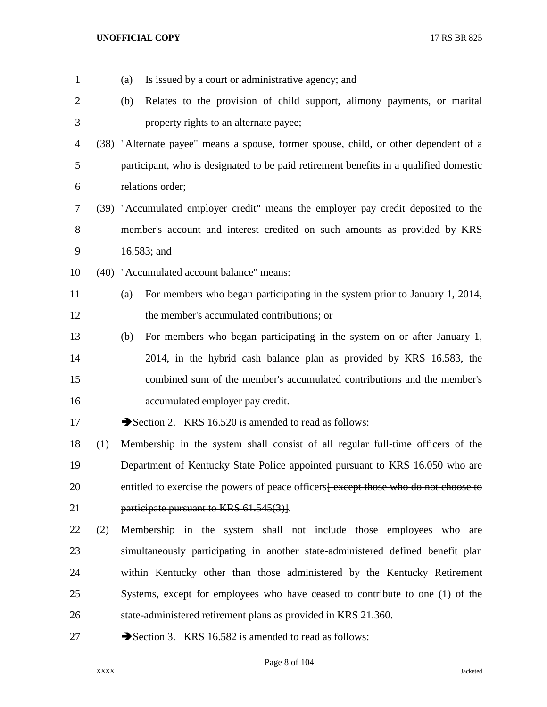| $\mathbf{1}$   |     | (a) | Is issued by a court or administrative agency; and                                    |
|----------------|-----|-----|---------------------------------------------------------------------------------------|
| $\overline{2}$ |     | (b) | Relates to the provision of child support, alimony payments, or marital               |
| 3              |     |     | property rights to an alternate payee;                                                |
| 4              |     |     | (38) "Alternate payee" means a spouse, former spouse, child, or other dependent of a  |
| 5              |     |     | participant, who is designated to be paid retirement benefits in a qualified domestic |
| 6              |     |     | relations order;                                                                      |
| 7              |     |     | (39) "Accumulated employer credit" means the employer pay credit deposited to the     |
| 8              |     |     | member's account and interest credited on such amounts as provided by KRS             |
| 9              |     |     | 16.583; and                                                                           |
| 10             |     |     | (40) "Accumulated account balance" means:                                             |
| 11             |     | (a) | For members who began participating in the system prior to January 1, 2014,           |
| 12             |     |     | the member's accumulated contributions; or                                            |
| 13             |     | (b) | For members who began participating in the system on or after January 1,              |
| 14             |     |     | 2014, in the hybrid cash balance plan as provided by KRS 16.583, the                  |
| 15             |     |     | combined sum of the member's accumulated contributions and the member's               |
| 16             |     |     | accumulated employer pay credit.                                                      |
| 17             |     |     | Section 2. KRS 16.520 is amended to read as follows:                                  |
| 18             | (1) |     | Membership in the system shall consist of all regular full-time officers of the       |
| 19             |     |     | Department of Kentucky State Police appointed pursuant to KRS 16.050 who are          |
| 20             |     |     | entitled to exercise the powers of peace officers except those who do not choose to   |
| 21             |     |     | participate pursuant to KRS 61.545(3).                                                |
| 22             | (2) |     | Membership in the system shall not include those employees who are                    |
| 23             |     |     | simultaneously participating in another state-administered defined benefit plan       |
| 24             |     |     | within Kentucky other than those administered by the Kentucky Retirement              |
| 25             |     |     | Systems, except for employees who have ceased to contribute to one (1) of the         |
| 26             |     |     | state-administered retirement plans as provided in KRS 21.360.                        |
| 27             |     |     | Section 3. KRS 16.582 is amended to read as follows:                                  |

Page 8 of 104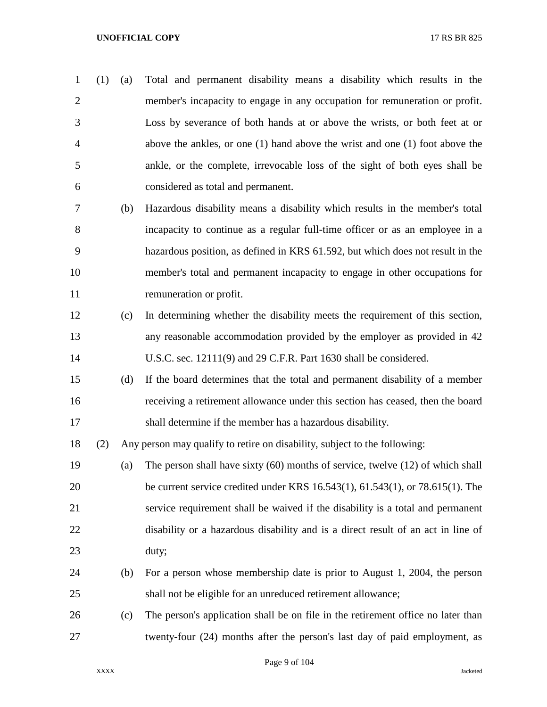- (1) (a) Total and permanent disability means a disability which results in the member's incapacity to engage in any occupation for remuneration or profit. Loss by severance of both hands at or above the wrists, or both feet at or above the ankles, or one (1) hand above the wrist and one (1) foot above the ankle, or the complete, irrevocable loss of the sight of both eyes shall be considered as total and permanent.
- (b) Hazardous disability means a disability which results in the member's total incapacity to continue as a regular full-time officer or as an employee in a hazardous position, as defined in KRS 61.592, but which does not result in the member's total and permanent incapacity to engage in other occupations for remuneration or profit.
- (c) In determining whether the disability meets the requirement of this section, any reasonable accommodation provided by the employer as provided in 42 U.S.C. sec. 12111(9) and 29 C.F.R. Part 1630 shall be considered.
- (d) If the board determines that the total and permanent disability of a member receiving a retirement allowance under this section has ceased, then the board shall determine if the member has a hazardous disability.

(2) Any person may qualify to retire on disability, subject to the following:

- (a) The person shall have sixty (60) months of service, twelve (12) of which shall be current service credited under KRS 16.543(1), 61.543(1), or 78.615(1). The service requirement shall be waived if the disability is a total and permanent disability or a hazardous disability and is a direct result of an act in line of duty;
- (b) For a person whose membership date is prior to August 1, 2004, the person shall not be eligible for an unreduced retirement allowance;
- (c) The person's application shall be on file in the retirement office no later than twenty-four (24) months after the person's last day of paid employment, as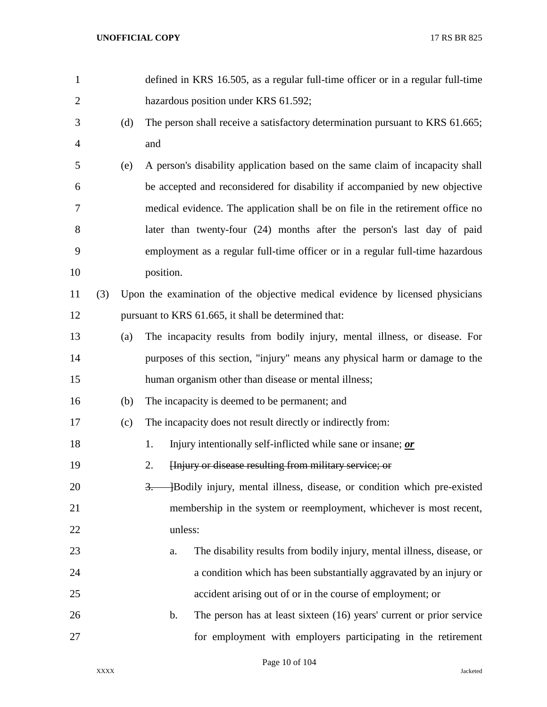| $\mathbf{1}$   |     |     | defined in KRS 16.505, as a regular full-time officer or in a regular full-time |
|----------------|-----|-----|---------------------------------------------------------------------------------|
| $\overline{2}$ |     |     | hazardous position under KRS 61.592;                                            |
| 3              |     | (d) | The person shall receive a satisfactory determination pursuant to KRS 61.665;   |
| 4              |     |     | and                                                                             |
| 5              |     | (e) | A person's disability application based on the same claim of incapacity shall   |
| 6              |     |     | be accepted and reconsidered for disability if accompanied by new objective     |
| 7              |     |     | medical evidence. The application shall be on file in the retirement office no  |
| 8              |     |     | later than twenty-four (24) months after the person's last day of paid          |
| 9              |     |     | employment as a regular full-time officer or in a regular full-time hazardous   |
| 10             |     |     | position.                                                                       |
| 11             | (3) |     | Upon the examination of the objective medical evidence by licensed physicians   |
| 12             |     |     | pursuant to KRS 61.665, it shall be determined that:                            |
| 13             |     | (a) | The incapacity results from bodily injury, mental illness, or disease. For      |
| 14             |     |     | purposes of this section, "injury" means any physical harm or damage to the     |
| 15             |     |     | human organism other than disease or mental illness;                            |
| 16             |     | (b) | The incapacity is deemed to be permanent; and                                   |
| 17             |     | (c) | The incapacity does not result directly or indirectly from:                     |
| 18             |     |     | Injury intentionally self-inflicted while sane or insane; or<br>1.              |
| 19             |     |     | Hnjury or disease resulting from military service; or<br>2.                     |
| 20             |     |     | +Bodily injury, mental illness, disease, or condition which pre-existed<br>3.   |
| 21             |     |     | membership in the system or reemployment, whichever is most recent,             |
| 22             |     |     | unless:                                                                         |
| 23             |     |     | The disability results from bodily injury, mental illness, disease, or<br>a.    |
| 24             |     |     | a condition which has been substantially aggravated by an injury or             |
| 25             |     |     | accident arising out of or in the course of employment; or                      |
| 26             |     |     | The person has at least sixteen (16) years' current or prior service<br>b.      |
| 27             |     |     | for employment with employers participating in the retirement                   |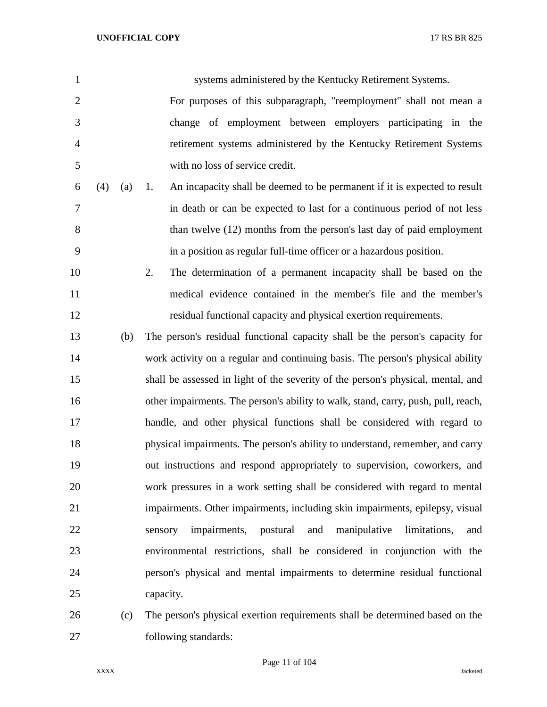| $\mathbf{1}$   |     |     | systems administered by the Kentucky Retirement Systems.                          |
|----------------|-----|-----|-----------------------------------------------------------------------------------|
| $\overline{2}$ |     |     | For purposes of this subparagraph, "reemployment" shall not mean a                |
| 3              |     |     | change of employment between employers participating in the                       |
| $\overline{4}$ |     |     | retirement systems administered by the Kentucky Retirement Systems                |
| 5              |     |     | with no loss of service credit.                                                   |
| 6              | (4) | (a) | An incapacity shall be deemed to be permanent if it is expected to result<br>1.   |
| 7              |     |     | in death or can be expected to last for a continuous period of not less           |
| 8              |     |     | than twelve (12) months from the person's last day of paid employment             |
| 9              |     |     | in a position as regular full-time officer or a hazardous position.               |
| 10             |     |     | 2.<br>The determination of a permanent incapacity shall be based on the           |
| 11             |     |     | medical evidence contained in the member's file and the member's                  |
| 12             |     |     | residual functional capacity and physical exertion requirements.                  |
| 13             |     | (b) | The person's residual functional capacity shall be the person's capacity for      |
| 14             |     |     | work activity on a regular and continuing basis. The person's physical ability    |
| 15             |     |     | shall be assessed in light of the severity of the person's physical, mental, and  |
| 16             |     |     | other impairments. The person's ability to walk, stand, carry, push, pull, reach, |
| 17             |     |     | handle, and other physical functions shall be considered with regard to           |
| 18             |     |     | physical impairments. The person's ability to understand, remember, and carry     |
| 19             |     |     | out instructions and respond appropriately to supervision, coworkers, and         |
| 20             |     |     | work pressures in a work setting shall be considered with regard to mental        |
| 21             |     |     | impairments. Other impairments, including skin impairments, epilepsy, visual      |
| 22             |     |     | postural<br>and<br>impairments,<br>manipulative<br>limitations,<br>sensory<br>and |
| 23             |     |     | environmental restrictions, shall be considered in conjunction with the           |
| 24             |     |     | person's physical and mental impairments to determine residual functional         |
| 25             |     |     | capacity.                                                                         |
|                |     |     |                                                                                   |

 (c) The person's physical exertion requirements shall be determined based on the following standards:

Page 11 of 104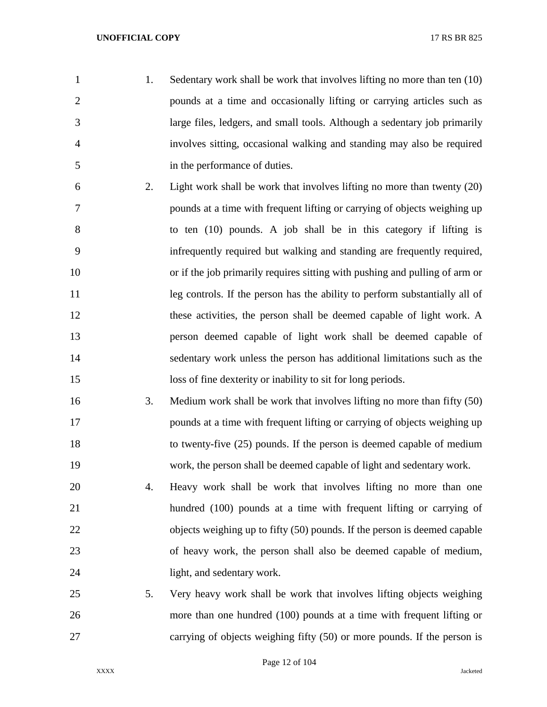- 1. Sedentary work shall be work that involves lifting no more than ten (10) pounds at a time and occasionally lifting or carrying articles such as large files, ledgers, and small tools. Although a sedentary job primarily involves sitting, occasional walking and standing may also be required in the performance of duties. 2. Light work shall be work that involves lifting no more than twenty (20) pounds at a time with frequent lifting or carrying of objects weighing up to ten (10) pounds. A job shall be in this category if lifting is infrequently required but walking and standing are frequently required, or if the job primarily requires sitting with pushing and pulling of arm or 11 leg controls. If the person has the ability to perform substantially all of these activities, the person shall be deemed capable of light work. A person deemed capable of light work shall be deemed capable of sedentary work unless the person has additional limitations such as the loss of fine dexterity or inability to sit for long periods. 3. Medium work shall be work that involves lifting no more than fifty (50) pounds at a time with frequent lifting or carrying of objects weighing up to twenty-five (25) pounds. If the person is deemed capable of medium work, the person shall be deemed capable of light and sedentary work. 4. Heavy work shall be work that involves lifting no more than one hundred (100) pounds at a time with frequent lifting or carrying of objects weighing up to fifty (50) pounds. If the person is deemed capable of heavy work, the person shall also be deemed capable of medium, light, and sedentary work.
- 5. Very heavy work shall be work that involves lifting objects weighing more than one hundred (100) pounds at a time with frequent lifting or carrying of objects weighing fifty (50) or more pounds. If the person is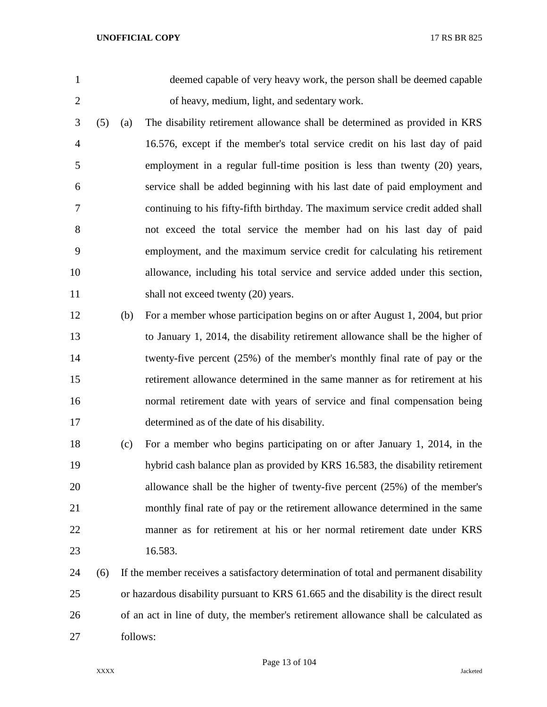deemed capable of very heavy work, the person shall be deemed capable of heavy, medium, light, and sedentary work.

- (5) (a) The disability retirement allowance shall be determined as provided in KRS 16.576, except if the member's total service credit on his last day of paid employment in a regular full-time position is less than twenty (20) years, service shall be added beginning with his last date of paid employment and continuing to his fifty-fifth birthday. The maximum service credit added shall not exceed the total service the member had on his last day of paid employment, and the maximum service credit for calculating his retirement allowance, including his total service and service added under this section, 11 shall not exceed twenty (20) years.
- (b) For a member whose participation begins on or after August 1, 2004, but prior to January 1, 2014, the disability retirement allowance shall be the higher of twenty-five percent (25%) of the member's monthly final rate of pay or the retirement allowance determined in the same manner as for retirement at his normal retirement date with years of service and final compensation being determined as of the date of his disability.
- (c) For a member who begins participating on or after January 1, 2014, in the hybrid cash balance plan as provided by KRS 16.583, the disability retirement allowance shall be the higher of twenty-five percent (25%) of the member's monthly final rate of pay or the retirement allowance determined in the same manner as for retirement at his or her normal retirement date under KRS 16.583.
- (6) If the member receives a satisfactory determination of total and permanent disability or hazardous disability pursuant to KRS 61.665 and the disability is the direct result of an act in line of duty, the member's retirement allowance shall be calculated as follows: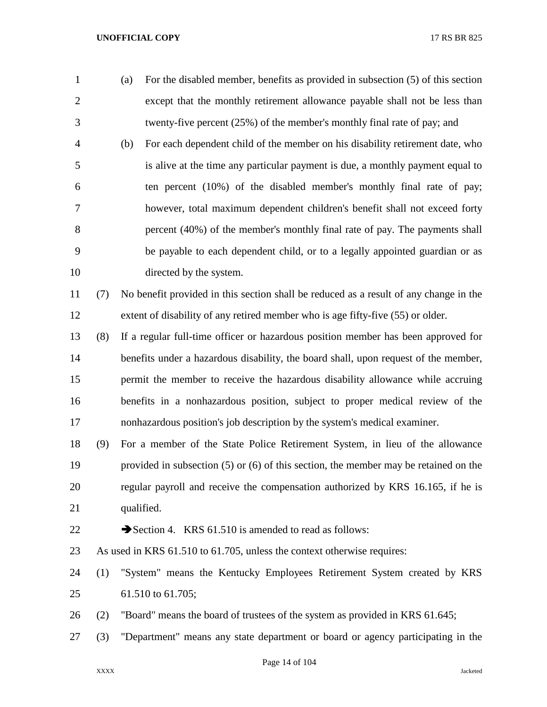- (a) For the disabled member, benefits as provided in subsection (5) of this section except that the monthly retirement allowance payable shall not be less than twenty-five percent (25%) of the member's monthly final rate of pay; and (b) For each dependent child of the member on his disability retirement date, who is alive at the time any particular payment is due, a monthly payment equal to ten percent (10%) of the disabled member's monthly final rate of pay; however, total maximum dependent children's benefit shall not exceed forty percent (40%) of the member's monthly final rate of pay. The payments shall be payable to each dependent child, or to a legally appointed guardian or as directed by the system.
- (7) No benefit provided in this section shall be reduced as a result of any change in the extent of disability of any retired member who is age fifty-five (55) or older.
- (8) If a regular full-time officer or hazardous position member has been approved for benefits under a hazardous disability, the board shall, upon request of the member, permit the member to receive the hazardous disability allowance while accruing benefits in a nonhazardous position, subject to proper medical review of the nonhazardous position's job description by the system's medical examiner.
- (9) For a member of the State Police Retirement System, in lieu of the allowance provided in subsection (5) or (6) of this section, the member may be retained on the regular payroll and receive the compensation authorized by KRS 16.165, if he is qualified.
- 

22  $\rightarrow$  Section 4. KRS 61.510 is amended to read as follows:

- As used in KRS 61.510 to 61.705, unless the context otherwise requires:
- (1) "System" means the Kentucky Employees Retirement System created by KRS 61.510 to 61.705;
- (2) "Board" means the board of trustees of the system as provided in KRS 61.645;
- (3) "Department" means any state department or board or agency participating in the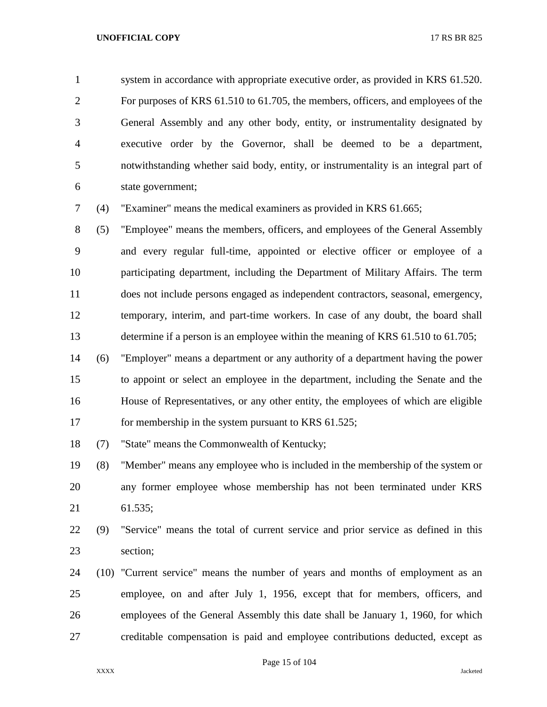system in accordance with appropriate executive order, as provided in KRS 61.520. For purposes of KRS 61.510 to 61.705, the members, officers, and employees of the General Assembly and any other body, entity, or instrumentality designated by executive order by the Governor, shall be deemed to be a department, notwithstanding whether said body, entity, or instrumentality is an integral part of state government;

(4) "Examiner" means the medical examiners as provided in KRS 61.665;

 (5) "Employee" means the members, officers, and employees of the General Assembly and every regular full-time, appointed or elective officer or employee of a participating department, including the Department of Military Affairs. The term does not include persons engaged as independent contractors, seasonal, emergency, temporary, interim, and part-time workers. In case of any doubt, the board shall determine if a person is an employee within the meaning of KRS 61.510 to 61.705;

 (6) "Employer" means a department or any authority of a department having the power to appoint or select an employee in the department, including the Senate and the House of Representatives, or any other entity, the employees of which are eligible 17 for membership in the system pursuant to KRS 61.525;

(7) "State" means the Commonwealth of Kentucky;

 (8) "Member" means any employee who is included in the membership of the system or any former employee whose membership has not been terminated under KRS 61.535;

 (9) "Service" means the total of current service and prior service as defined in this section;

 (10) "Current service" means the number of years and months of employment as an employee, on and after July 1, 1956, except that for members, officers, and employees of the General Assembly this date shall be January 1, 1960, for which creditable compensation is paid and employee contributions deducted, except as

Page 15 of 104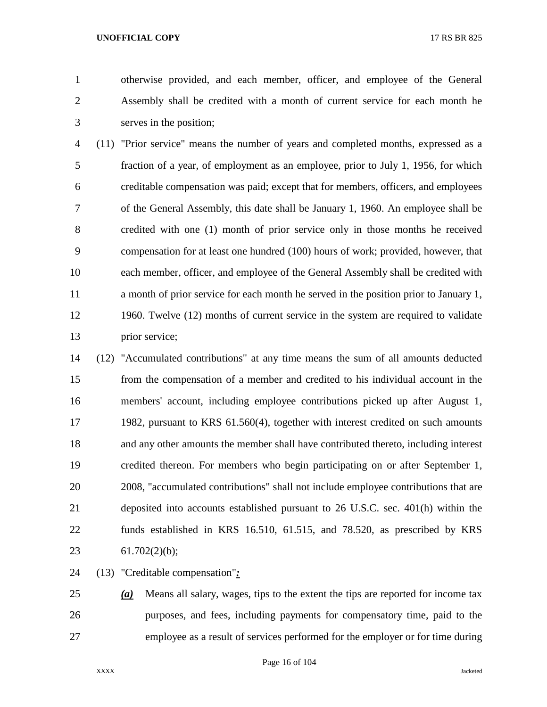otherwise provided, and each member, officer, and employee of the General Assembly shall be credited with a month of current service for each month he serves in the position;

 (11) "Prior service" means the number of years and completed months, expressed as a fraction of a year, of employment as an employee, prior to July 1, 1956, for which creditable compensation was paid; except that for members, officers, and employees of the General Assembly, this date shall be January 1, 1960. An employee shall be credited with one (1) month of prior service only in those months he received compensation for at least one hundred (100) hours of work; provided, however, that each member, officer, and employee of the General Assembly shall be credited with a month of prior service for each month he served in the position prior to January 1, 1960. Twelve (12) months of current service in the system are required to validate prior service;

 (12) "Accumulated contributions" at any time means the sum of all amounts deducted from the compensation of a member and credited to his individual account in the members' account, including employee contributions picked up after August 1, 1982, pursuant to KRS 61.560(4), together with interest credited on such amounts and any other amounts the member shall have contributed thereto, including interest credited thereon. For members who begin participating on or after September 1, 2008, "accumulated contributions" shall not include employee contributions that are deposited into accounts established pursuant to 26 U.S.C. sec. 401(h) within the funds established in KRS 16.510, 61.515, and 78.520, as prescribed by KRS 61.702(2)(b);

(13) "Creditable compensation"*:*

 *(a)* Means all salary, wages, tips to the extent the tips are reported for income tax purposes, and fees, including payments for compensatory time, paid to the employee as a result of services performed for the employer or for time during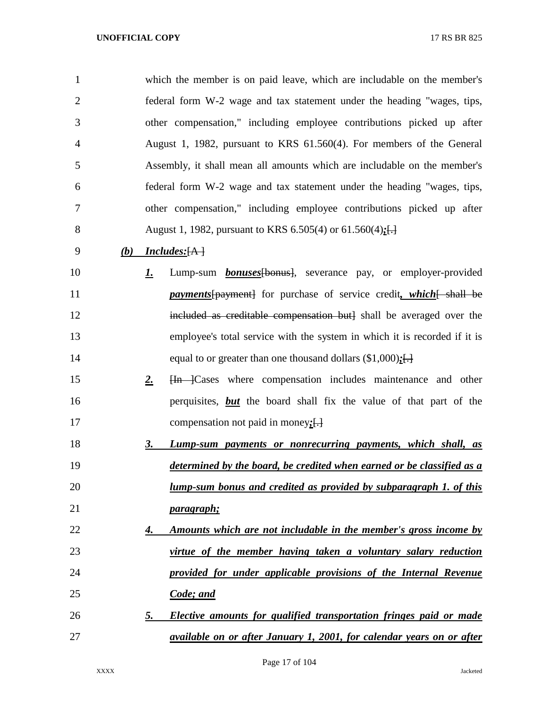| $\mathbf{1}$   |     |             | which the member is on paid leave, which are includable on the member's      |
|----------------|-----|-------------|------------------------------------------------------------------------------|
| $\overline{2}$ |     |             | federal form W-2 wage and tax statement under the heading "wages, tips,      |
| 3              |     |             | other compensation," including employee contributions picked up after        |
| 4              |     |             | August 1, 1982, pursuant to KRS 61.560(4). For members of the General        |
| 5              |     |             | Assembly, it shall mean all amounts which are includable on the member's     |
| 6              |     |             | federal form W-2 wage and tax statement under the heading "wages, tips,      |
| 7              |     |             | other compensation," including employee contributions picked up after        |
| 8              |     |             | August 1, 1982, pursuant to KRS 6.505(4) or 61.560(4); $\frac{1}{1}$         |
| 9              | (b) |             | Includes: [A]                                                                |
| 10             |     | <u>I.</u>   | Lump-sum <b>bonuses</b> [bonus], severance pay, or employer-provided         |
| 11             |     |             | <i>payments</i> [payment] for purchase of service credit, which [ shall be   |
| 12             |     |             | included as creditable compensation but) shall be averaged over the          |
| 13             |     |             | employee's total service with the system in which it is recorded if it is    |
| 14             |     |             | equal to or greater than one thousand dollars $(\$1,000);$                   |
| 15             |     | $2_{\cdot}$ | Hn Cases where compensation includes maintenance and other                   |
| 16             |     |             | perquisites, <b>but</b> the board shall fix the value of that part of the    |
| 17             |     |             | compensation not paid in money: $\left\{\frac{1}{2}\right\}$                 |
| 18             |     | 3.          | Lump-sum payments or nonrecurring payments, which shall, as                  |
| 19             |     |             | determined by the board, be credited when earned or be classified as a       |
| 20             |     |             | <u>lump-sum bonus and credited as provided by subparagraph 1. of this</u>    |
| 21             |     |             | <u>paragraph;</u>                                                            |
| 22             |     | 4.          | <u>Amounts which are not includable in the member's gross income by</u>      |
| 23             |     |             | virtue of the member having taken a voluntary salary reduction               |
| 24             |     |             | provided for under applicable provisions of the Internal Revenue             |
| 25             |     |             | Code; and                                                                    |
| 26             |     | <u>5.</u>   | <b>Elective amounts for qualified transportation fringes paid or made</b>    |
| 27             |     |             | <i>available on or after January 1, 2001, for calendar years on or after</i> |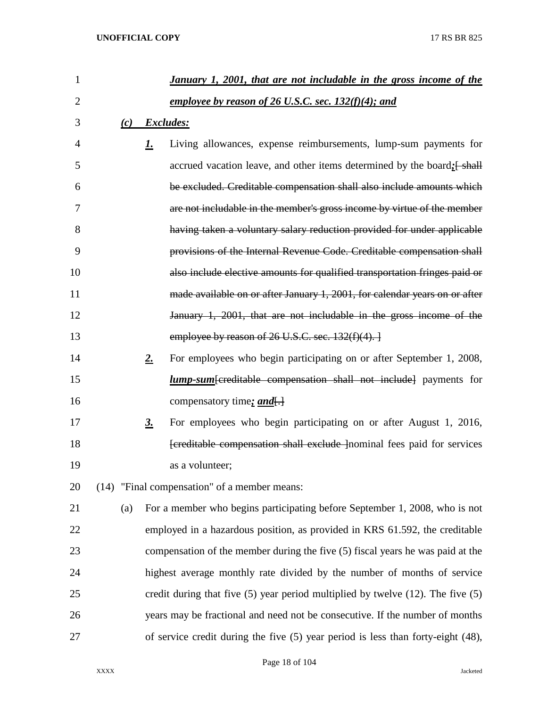| $\mathbf{1}$ |      |                   | January 1, 2001, that are not includable in the gross income of the                    |
|--------------|------|-------------------|----------------------------------------------------------------------------------------|
| 2            |      |                   | employee by reason of 26 U.S.C. sec. $132(f)(4)$ ; and                                 |
| 3            |      |                   | (c) Excludes:                                                                          |
| 4            |      | <u>1.</u>         | Living allowances, expense reimbursements, lump-sum payments for                       |
| 5            |      |                   | accrued vacation leave, and other items determined by the board: [shall]               |
| 6            |      |                   | be excluded. Creditable compensation shall also include amounts which                  |
| 7            |      |                   | are not includable in the member's gross income by virtue of the member                |
| 8            |      |                   | having taken a voluntary salary reduction provided for under applicable                |
| 9            |      |                   | provisions of the Internal Revenue Code. Creditable compensation shall                 |
| 10           |      |                   | also include elective amounts for qualified transportation fringes paid or             |
| 11           |      |                   | made available on or after January 1, 2001, for calendar years on or after             |
| 12           |      |                   | January 1, 2001, that are not includable in the gross income of the                    |
| 13           |      |                   | employee by reason of $26$ U.S.C. sec. $132(f)(4)$ .                                   |
| 14           |      | $2_{\cdot}$       | For employees who begin participating on or after September 1, 2008,                   |
| 15           |      |                   | <b>lump-sum</b> [creditable compensation shall not include] payments for               |
| 16           |      |                   | compensatory time: and.                                                                |
| 17           |      | $\underline{3}$ . | For employees who begin participating on or after August 1, 2016,                      |
| 18           |      |                   | [creditable compensation shall exclude ] nominal fees paid for services                |
| 19           |      |                   | as a volunteer;                                                                        |
| 20           | (14) |                   | "Final compensation" of a member means:                                                |
| 21           | (a)  |                   | For a member who begins participating before September 1, 2008, who is not             |
| 22           |      |                   | employed in a hazardous position, as provided in KRS 61.592, the creditable            |
| 23           |      |                   | compensation of the member during the five (5) fiscal years he was paid at the         |
| 24           |      |                   | highest average monthly rate divided by the number of months of service                |
| 25           |      |                   | credit during that five $(5)$ year period multiplied by twelve $(12)$ . The five $(5)$ |
| 26           |      |                   | years may be fractional and need not be consecutive. If the number of months           |
| 27           |      |                   | of service credit during the five $(5)$ year period is less than forty-eight $(48)$ ,  |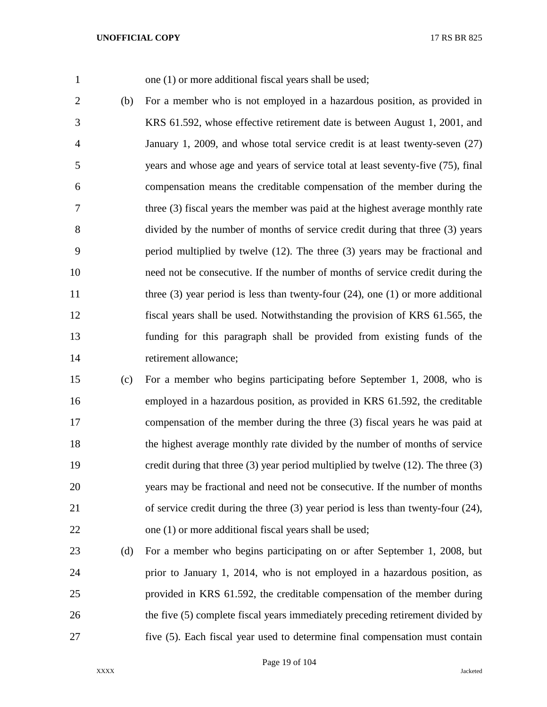1 one (1) or more additional fiscal years shall be used;

 (b) For a member who is not employed in a hazardous position, as provided in KRS 61.592, whose effective retirement date is between August 1, 2001, and January 1, 2009, and whose total service credit is at least twenty-seven (27) years and whose age and years of service total at least seventy-five (75), final compensation means the creditable compensation of the member during the three (3) fiscal years the member was paid at the highest average monthly rate divided by the number of months of service credit during that three (3) years period multiplied by twelve (12). The three (3) years may be fractional and need not be consecutive. If the number of months of service credit during the 11 three (3) year period is less than twenty-four (24), one (1) or more additional fiscal years shall be used. Notwithstanding the provision of KRS 61.565, the funding for this paragraph shall be provided from existing funds of the 14 retirement allowance;

 (c) For a member who begins participating before September 1, 2008, who is employed in a hazardous position, as provided in KRS 61.592, the creditable compensation of the member during the three (3) fiscal years he was paid at the highest average monthly rate divided by the number of months of service credit during that three (3) year period multiplied by twelve (12). The three (3) years may be fractional and need not be consecutive. If the number of months of service credit during the three (3) year period is less than twenty-four (24), one (1) or more additional fiscal years shall be used;

 (d) For a member who begins participating on or after September 1, 2008, but prior to January 1, 2014, who is not employed in a hazardous position, as provided in KRS 61.592, the creditable compensation of the member during the five (5) complete fiscal years immediately preceding retirement divided by five (5). Each fiscal year used to determine final compensation must contain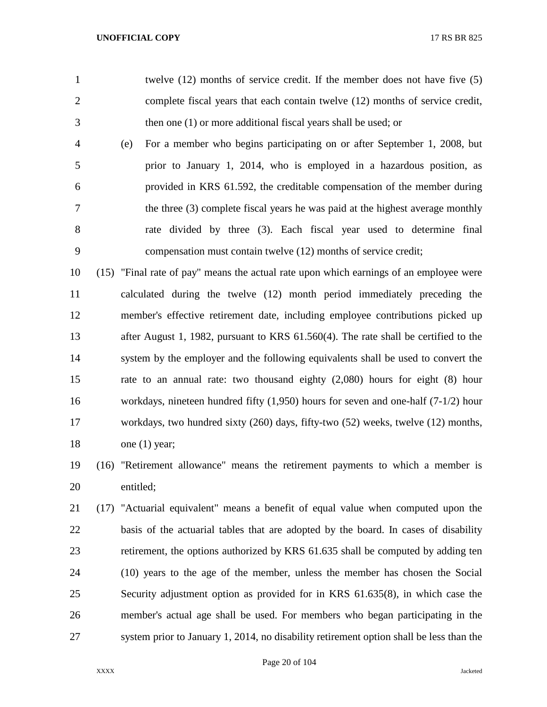- twelve (12) months of service credit. If the member does not have five (5) complete fiscal years that each contain twelve (12) months of service credit, then one (1) or more additional fiscal years shall be used; or
- (e) For a member who begins participating on or after September 1, 2008, but prior to January 1, 2014, who is employed in a hazardous position, as provided in KRS 61.592, the creditable compensation of the member during the three (3) complete fiscal years he was paid at the highest average monthly rate divided by three (3). Each fiscal year used to determine final compensation must contain twelve (12) months of service credit;

 (15) "Final rate of pay" means the actual rate upon which earnings of an employee were calculated during the twelve (12) month period immediately preceding the member's effective retirement date, including employee contributions picked up after August 1, 1982, pursuant to KRS 61.560(4). The rate shall be certified to the system by the employer and the following equivalents shall be used to convert the rate to an annual rate: two thousand eighty (2,080) hours for eight (8) hour workdays, nineteen hundred fifty (1,950) hours for seven and one-half (7-1/2) hour workdays, two hundred sixty (260) days, fifty-two (52) weeks, twelve (12) months, 18 one (1) year;

 (16) "Retirement allowance" means the retirement payments to which a member is entitled;

 (17) "Actuarial equivalent" means a benefit of equal value when computed upon the basis of the actuarial tables that are adopted by the board. In cases of disability retirement, the options authorized by KRS 61.635 shall be computed by adding ten (10) years to the age of the member, unless the member has chosen the Social Security adjustment option as provided for in KRS 61.635(8), in which case the member's actual age shall be used. For members who began participating in the system prior to January 1, 2014, no disability retirement option shall be less than the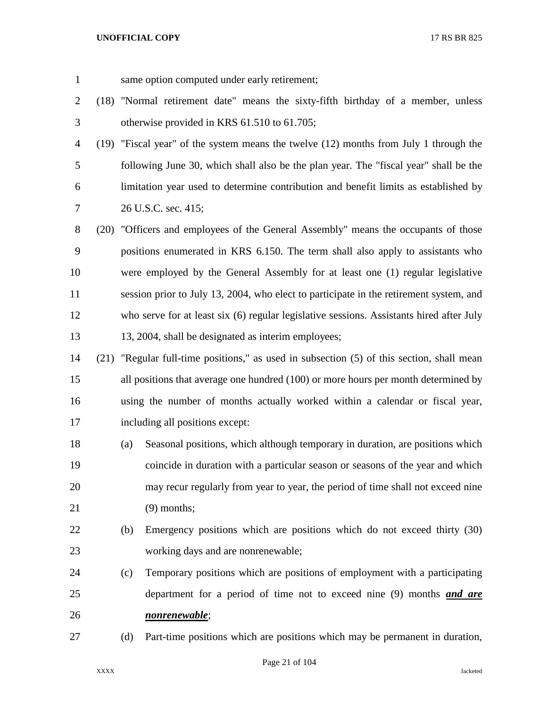same option computed under early retirement;

- (18) "Normal retirement date" means the sixty-fifth birthday of a member, unless otherwise provided in KRS 61.510 to 61.705;
- (19) "Fiscal year" of the system means the twelve (12) months from July 1 through the following June 30, which shall also be the plan year. The "fiscal year" shall be the limitation year used to determine contribution and benefit limits as established by 26 U.S.C. sec. 415;
- (20) "Officers and employees of the General Assembly" means the occupants of those positions enumerated in KRS 6.150. The term shall also apply to assistants who were employed by the General Assembly for at least one (1) regular legislative session prior to July 13, 2004, who elect to participate in the retirement system, and who serve for at least six (6) regular legislative sessions. Assistants hired after July 13, 2004, shall be designated as interim employees;
- (21) "Regular full-time positions," as used in subsection (5) of this section, shall mean all positions that average one hundred (100) or more hours per month determined by using the number of months actually worked within a calendar or fiscal year, including all positions except:
- (a) Seasonal positions, which although temporary in duration, are positions which coincide in duration with a particular season or seasons of the year and which may recur regularly from year to year, the period of time shall not exceed nine (9) months;
- (b) Emergency positions which are positions which do not exceed thirty (30) working days and are nonrenewable;
- (c) Temporary positions which are positions of employment with a participating department for a period of time not to exceed nine (9) months *and are nonrenewable*;
- (d) Part-time positions which are positions which may be permanent in duration,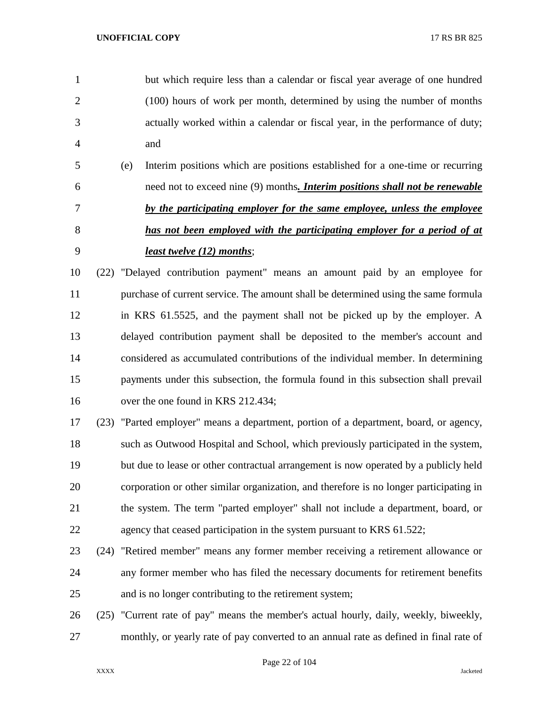but which require less than a calendar or fiscal year average of one hundred (100) hours of work per month, determined by using the number of months actually worked within a calendar or fiscal year, in the performance of duty; and

 (e) Interim positions which are positions established for a one-time or recurring need not to exceed nine (9) months*. Interim positions shall not be renewable by the participating employer for the same employee, unless the employee has not been employed with the participating employer for a period of at least twelve (12) months*;

 (22) "Delayed contribution payment" means an amount paid by an employee for 11 purchase of current service. The amount shall be determined using the same formula in KRS 61.5525, and the payment shall not be picked up by the employer. A delayed contribution payment shall be deposited to the member's account and considered as accumulated contributions of the individual member. In determining payments under this subsection, the formula found in this subsection shall prevail 16 over the one found in KRS 212.434;

 (23) "Parted employer" means a department, portion of a department, board, or agency, such as Outwood Hospital and School, which previously participated in the system, but due to lease or other contractual arrangement is now operated by a publicly held corporation or other similar organization, and therefore is no longer participating in the system. The term "parted employer" shall not include a department, board, or 22 agency that ceased participation in the system pursuant to KRS 61.522;

- (24) "Retired member" means any former member receiving a retirement allowance or any former member who has filed the necessary documents for retirement benefits and is no longer contributing to the retirement system;
- (25) "Current rate of pay" means the member's actual hourly, daily, weekly, biweekly, monthly, or yearly rate of pay converted to an annual rate as defined in final rate of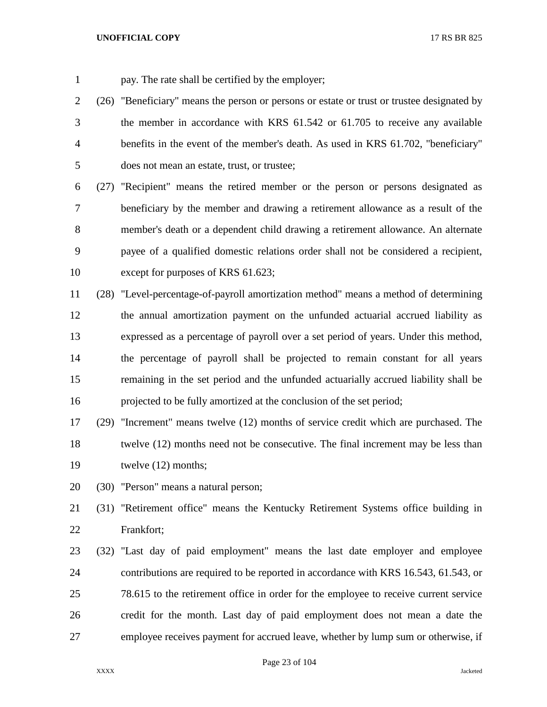pay. The rate shall be certified by the employer;

- 2 (26) "Beneficiary" means the person or persons or estate or trust or trustee designated by the member in accordance with KRS 61.542 or 61.705 to receive any available benefits in the event of the member's death. As used in KRS 61.702, "beneficiary" does not mean an estate, trust, or trustee;
- (27) "Recipient" means the retired member or the person or persons designated as beneficiary by the member and drawing a retirement allowance as a result of the member's death or a dependent child drawing a retirement allowance. An alternate payee of a qualified domestic relations order shall not be considered a recipient, except for purposes of KRS 61.623;
- (28) "Level-percentage-of-payroll amortization method" means a method of determining the annual amortization payment on the unfunded actuarial accrued liability as expressed as a percentage of payroll over a set period of years. Under this method, the percentage of payroll shall be projected to remain constant for all years remaining in the set period and the unfunded actuarially accrued liability shall be projected to be fully amortized at the conclusion of the set period;
- (29) "Increment" means twelve (12) months of service credit which are purchased. The twelve (12) months need not be consecutive. The final increment may be less than 19 twelve (12) months;
- (30) "Person" means a natural person;

 (31) "Retirement office" means the Kentucky Retirement Systems office building in Frankfort;

 (32) "Last day of paid employment" means the last date employer and employee contributions are required to be reported in accordance with KRS 16.543, 61.543, or 78.615 to the retirement office in order for the employee to receive current service credit for the month. Last day of paid employment does not mean a date the employee receives payment for accrued leave, whether by lump sum or otherwise, if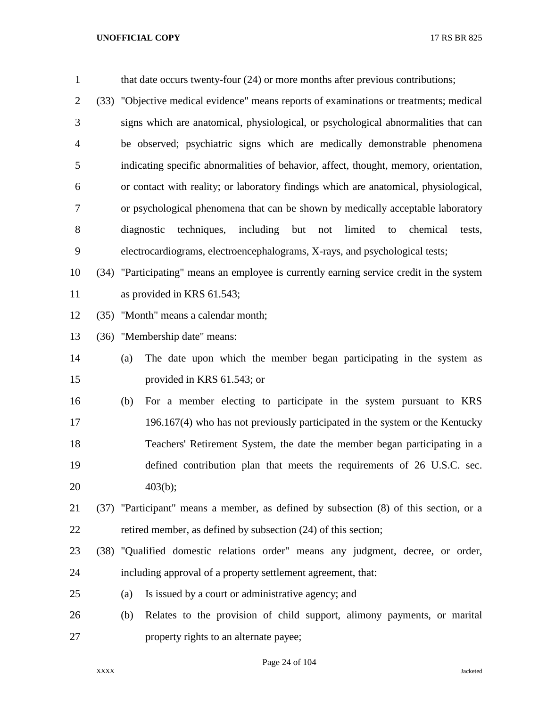| $\mathbf{1}$   |      | that date occurs twenty-four (24) or more months after previous contributions;              |
|----------------|------|---------------------------------------------------------------------------------------------|
| $\overline{2}$ | (33) | "Objective medical evidence" means reports of examinations or treatments; medical           |
| 3              |      | signs which are anatomical, physiological, or psychological abnormalities that can          |
| $\overline{4}$ |      | be observed; psychiatric signs which are medically demonstrable phenomena                   |
| 5              |      | indicating specific abnormalities of behavior, affect, thought, memory, orientation,        |
| 6              |      | or contact with reality; or laboratory findings which are anatomical, physiological,        |
| 7              |      | or psychological phenomena that can be shown by medically acceptable laboratory             |
| 8              |      | diagnostic<br>techniques,<br>including<br>but<br>limited<br>chemical<br>not<br>to<br>tests, |
| 9              |      | electrocardiograms, electroencephalograms, X-rays, and psychological tests;                 |
| 10             | (34) | "Participating" means an employee is currently earning service credit in the system         |
| 11             |      | as provided in KRS 61.543;                                                                  |
| 12             | (35) | "Month" means a calendar month;                                                             |
| 13             | (36) | "Membership date" means:                                                                    |
| 14             |      | The date upon which the member began participating in the system as<br>(a)                  |
| 15             |      | provided in KRS 61.543; or                                                                  |
| 16             |      | For a member electing to participate in the system pursuant to KRS<br>(b)                   |
| 17             |      | 196.167(4) who has not previously participated in the system or the Kentucky                |
| 18             |      | Teachers' Retirement System, the date the member began participating in a                   |
| 19             |      | defined contribution plan that meets the requirements of 26 U.S.C. sec.                     |
| 20             |      | 403(b);                                                                                     |
| 21             |      | (37) "Participant" means a member, as defined by subsection (8) of this section, or a       |
| 22             |      | retired member, as defined by subsection (24) of this section;                              |
| 23             |      | (38) "Qualified domestic relations order" means any judgment, decree, or order,             |
| 24             |      | including approval of a property settlement agreement, that:                                |
| 25             |      | Is issued by a court or administrative agency; and<br>(a)                                   |
| 26             |      | Relates to the provision of child support, alimony payments, or marital<br>(b)              |
| 27             |      | property rights to an alternate payee;                                                      |

Page 24 of 104

XXXX Jacketed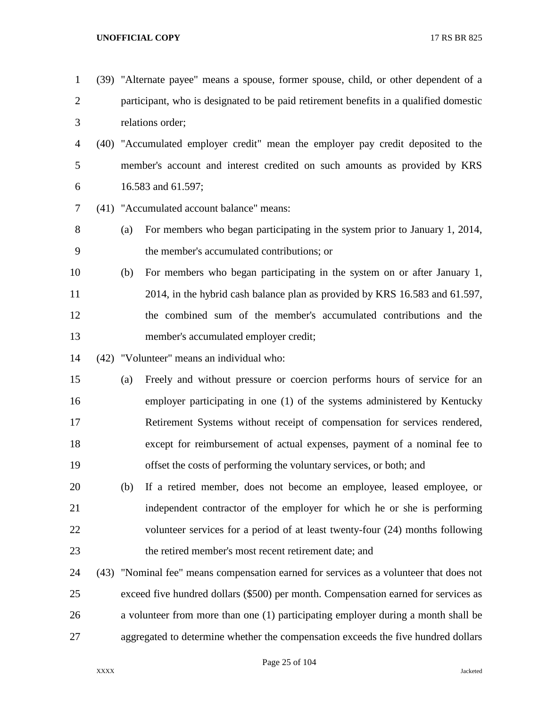(39) "Alternate payee" means a spouse, former spouse, child, or other dependent of a participant, who is designated to be paid retirement benefits in a qualified domestic relations order; (40) "Accumulated employer credit" mean the employer pay credit deposited to the member's account and interest credited on such amounts as provided by KRS 16.583 and 61.597; (41) "Accumulated account balance" means: (a) For members who began participating in the system prior to January 1, 2014, the member's accumulated contributions; or (b) For members who began participating in the system on or after January 1, 2014, in the hybrid cash balance plan as provided by KRS 16.583 and 61.597, the combined sum of the member's accumulated contributions and the member's accumulated employer credit; (42) "Volunteer" means an individual who: (a) Freely and without pressure or coercion performs hours of service for an employer participating in one (1) of the systems administered by Kentucky Retirement Systems without receipt of compensation for services rendered, except for reimbursement of actual expenses, payment of a nominal fee to offset the costs of performing the voluntary services, or both; and (b) If a retired member, does not become an employee, leased employee, or independent contractor of the employer for which he or she is performing volunteer services for a period of at least twenty-four (24) months following the retired member's most recent retirement date; and (43) "Nominal fee" means compensation earned for services as a volunteer that does not exceed five hundred dollars (\$500) per month. Compensation earned for services as a volunteer from more than one (1) participating employer during a month shall be aggregated to determine whether the compensation exceeds the five hundred dollars

Page 25 of 104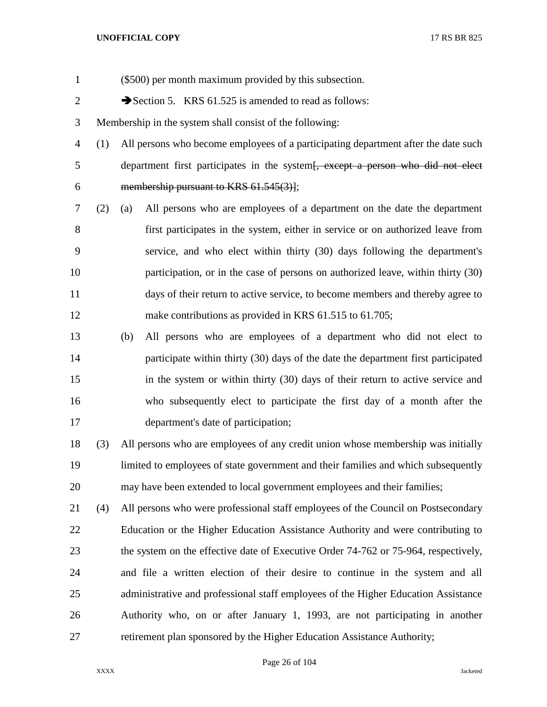| $\mathbf{1}$   |     | (\$500) per month maximum provided by this subsection.                                      |
|----------------|-----|---------------------------------------------------------------------------------------------|
| $\overline{2}$ |     | Section 5. KRS 61.525 is amended to read as follows:                                        |
| 3              |     | Membership in the system shall consist of the following:                                    |
| $\overline{4}$ | (1) | All persons who become employees of a participating department after the date such          |
| 5              |     | department first participates in the system <del>[, except a person who did not elect</del> |
| 6              |     | membership pursuant to KRS 61.545(3)];                                                      |
| 7              | (2) | All persons who are employees of a department on the date the department<br>(a)             |
| 8              |     | first participates in the system, either in service or on authorized leave from             |
| 9              |     | service, and who elect within thirty (30) days following the department's                   |
| 10             |     | participation, or in the case of persons on authorized leave, within thirty (30)            |
| 11             |     | days of their return to active service, to become members and thereby agree to              |
| 12             |     | make contributions as provided in KRS 61.515 to 61.705;                                     |
| 13             |     | All persons who are employees of a department who did not elect to<br>(b)                   |
| 14             |     | participate within thirty (30) days of the date the department first participated           |
| 15             |     | in the system or within thirty (30) days of their return to active service and              |
| 16             |     | who subsequently elect to participate the first day of a month after the                    |
| 17             |     | department's date of participation;                                                         |
| 18             | (3) | All persons who are employees of any credit union whose membership was initially            |
| 19             |     | limited to employees of state government and their families and which subsequently          |
| 20             |     | may have been extended to local government employees and their families;                    |
| 21             | (4) | All persons who were professional staff employees of the Council on Postsecondary           |
| 22             |     | Education or the Higher Education Assistance Authority and were contributing to             |
| 23             |     | the system on the effective date of Executive Order 74-762 or 75-964, respectively,         |
| 24             |     | and file a written election of their desire to continue in the system and all               |
| 25             |     | administrative and professional staff employees of the Higher Education Assistance          |
| 26             |     | Authority who, on or after January 1, 1993, are not participating in another                |
| 27             |     | retirement plan sponsored by the Higher Education Assistance Authority;                     |

Page 26 of 104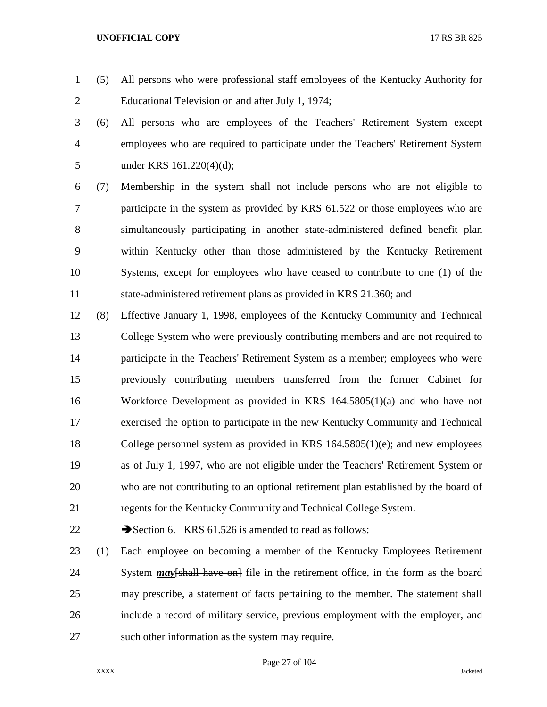- (5) All persons who were professional staff employees of the Kentucky Authority for Educational Television on and after July 1, 1974;
- (6) All persons who are employees of the Teachers' Retirement System except employees who are required to participate under the Teachers' Retirement System 5 under KRS 161.220(4)(d);
- (7) Membership in the system shall not include persons who are not eligible to participate in the system as provided by KRS 61.522 or those employees who are simultaneously participating in another state-administered defined benefit plan within Kentucky other than those administered by the Kentucky Retirement Systems, except for employees who have ceased to contribute to one (1) of the state-administered retirement plans as provided in KRS 21.360; and
- (8) Effective January 1, 1998, employees of the Kentucky Community and Technical College System who were previously contributing members and are not required to participate in the Teachers' Retirement System as a member; employees who were previously contributing members transferred from the former Cabinet for Workforce Development as provided in KRS 164.5805(1)(a) and who have not exercised the option to participate in the new Kentucky Community and Technical College personnel system as provided in KRS 164.5805(1)(e); and new employees as of July 1, 1997, who are not eligible under the Teachers' Retirement System or who are not contributing to an optional retirement plan established by the board of regents for the Kentucky Community and Technical College System.

22  $\rightarrow$  Section 6. KRS 61.526 is amended to read as follows:

 (1) Each employee on becoming a member of the Kentucky Employees Retirement System *may*[shall have on] file in the retirement office, in the form as the board may prescribe, a statement of facts pertaining to the member. The statement shall include a record of military service, previous employment with the employer, and such other information as the system may require.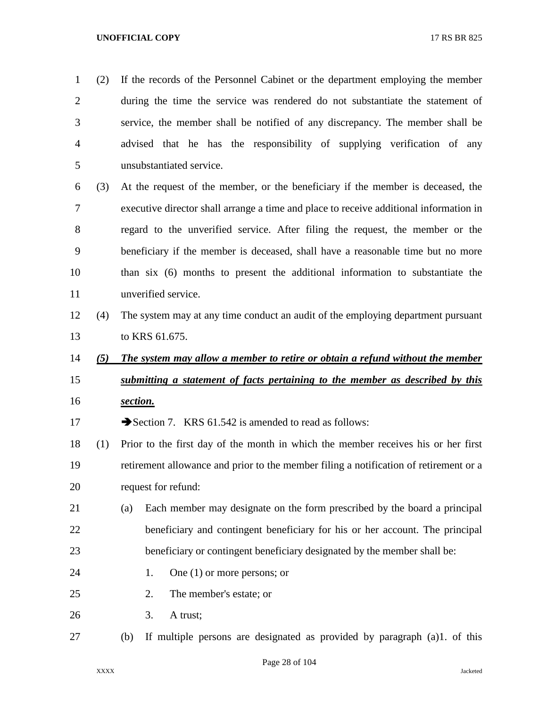(2) If the records of the Personnel Cabinet or the department employing the member during the time the service was rendered do not substantiate the statement of service, the member shall be notified of any discrepancy. The member shall be advised that he has the responsibility of supplying verification of any unsubstantiated service. (3) At the request of the member, or the beneficiary if the member is deceased, the executive director shall arrange a time and place to receive additional information in regard to the unverified service. After filing the request, the member or the beneficiary if the member is deceased, shall have a reasonable time but no more than six (6) months to present the additional information to substantiate the unverified service. (4) The system may at any time conduct an audit of the employing department pursuant to KRS 61.675. *(5) The system may allow a member to retire or obtain a refund without the member submitting a statement of facts pertaining to the member as described by this section.* 17 Section 7. KRS 61.542 is amended to read as follows: (1) Prior to the first day of the month in which the member receives his or her first retirement allowance and prior to the member filing a notification of retirement or a request for refund: (a) Each member may designate on the form prescribed by the board a principal beneficiary and contingent beneficiary for his or her account. The principal beneficiary or contingent beneficiary designated by the member shall be: 24 1. One (1) or more persons; or 2. The member's estate; or 3. A trust; (b) If multiple persons are designated as provided by paragraph (a)1. of this

Page 28 of 104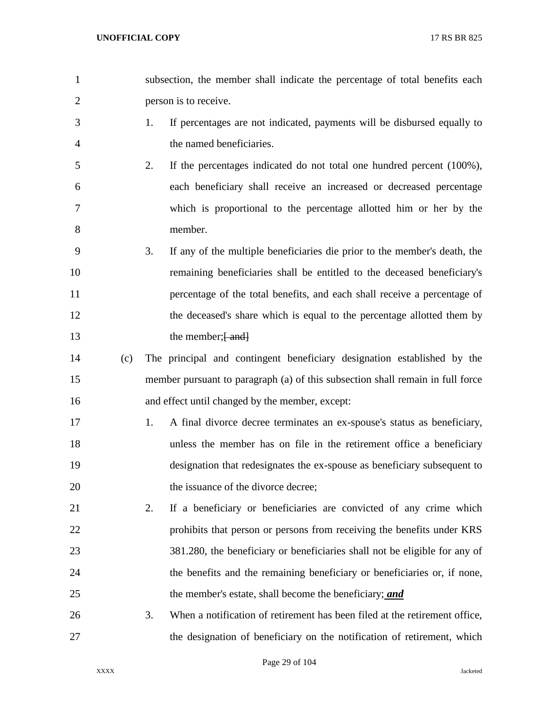subsection, the member shall indicate the percentage of total benefits each person is to receive. 1. If percentages are not indicated, payments will be disbursed equally to the named beneficiaries. 2. If the percentages indicated do not total one hundred percent (100%), each beneficiary shall receive an increased or decreased percentage which is proportional to the percentage allotted him or her by the member. 3. If any of the multiple beneficiaries die prior to the member's death, the remaining beneficiaries shall be entitled to the deceased beneficiary's percentage of the total benefits, and each shall receive a percentage of 12 the deceased's share which is equal to the percentage allotted them by 13 the member;  $\frac{1}{2}$  and  $\frac{1}{2}$  (c) The principal and contingent beneficiary designation established by the member pursuant to paragraph (a) of this subsection shall remain in full force and effect until changed by the member, except: 1. A final divorce decree terminates an ex-spouse's status as beneficiary, unless the member has on file in the retirement office a beneficiary designation that redesignates the ex-spouse as beneficiary subsequent to 20 the issuance of the divorce decree; 2. If a beneficiary or beneficiaries are convicted of any crime which 22 prohibits that person or persons from receiving the benefits under KRS 381.280, the beneficiary or beneficiaries shall not be eligible for any of the benefits and the remaining beneficiary or beneficiaries or, if none, the member's estate, shall become the beneficiary; *and* 3. When a notification of retirement has been filed at the retirement office, the designation of beneficiary on the notification of retirement, which

Page 29 of 104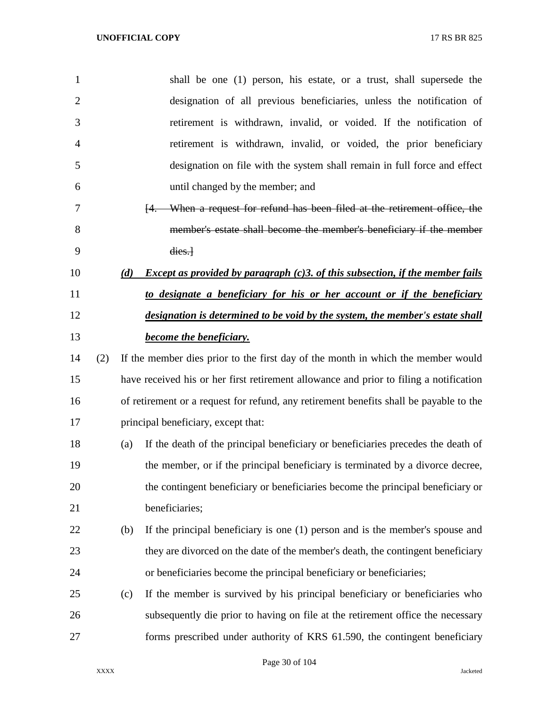| $\mathbf{1}$   |     | shall be one (1) person, his estate, or a trust, shall supersede the                              |  |  |
|----------------|-----|---------------------------------------------------------------------------------------------------|--|--|
| $\overline{2}$ |     | designation of all previous beneficiaries, unless the notification of                             |  |  |
| 3              |     | retirement is withdrawn, invalid, or voided. If the notification of                               |  |  |
| 4              |     | retirement is withdrawn, invalid, or voided, the prior beneficiary                                |  |  |
| 5              |     | designation on file with the system shall remain in full force and effect                         |  |  |
| 6              |     | until changed by the member; and                                                                  |  |  |
| 7              |     | When a request for refund has been filed at the retirement office, the<br><sup>[4.]</sup>         |  |  |
| 8              |     | member's estate shall become the member's beneficiary if the member                               |  |  |
| 9              |     | dies.                                                                                             |  |  |
| 10             | (d) | <i>Except as provided by paragraph <math>(c)</math>3. of this subsection, if the member fails</i> |  |  |
| 11             |     | to designate a beneficiary for his or her account or if the beneficiary                           |  |  |
| 12             |     | designation is determined to be void by the system, the member's estate shall                     |  |  |
| 13             |     | <b>become the beneficiary.</b>                                                                    |  |  |
| 14<br>(2)      |     | If the member dies prior to the first day of the month in which the member would                  |  |  |
| 15             |     | have received his or her first retirement allowance and prior to filing a notification            |  |  |
| 16             |     | of retirement or a request for refund, any retirement benefits shall be payable to the            |  |  |
| 17             |     | principal beneficiary, except that:                                                               |  |  |
| 18             | (a) | If the death of the principal beneficiary or beneficiaries precedes the death of                  |  |  |
| 19             |     | the member, or if the principal beneficiary is terminated by a divorce decree,                    |  |  |
| 20             |     | the contingent beneficiary or beneficiaries become the principal beneficiary or                   |  |  |
| 21             |     | beneficiaries;                                                                                    |  |  |
| 22             | (b) | If the principal beneficiary is one (1) person and is the member's spouse and                     |  |  |
| 23             |     | they are divorced on the date of the member's death, the contingent beneficiary                   |  |  |
| 24             |     | or beneficiaries become the principal beneficiary or beneficiaries;                               |  |  |
| 25             | (c) | If the member is survived by his principal beneficiary or beneficiaries who                       |  |  |
| 26             |     | subsequently die prior to having on file at the retirement office the necessary                   |  |  |
| 27             |     | forms prescribed under authority of KRS 61.590, the contingent beneficiary                        |  |  |

Page 30 of 104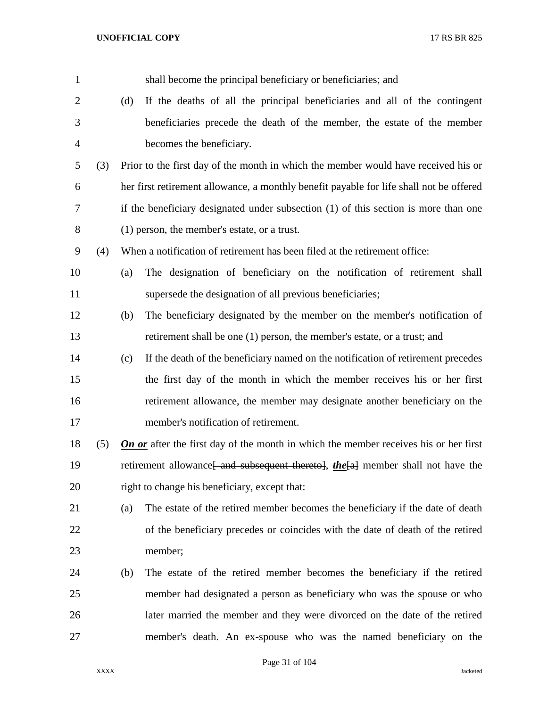| $\mathbf{1}$   |     |     | shall become the principal beneficiary or beneficiaries; and                                 |
|----------------|-----|-----|----------------------------------------------------------------------------------------------|
| $\overline{2}$ |     | (d) | If the deaths of all the principal beneficiaries and all of the contingent                   |
| 3              |     |     | beneficiaries precede the death of the member, the estate of the member                      |
| 4              |     |     | becomes the beneficiary.                                                                     |
| 5              | (3) |     | Prior to the first day of the month in which the member would have received his or           |
| 6              |     |     | her first retirement allowance, a monthly benefit payable for life shall not be offered      |
| 7              |     |     | if the beneficiary designated under subsection (1) of this section is more than one          |
| 8              |     |     | $(1)$ person, the member's estate, or a trust.                                               |
| 9              | (4) |     | When a notification of retirement has been filed at the retirement office:                   |
| 10             |     | (a) | The designation of beneficiary on the notification of retirement shall                       |
| 11             |     |     | supersede the designation of all previous beneficiaries;                                     |
| 12             |     | (b) | The beneficiary designated by the member on the member's notification of                     |
| 13             |     |     | retirement shall be one (1) person, the member's estate, or a trust; and                     |
| 14             |     | (c) | If the death of the beneficiary named on the notification of retirement precedes             |
| 15             |     |     | the first day of the month in which the member receives his or her first                     |
| 16             |     |     | retirement allowance, the member may designate another beneficiary on the                    |
| 17             |     |     | member's notification of retirement.                                                         |
| 18             | (5) |     | <b>On or</b> after the first day of the month in which the member receives his or her first  |
| 19             |     |     | retirement allowance <del>[ and subsequent thereto], the [a]</del> member shall not have the |
| 20             |     |     | right to change his beneficiary, except that:                                                |
| 21             |     | (a) | The estate of the retired member becomes the beneficiary if the date of death                |
| 22             |     |     | of the beneficiary precedes or coincides with the date of death of the retired               |
| 23             |     |     | member;                                                                                      |
| 24             |     | (b) | The estate of the retired member becomes the beneficiary if the retired                      |
| 25             |     |     | member had designated a person as beneficiary who was the spouse or who                      |
| 26             |     |     | later married the member and they were divorced on the date of the retired                   |
| 27             |     |     | member's death. An ex-spouse who was the named beneficiary on the                            |

Page 31 of 104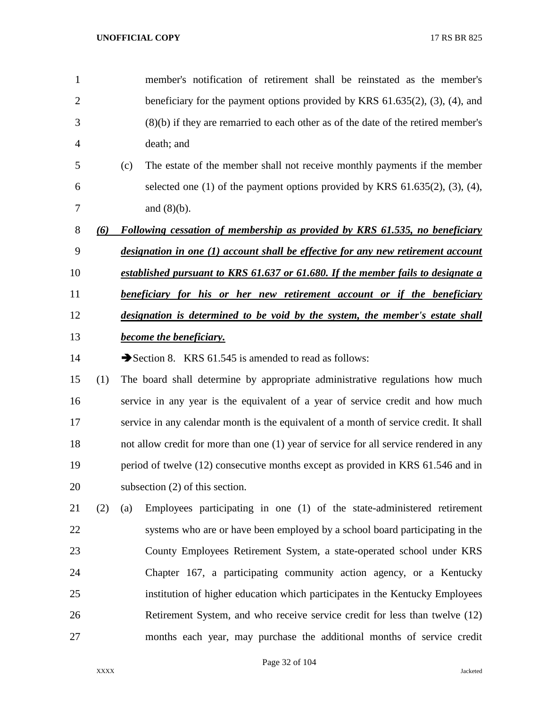| $\mathbf{1}$   |     |                                                                                  | member's notification of retirement shall be reinstated as the member's                 |  |
|----------------|-----|----------------------------------------------------------------------------------|-----------------------------------------------------------------------------------------|--|
| $\overline{2}$ |     |                                                                                  | beneficiary for the payment options provided by KRS $61.635(2)$ , $(3)$ , $(4)$ , and   |  |
| 3              |     |                                                                                  | $(8)(b)$ if they are remarried to each other as of the date of the retired member's     |  |
| 4              |     |                                                                                  | death; and                                                                              |  |
| 5              |     | (c)                                                                              | The estate of the member shall not receive monthly payments if the member               |  |
| 6              |     |                                                                                  | selected one $(1)$ of the payment options provided by KRS $61.635(2)$ , $(3)$ , $(4)$ , |  |
| 7              |     |                                                                                  | and $(8)(b)$ .                                                                          |  |
| 8              | (6) |                                                                                  | <b>Following cessation of membership as provided by KRS 61.535, no beneficiary</b>      |  |
| 9              |     |                                                                                  | designation in one (1) account shall be effective for any new retirement account        |  |
| 10             |     | established pursuant to KRS 61.637 or 61.680. If the member fails to designate a |                                                                                         |  |
| 11             |     | <b>beneficiary for his or her new retirement account or if the beneficiary</b>   |                                                                                         |  |
| 12             |     | designation is determined to be void by the system, the member's estate shall    |                                                                                         |  |
| 13             |     | <b>become the beneficiary.</b>                                                   |                                                                                         |  |
| 14             |     |                                                                                  | Section 8. KRS 61.545 is amended to read as follows:                                    |  |
| 15             | (1) |                                                                                  | The board shall determine by appropriate administrative regulations how much            |  |
| 16             |     |                                                                                  | service in any year is the equivalent of a year of service credit and how much          |  |
| 17             |     |                                                                                  | service in any calendar month is the equivalent of a month of service credit. It shall  |  |
| 18             |     |                                                                                  | not allow credit for more than one (1) year of service for all service rendered in any  |  |
| 19             |     |                                                                                  | period of twelve (12) consecutive months except as provided in KRS 61.546 and in        |  |
| 20             |     | subsection $(2)$ of this section.                                                |                                                                                         |  |
| 21             | (2) | (a)                                                                              | Employees participating in one (1) of the state-administered retirement                 |  |
| 22             |     |                                                                                  | systems who are or have been employed by a school board participating in the            |  |
| 23             |     |                                                                                  | County Employees Retirement System, a state-operated school under KRS                   |  |
| 24             |     |                                                                                  | Chapter 167, a participating community action agency, or a Kentucky                     |  |
| 25             |     |                                                                                  | institution of higher education which participates in the Kentucky Employees            |  |
| 26             |     |                                                                                  | Retirement System, and who receive service credit for less than twelve (12)             |  |
| 27             |     |                                                                                  | months each year, may purchase the additional months of service credit                  |  |
|                |     |                                                                                  |                                                                                         |  |

Page 32 of 104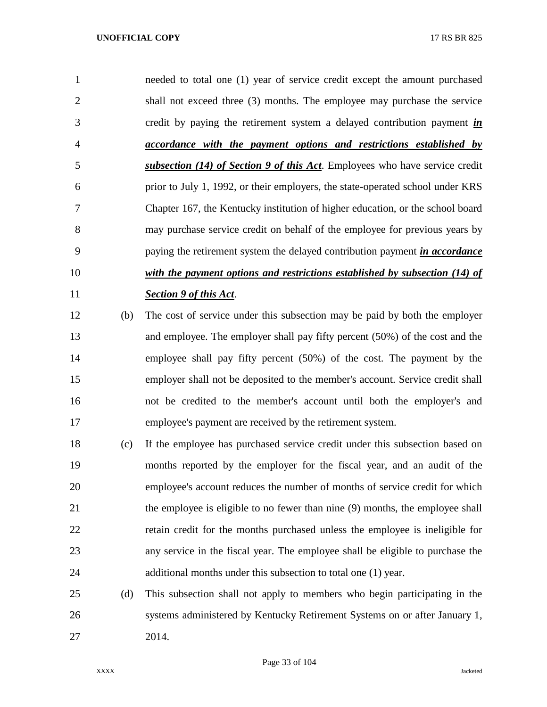needed to total one (1) year of service credit except the amount purchased shall not exceed three (3) months. The employee may purchase the service credit by paying the retirement system a delayed contribution payment *in accordance with the payment options and restrictions established by subsection (14) of Section 9 of this Act*. Employees who have service credit prior to July 1, 1992, or their employers, the state-operated school under KRS Chapter 167, the Kentucky institution of higher education, or the school board may purchase service credit on behalf of the employee for previous years by paying the retirement system the delayed contribution payment *in accordance with the payment options and restrictions established by subsection (14) of Section 9 of this Act*.

- (b) The cost of service under this subsection may be paid by both the employer and employee. The employer shall pay fifty percent (50%) of the cost and the employee shall pay fifty percent (50%) of the cost. The payment by the employer shall not be deposited to the member's account. Service credit shall not be credited to the member's account until both the employer's and employee's payment are received by the retirement system.
- (c) If the employee has purchased service credit under this subsection based on months reported by the employer for the fiscal year, and an audit of the employee's account reduces the number of months of service credit for which the employee is eligible to no fewer than nine (9) months, the employee shall retain credit for the months purchased unless the employee is ineligible for any service in the fiscal year. The employee shall be eligible to purchase the additional months under this subsection to total one (1) year.
- (d) This subsection shall not apply to members who begin participating in the systems administered by Kentucky Retirement Systems on or after January 1, 2014.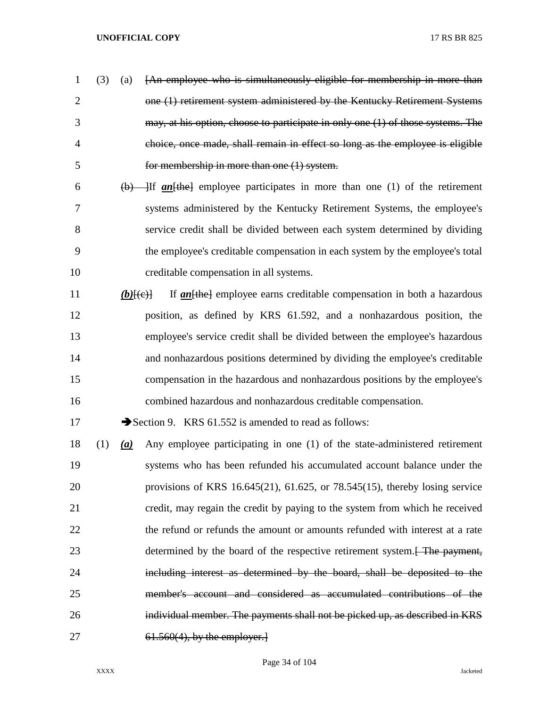- (3) (a) [An employee who is simultaneously eligible for membership in more than one (1) retirement system administered by the Kentucky Retirement Systems may, at his option, choose to participate in only one (1) of those systems. The choice, once made, shall remain in effect so long as the employee is eligible for membership in more than one (1) system.
- (b) ]If *an*[the] employee participates in more than one (1) of the retirement systems administered by the Kentucky Retirement Systems, the employee's service credit shall be divided between each system determined by dividing the employee's creditable compensation in each system by the employee's total creditable compensation in all systems.
- *(b)*[(e)] If *an*[the] employee earns creditable compensation in both a hazardous position, as defined by KRS 61.592, and a nonhazardous position, the employee's service credit shall be divided between the employee's hazardous and nonhazardous positions determined by dividing the employee's creditable compensation in the hazardous and nonhazardous positions by the employee's combined hazardous and nonhazardous creditable compensation.

17 Section 9. KRS 61.552 is amended to read as follows:

 (1) *(a)* Any employee participating in one (1) of the state-administered retirement systems who has been refunded his accumulated account balance under the provisions of KRS 16.645(21), 61.625, or 78.545(15), thereby losing service credit, may regain the credit by paying to the system from which he received the refund or refunds the amount or amounts refunded with interest at a rate 23 determined by the board of the respective retirement system.<del>[ The payment,</del> including interest as determined by the board, shall be deposited to the member's account and considered as accumulated contributions of the individual member. The payments shall not be picked up, as described in KRS 61.560(4), by the employer.]

Page 34 of 104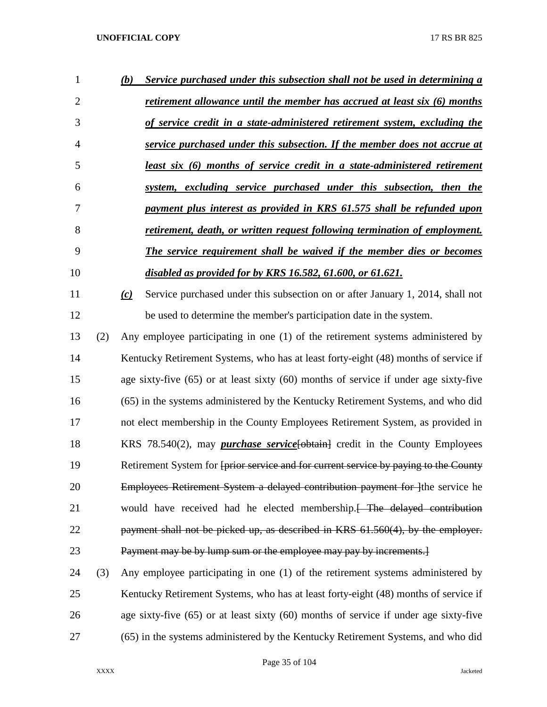| 1              |     | (b) | Service purchased under this subsection shall not be used in determining a               |
|----------------|-----|-----|------------------------------------------------------------------------------------------|
| $\overline{2}$ |     |     | retirement allowance until the member has accrued at least six (6) months                |
| 3              |     |     | of service credit in a state-administered retirement system, excluding the               |
| 4              |     |     | service purchased under this subsection. If the member does not accrue at                |
| 5              |     |     | least six (6) months of service credit in a state-administered retirement                |
| 6              |     |     | system, excluding service purchased under this subsection, then the                      |
| 7              |     |     | payment plus interest as provided in KRS 61.575 shall be refunded upon                   |
| 8              |     |     | retirement, death, or written request following termination of employment.               |
| 9              |     |     | The service requirement shall be waived if the member dies or becomes                    |
| 10             |     |     | disabled as provided for by KRS 16.582, 61.600, or 61.621.                               |
| 11             |     | (c) | Service purchased under this subsection on or after January 1, 2014, shall not           |
| 12             |     |     | be used to determine the member's participation date in the system.                      |
| 13             | (2) |     | Any employee participating in one (1) of the retirement systems administered by          |
| 14             |     |     | Kentucky Retirement Systems, who has at least forty-eight (48) months of service if      |
| 15             |     |     | age sixty-five $(65)$ or at least sixty $(60)$ months of service if under age sixty-five |
| 16             |     |     | (65) in the systems administered by the Kentucky Retirement Systems, and who did         |
| 17             |     |     | not elect membership in the County Employees Retirement System, as provided in           |
| 18             |     |     | KRS 78.540(2), may <i>purchase service</i> [obtain] credit in the County Employees       |
| 19             |     |     | Retirement System for fprior service and for current service by paying to the County     |
| 20             |     |     | Employees Retirement System a delayed contribution payment for lthe service he           |
| 21             |     |     | would have received had he elected membership. [ The delayed contribution                |
| 22             |     |     | payment shall not be picked up, as described in KRS 61.560(4), by the employer.          |
| 23             |     |     | Payment may be by lump sum or the employee may pay by increments.                        |
| 24             | (3) |     | Any employee participating in one (1) of the retirement systems administered by          |
| 25             |     |     | Kentucky Retirement Systems, who has at least forty-eight (48) months of service if      |

(65) in the systems administered by the Kentucky Retirement Systems, and who did

age sixty-five (65) or at least sixty (60) months of service if under age sixty-five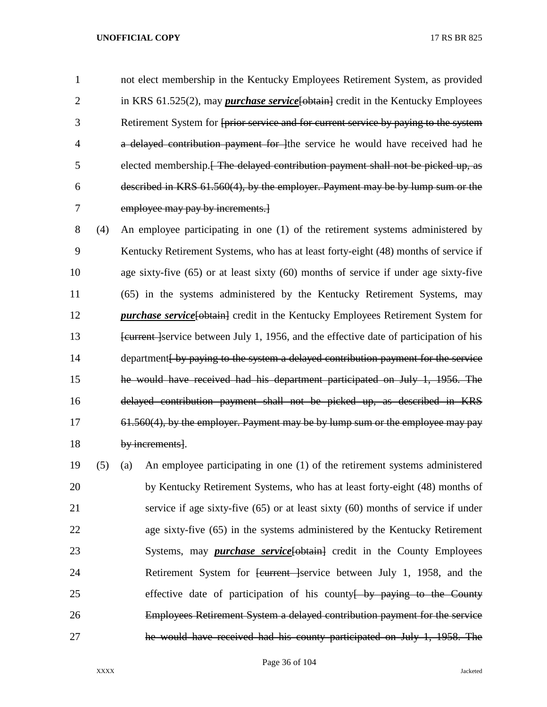not elect membership in the Kentucky Employees Retirement System, as provided 2 in KRS 61.525(2), may *purchase service* [obtain] credit in the Kentucky Employees Retirement System for [prior service and for current service by paying to the system **a** delayed contribution payment for lift service he would have received had he elected membership.[ The delayed contribution payment shall not be picked up, as described in KRS 61.560(4), by the employer. Payment may be by lump sum or the employee may pay by increments.]

 (4) An employee participating in one (1) of the retirement systems administered by Kentucky Retirement Systems, who has at least forty-eight (48) months of service if age sixty-five (65) or at least sixty (60) months of service if under age sixty-five (65) in the systems administered by the Kentucky Retirement Systems, may *purchase service* [**obtain**] credit in the Kentucky Employees Retirement System for **EXECUTE:** Feature Feature Ferrice between July 1, 1956, and the effective date of participation of his 14 department by paying to the system a delayed contribution payment for the service he would have received had his department participated on July 1, 1956. The delayed contribution payment shall not be picked up, as described in KRS 17 61.560(4), by the employer. Payment may be by lump sum or the employee may pay by increments].

 (5) (a) An employee participating in one (1) of the retirement systems administered by Kentucky Retirement Systems, who has at least forty-eight (48) months of service if age sixty-five (65) or at least sixty (60) months of service if under age sixty-five (65) in the systems administered by the Kentucky Retirement 23 Systems, may *purchase service* [**obtain**] credit in the County Employees 24 Retirement System for <del>[current ]</del>service between July 1, 1958, and the 25 effective date of participation of his county by paying to the County Employees Retirement System a delayed contribution payment for the service he would have received had his county participated on July 1, 1958. The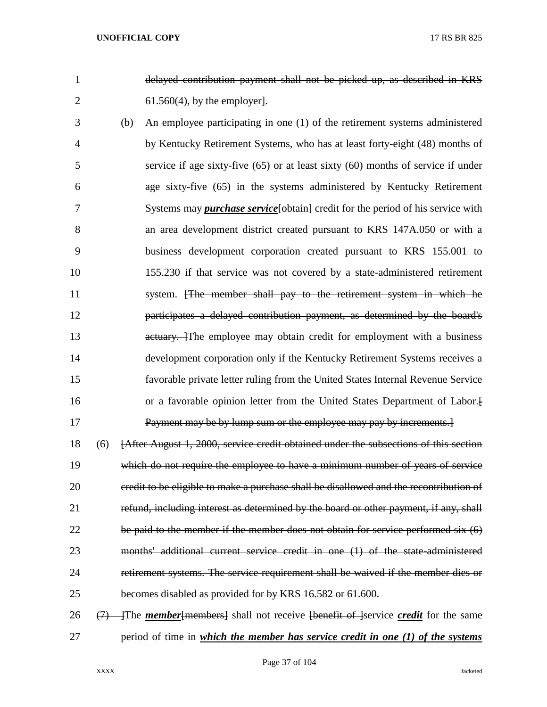delayed contribution payment shall not be picked up, as described in KRS 61.560(4), by the employer].

 (b) An employee participating in one (1) of the retirement systems administered by Kentucky Retirement Systems, who has at least forty-eight (48) months of service if age sixty-five (65) or at least sixty (60) months of service if under age sixty-five (65) in the systems administered by Kentucky Retirement 7 Systems may *purchase service* [obtain] credit for the period of his service with an area development district created pursuant to KRS 147A.050 or with a business development corporation created pursuant to KRS 155.001 to 155.230 if that service was not covered by a state-administered retirement 11 system. [The member shall pay to the retirement system in which he participates a delayed contribution payment, as determined by the board's 13 actuary. The employee may obtain credit for employment with a business development corporation only if the Kentucky Retirement Systems receives a favorable private letter ruling from the United States Internal Revenue Service or a favorable opinion letter from the United States Department of Labor.[ Payment may be by lump sum or the employee may pay by increments.]

 (6) [After August 1, 2000, service credit obtained under the subsections of this section which do not require the employee to have a minimum number of years of service 20 credit to be eligible to make a purchase shall be disallowed and the recontribution of 21 refund, including interest as determined by the board or other payment, if any, shall be paid to the member if the member does not obtain for service performed six (6) months' additional current service credit in one (1) of the state-administered retirement systems. The service requirement shall be waived if the member dies or becomes disabled as provided for by KRS 16.582 or 61.600.

 (7) ]The *member*[members] shall not receive [benefit of ]service *credit* for the same period of time in *which the member has service credit in one (1) of the systems* 

Page 37 of 104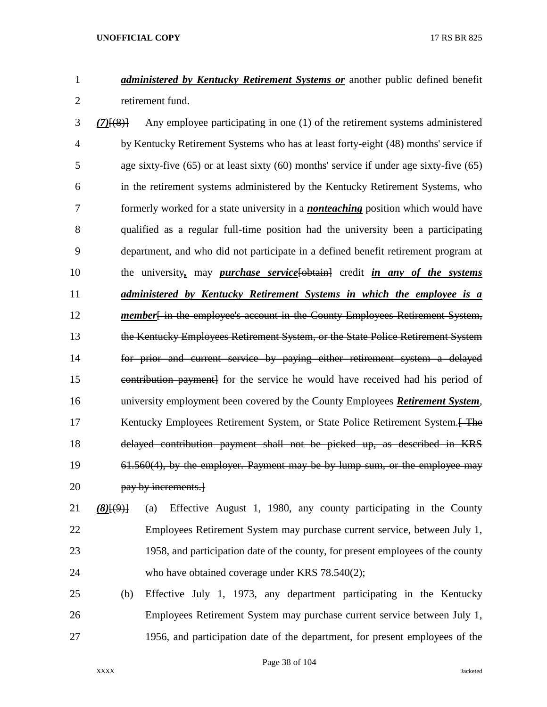*administered by Kentucky Retirement Systems or* another public defined benefit retirement fund.

 *(7)*[(8)] Any employee participating in one (1) of the retirement systems administered by Kentucky Retirement Systems who has at least forty-eight (48) months' service if age sixty-five (65) or at least sixty (60) months' service if under age sixty-five (65) in the retirement systems administered by the Kentucky Retirement Systems, who formerly worked for a state university in a *nonteaching* position which would have qualified as a regular full-time position had the university been a participating department, and who did not participate in a defined benefit retirement program at the university*,* may *purchase service*[obtain] credit *in any of the systems administered by Kentucky Retirement Systems in which the employee is a*  **member**[in the employee's account in the County Employees Retirement System, the Kentucky Employees Retirement System, or the State Police Retirement System for prior and current service by paying either retirement system a delayed contribution payment] for the service he would have received had his period of university employment been covered by the County Employees *Retirement System*, 17 Kentucky Employees Retirement System, or State Police Retirement System. Free delayed contribution payment shall not be picked up, as described in KRS 61.560(4), by the employer. Payment may be by lump sum, or the employee may **pay by increments.** 

# *(8)*[(9)] (a) Effective August 1, 1980, any county participating in the County Employees Retirement System may purchase current service, between July 1, 1958, and participation date of the county, for present employees of the county who have obtained coverage under KRS 78.540(2);

 (b) Effective July 1, 1973, any department participating in the Kentucky Employees Retirement System may purchase current service between July 1, 1956, and participation date of the department, for present employees of the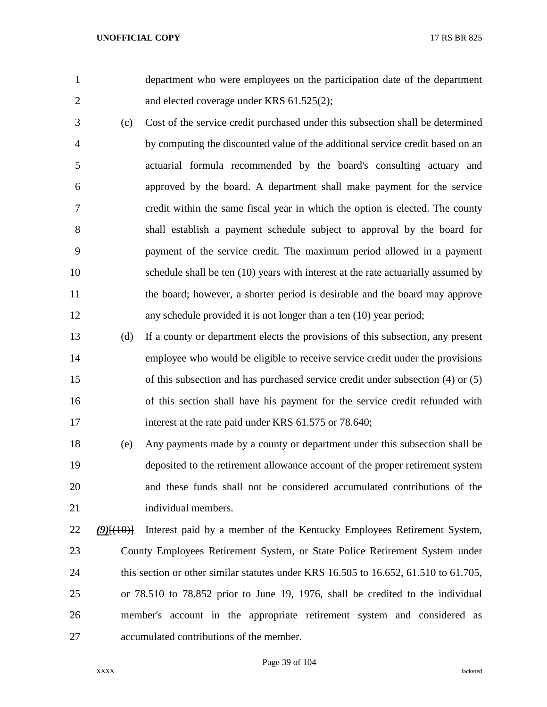department who were employees on the participation date of the department 2 and elected coverage under KRS 61.525(2);

- (c) Cost of the service credit purchased under this subsection shall be determined by computing the discounted value of the additional service credit based on an actuarial formula recommended by the board's consulting actuary and approved by the board. A department shall make payment for the service credit within the same fiscal year in which the option is elected. The county shall establish a payment schedule subject to approval by the board for payment of the service credit. The maximum period allowed in a payment schedule shall be ten (10) years with interest at the rate actuarially assumed by the board; however, a shorter period is desirable and the board may approve any schedule provided it is not longer than a ten (10) year period;
- (d) If a county or department elects the provisions of this subsection, any present employee who would be eligible to receive service credit under the provisions of this subsection and has purchased service credit under subsection (4) or (5) of this section shall have his payment for the service credit refunded with 17 interest at the rate paid under KRS 61.575 or 78.640;

 (e) Any payments made by a county or department under this subsection shall be deposited to the retirement allowance account of the proper retirement system and these funds shall not be considered accumulated contributions of the individual members.

 *(9)*[(10)] Interest paid by a member of the Kentucky Employees Retirement System, County Employees Retirement System, or State Police Retirement System under 24 this section or other similar statutes under KRS 16.505 to 16.652, 61.510 to 61.705, or 78.510 to 78.852 prior to June 19, 1976, shall be credited to the individual member's account in the appropriate retirement system and considered as accumulated contributions of the member.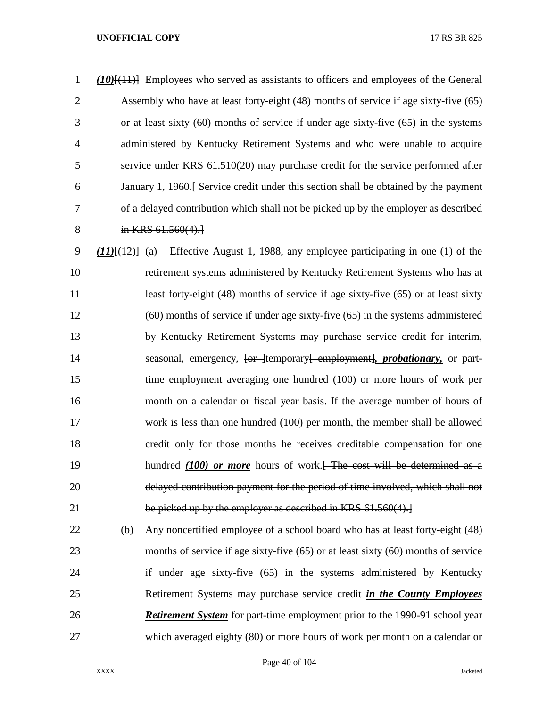*(10)*[(11)] Employees who served as assistants to officers and employees of the General Assembly who have at least forty-eight (48) months of service if age sixty-five (65) or at least sixty (60) months of service if under age sixty-five (65) in the systems administered by Kentucky Retirement Systems and who were unable to acquire service under KRS 61.510(20) may purchase credit for the service performed after January 1, 1960.[ Service credit under this section shall be obtained by the payment of a delayed contribution which shall not be picked up by the employer as described 8 in KRS 61.560(4).]

 *(11)*[(12)] (a) Effective August 1, 1988, any employee participating in one (1) of the retirement systems administered by Kentucky Retirement Systems who has at 11 least forty-eight (48) months of service if age sixty-five (65) or at least sixty (60) months of service if under age sixty-five (65) in the systems administered by Kentucky Retirement Systems may purchase service credit for interim, 14 seasonal, emergency, <del>[or ]</del>temporary<del>[ employment]</del>, *probationary*, or part- time employment averaging one hundred (100) or more hours of work per month on a calendar or fiscal year basis. If the average number of hours of work is less than one hundred (100) per month, the member shall be allowed credit only for those months he receives creditable compensation for one 19 hundred *(100)* or more hours of work.<del>[ The cost will be determined as a</del> delayed contribution payment for the period of time involved, which shall not 21 be picked up by the employer as described in KRS 61.560(4).

 (b) Any noncertified employee of a school board who has at least forty-eight (48) months of service if age sixty-five (65) or at least sixty (60) months of service if under age sixty-five (65) in the systems administered by Kentucky Retirement Systems may purchase service credit *in the County Employees Retirement System* for part-time employment prior to the 1990-91 school year which averaged eighty (80) or more hours of work per month on a calendar or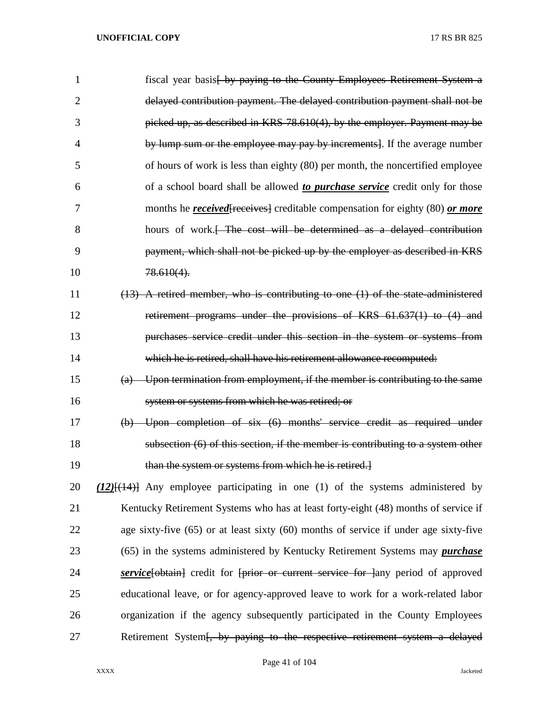| 1  | fiscal year basis by paying to the County Employees Retirement System a                      |
|----|----------------------------------------------------------------------------------------------|
| 2  | delayed contribution payment. The delayed contribution payment shall not be                  |
| 3  | picked up, as described in KRS 78.610(4), by the employer. Payment may be                    |
| 4  | by lump sum or the employee may pay by increments. If the average number                     |
| 5  | of hours of work is less than eighty (80) per month, the noncertified employee               |
| 6  | of a school board shall be allowed to <i>purchase service</i> credit only for those          |
| 7  | months he <i>received</i> [receives] creditable compensation for eighty (80) or more         |
| 8  | hours of work. <del>[ The cost will be determined as a delayed contribution</del>            |
| 9  | payment, which shall not be picked up by the employer as described in KRS                    |
| 10 | $78.610(4)$ .                                                                                |
| 11 | $(13)$ A retired member, who is contributing to one $(1)$ of the state administered          |
| 12 | retirement programs under the provisions of KRS 61.637(1) to (4) and                         |
| 13 | purchases service credit under this section in the system or systems from                    |
| 14 | which he is retired, shall have his retirement allowance recomputed:                         |
| 15 | (a) Upon termination from employment, if the member is contributing to the same              |
| 16 | system or systems from which he was retired; or                                              |
| 17 | (b) Upon completion of six (6) months' service credit as required under                      |
| 18 | subsection (6) of this section, if the member is contributing to a system other              |
| 19 | than the system or systems from which he is retired.]                                        |
| 20 | $(12)$ $\frac{1}{(14)}$ Any employee participating in one (1) of the systems administered by |
| 21 | Kentucky Retirement Systems who has at least forty-eight (48) months of service if           |
| 22 | age sixty-five (65) or at least sixty (60) months of service if under age sixty-five         |
| 23 | (65) in the systems administered by Kentucky Retirement Systems may <i>purchase</i>          |
| 24 | <b>service</b> [bbtain] credit for [prior or current service for ] any period of approved    |
| 25 | educational leave, or for agency-approved leave to work for a work-related labor             |
| 26 | organization if the agency subsequently participated in the County Employees                 |
| 27 | Retirement System [, by paying to the respective retirement system a delayed                 |

# Page 41 of 104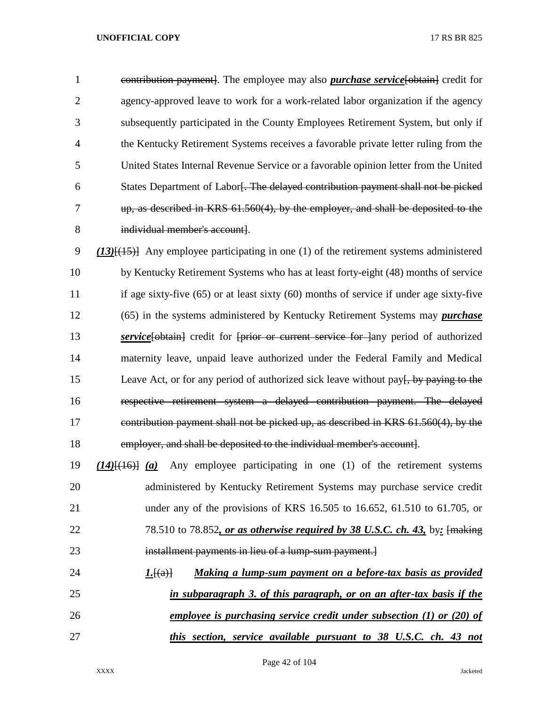contribution payment]. The employee may also *purchase service*[obtain] credit for agency-approved leave to work for a work-related labor organization if the agency subsequently participated in the County Employees Retirement System, but only if the Kentucky Retirement Systems receives a favorable private letter ruling from the United States Internal Revenue Service or a favorable opinion letter from the United States Department of Labor[. The delayed contribution payment shall not be picked up, as described in KRS 61.560(4), by the employer, and shall be deposited to the individual member's account].

 *(13)*[(15)] Any employee participating in one (1) of the retirement systems administered by Kentucky Retirement Systems who has at least forty-eight (48) months of service if age sixty-five (65) or at least sixty (60) months of service if under age sixty-five (65) in the systems administered by Kentucky Retirement Systems may *purchase service*[obtain] credit for [prior or current service for lany period of authorized maternity leave, unpaid leave authorized under the Federal Family and Medical 15 Leave Act, or for any period of authorized sick leave without pay<del>[, by paying to the</del> respective retirement system a delayed contribution payment. The delayed contribution payment shall not be picked up, as described in KRS 61.560(4), by the employer, and shall be deposited to the individual member's account].

 *(14)*[(16)] *(a)* Any employee participating in one (1) of the retirement systems administered by Kentucky Retirement Systems may purchase service credit under any of the provisions of KRS 16.505 to 16.652, 61.510 to 61.705, or 78.510 to 78.852*, or as otherwise required by 38 U.S.C. ch. 43,* by*:* [making installment payments in lieu of a lump-sum payment.]

 *1.*[(a)] *Making a lump-sum payment on a before-tax basis as provided in subparagraph 3. of this paragraph, or on an after-tax basis if the employee is purchasing service credit under subsection (1) or (20) of this section, service available pursuant to 38 U.S.C. ch. 43 not*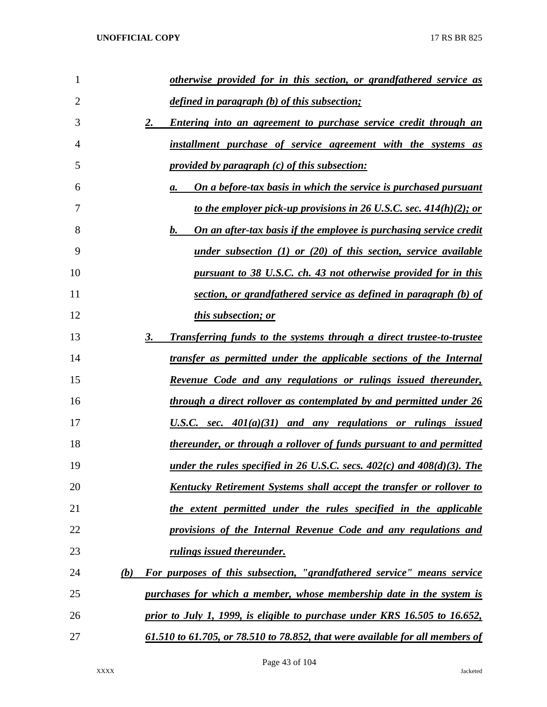| 1  | otherwise provided for in this section, or grandfathered service as                  |
|----|--------------------------------------------------------------------------------------|
| 2  | defined in paragraph (b) of this subsection;                                         |
| 3  | <b>Entering into an agreement to purchase service credit through an</b><br><u>2.</u> |
| 4  | <u>installment purchase of service agreement with the systems as</u>                 |
| 5  | <i><u><b>provided by paragraph (c) of this subsection:</b></u></i>                   |
| 6  | <u>On a before-tax basis in which the service is purchased pursuant</u><br>а.        |
| 7  | to the employer pick-up provisions in 26 U.S.C. sec. 414(h)(2); or                   |
| 8  | b.<br><u>On an after-tax basis if the employee is purchasing service credit</u>      |
| 9  | <u>under subsection (1) or (20) of this section, service available</u>               |
| 10 | pursuant to 38 U.S.C. ch. 43 not otherwise provided for in this                      |
| 11 | section, or grandfathered service as defined in paragraph (b) of                     |
| 12 | <i>this subsection; or</i>                                                           |
| 13 | <b>Transferring funds to the systems through a direct trustee-to-trustee</b><br>3.   |
| 14 | transfer as permitted under the applicable sections of the Internal                  |
| 15 | <u>Revenue Code and any regulations or rulings issued thereunder,</u>                |
| 16 | through a direct rollover as contemplated by and permitted under 26                  |
| 17 | U.S.C. sec. $401(a)(31)$ and any regulations or rulings issued                       |
| 18 | thereunder, or through a rollover of funds pursuant to and permitted                 |
| 19 | under the rules specified in 26 U.S.C. secs. $402(c)$ and $408(d)(3)$ . The          |
| 20 | <u>Kentucky Retirement Systems shall accept the transfer or rollover to</u>          |
| 21 | the extent permitted under the rules specified in the applicable                     |
| 22 | provisions of the Internal Revenue Code and any regulations and                      |
| 23 | <i>rulings issued thereunder.</i>                                                    |
| 24 | For purposes of this subsection, "grandfathered service" means service<br>(b)        |
| 25 | purchases for which a member, whose membership date in the system is                 |
| 26 | prior to July 1, 1999, is eligible to purchase under KRS 16.505 to 16.652,           |
| 27 | 61.510 to 61.705, or 78.510 to 78.852, that were available for all members of        |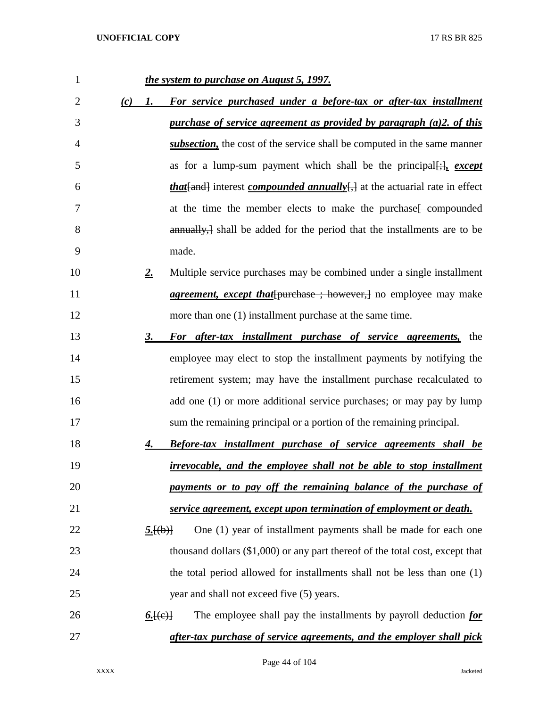| $\mathbf{1}$   |     | the system to purchase on August 5, 1997.                                               |
|----------------|-----|-----------------------------------------------------------------------------------------|
| $\overline{2}$ | (c) | For service purchased under a before-tax or after-tax installment<br>1.                 |
| 3              |     | purchase of service agreement as provided by paragraph $(a)$ 2. of this                 |
| 4              |     | subsection, the cost of the service shall be computed in the same manner                |
| 5              |     | as for a lump-sum payment which shall be the principal $[\cdot]_1$ except               |
| 6              |     | <i>that</i> [and] interest <i>compounded annually</i> , at the actuarial rate in effect |
| 7              |     | at the time the member elects to make the purchase feompounded                          |
| 8              |     | annually, shall be added for the period that the installments are to be                 |
| 9              |     | made.                                                                                   |
| 10             |     | Multiple service purchases may be combined under a single installment<br>$2_{\cdot}$    |
| 11             |     | <i>agreement, except that</i> [purchase ; however,] no employee may make                |
| 12             |     | more than one (1) installment purchase at the same time.                                |
| 13             |     | 3.<br>For after-tax installment purchase of service agreements, the                     |
| 14             |     | employee may elect to stop the installment payments by notifying the                    |
| 15             |     | retirement system; may have the installment purchase recalculated to                    |
| 16             |     | add one (1) or more additional service purchases; or may pay by lump                    |
| 17             |     | sum the remaining principal or a portion of the remaining principal.                    |
| 18             |     | <b>Before-tax installment purchase of service agreements shall be</b><br>4.             |
| 19             |     | <i>irrevocable, and the employee shall not be able to stop installment</i>              |
| 20             |     | payments or to pay off the remaining balance of the purchase of                         |
| 21             |     | service agreement, except upon termination of employment or death.                      |
| 22             |     | One (1) year of installment payments shall be made for each one<br>5.[(b)]              |
| 23             |     | thousand dollars $(\$1,000)$ or any part thereof of the total cost, except that         |
| 24             |     | the total period allowed for installments shall not be less than one (1)                |
| 25             |     | year and shall not exceed five (5) years.                                               |
| 26             |     | The employee shall pay the installments by payroll deduction for<br><u>6. [(e)</u>      |
| 27             |     | after-tax purchase of service agreements, and the employer shall pick                   |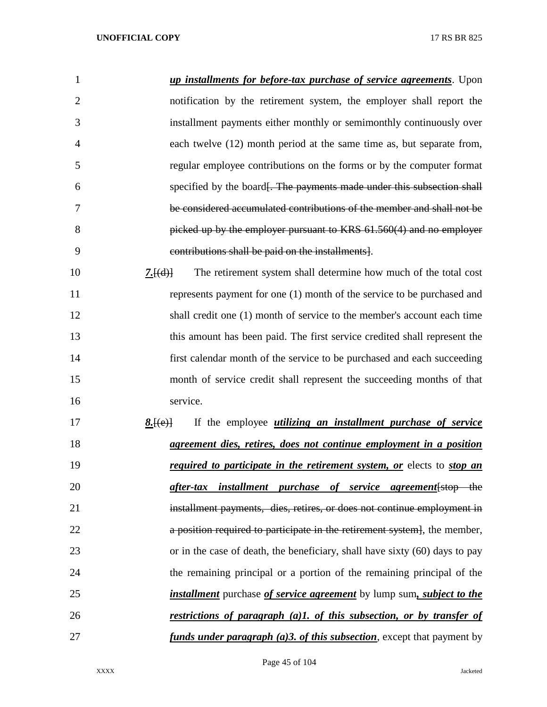| 1              | up installments for before-tax purchase of service agreements. Upon                        |
|----------------|--------------------------------------------------------------------------------------------|
| $\overline{2}$ | notification by the retirement system, the employer shall report the                       |
| 3              | installment payments either monthly or semimonthly continuously over                       |
| 4              | each twelve (12) month period at the same time as, but separate from,                      |
| 5              | regular employee contributions on the forms or by the computer format                      |
| 6              | specified by the board. The payments made under this subsection shall                      |
| 7              | be considered accumulated contributions of the member and shall not be                     |
| 8              | picked up by the employer pursuant to KRS 61.560(4) and no employer                        |
| 9              | contributions shall be paid on the installments.                                           |
| 10             | The retirement system shall determine how much of the total cost<br>7.[(d)]                |
| 11             | represents payment for one (1) month of the service to be purchased and                    |
| 12             | shall credit one (1) month of service to the member's account each time                    |
| 13             | this amount has been paid. The first service credited shall represent the                  |
| 14             | first calendar month of the service to be purchased and each succeeding                    |
| 15             | month of service credit shall represent the succeeding months of that                      |
| 16             | service.                                                                                   |
| 17             | If the employee <i>utilizing an installment purchase of service</i><br>8.[(e)]             |
| 18             | agreement dies, retires, does not continue employment in a position                        |
| 19             | <i>required to participate in the retirement system, or elects to stop an</i>              |
| 20             | after-tax installment purchase of service agreement stop the                               |
| 21             | installment payments, dies, retires, or does not continue employment in                    |
| 22             | a position required to participate in the retirement system. the member,                   |
| 23             | or in the case of death, the beneficiary, shall have sixty (60) days to pay                |
| 24             | the remaining principal or a portion of the remaining principal of the                     |
| 25             | <i>installment</i> purchase <i>of service agreement</i> by lump sum, <i>subject to the</i> |
| 26             | <u>restrictions of paragraph (a)1, of this subsection, or by transfer of</u>               |
| 27             | <i>funds under paragraph (a)3. of this subsection</i> , except that payment by             |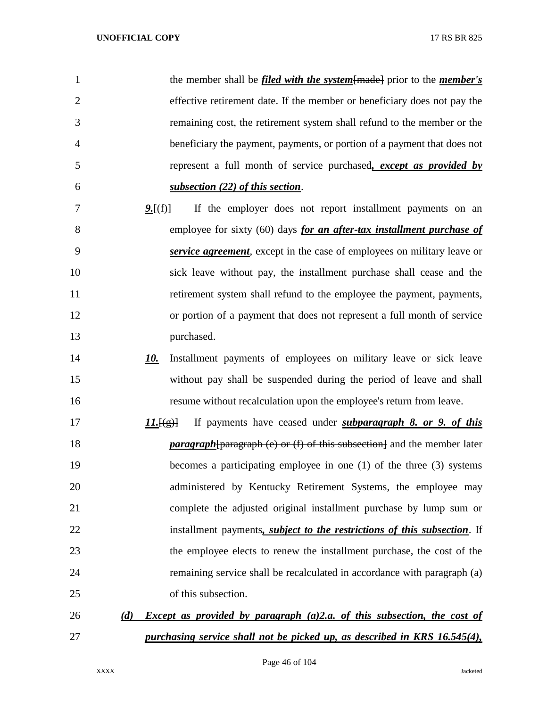| 1              | the member shall be <i>filed with the system</i> [made] prior to the <i>member's</i>               |
|----------------|----------------------------------------------------------------------------------------------------|
| $\overline{2}$ | effective retirement date. If the member or beneficiary does not pay the                           |
| 3              | remaining cost, the retirement system shall refund to the member or the                            |
| $\overline{4}$ | beneficiary the payment, payments, or portion of a payment that does not                           |
| 5              | represent a full month of service purchased, except as provided by                                 |
| 6              | subsection (22) of this section.                                                                   |
| 7              | If the employer does not report installment payments on an<br><u>9. [(f)]</u>                      |
| 8              | employee for sixty (60) days for an after-tax installment purchase of                              |
| 9              | service agreement, except in the case of employees on military leave or                            |
| 10             | sick leave without pay, the installment purchase shall cease and the                               |
| 11             | retirement system shall refund to the employee the payment, payments,                              |
| 12             | or portion of a payment that does not represent a full month of service                            |
| 13             | purchased.                                                                                         |
| 14             | Installment payments of employees on military leave or sick leave<br>10.                           |
| 15             | without pay shall be suspended during the period of leave and shall                                |
| 16             | resume without recalculation upon the employee's return from leave.                                |
| 17             | If payments have ceased under <i>subparagraph 8. or 9. of this</i><br>11.[(g)]                     |
| 18             | <i>paragraph</i> [paragraph (e) or (f) of this subsection] and the member later                    |
| 19             | becomes a participating employee in one $(1)$ of the three $(3)$ systems                           |
| 20             | administered by Kentucky Retirement Systems, the employee may                                      |
| 21             | complete the adjusted original installment purchase by lump sum or                                 |
| 22             | installment payments, <i>subject to the restrictions of this subsection</i> . If                   |
| 23             | the employee elects to renew the installment purchase, the cost of the                             |
| 24             | remaining service shall be recalculated in accordance with paragraph (a)                           |
| 25             | of this subsection.                                                                                |
| 26             | <i>Except as provided by paragraph <math>(a)</math>2.a. of this subsection, the cost of</i><br>(d) |
| 27             | purchasing service shall not be picked up, as described in KRS 16.545(4),                          |

Page 46 of 104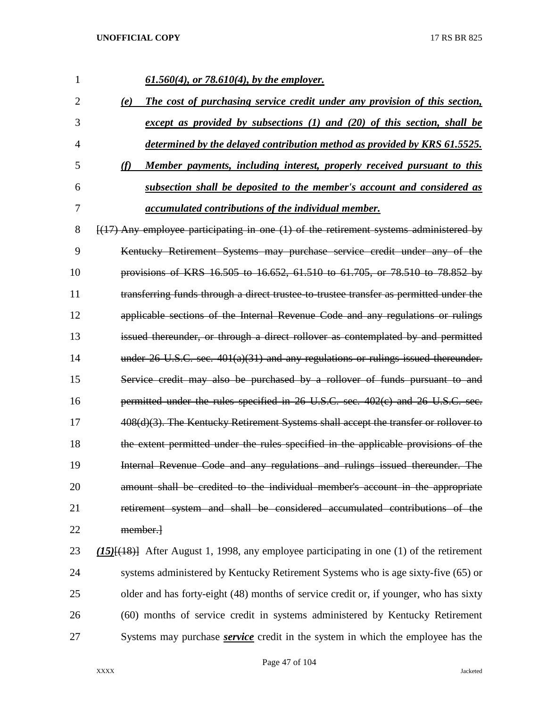| 1              | $61.560(4)$ , or 78.610(4), by the employer.                                                    |
|----------------|-------------------------------------------------------------------------------------------------|
| $\overline{2}$ | The cost of purchasing service credit under any provision of this section,<br>(e)               |
| 3              | except as provided by subsections $(1)$ and $(20)$ of this section, shall be                    |
| 4              | determined by the delayed contribution method as provided by KRS 61.5525.                       |
| 5              | (f)<br>Member payments, including interest, properly received pursuant to this                  |
| 6              | subsection shall be deposited to the member's account and considered as                         |
| 7              | accumulated contributions of the individual member.                                             |
| 8              | $[(17)$ Any employee participating in one $(1)$ of the retirement systems administered by       |
| 9              | Kentucky Retirement Systems may purchase service credit under any of the                        |
| 10             | provisions of KRS 16.505 to 16.652, 61.510 to 61.705, or 78.510 to 78.852 by                    |
| 11             | transferring funds through a direct trustee to trustee transfer as permitted under the          |
| 12             | applicable sections of the Internal Revenue Code and any regulations or rulings                 |
| 13             | issued thereunder, or through a direct rollover as contemplated by and permitted                |
| 14             | under $26$ U.S.C. sec. $401(a)(31)$ and any regulations or rulings issued thereunder.           |
| 15             | Service credit may also be purchased by a rollover of funds pursuant to and                     |
| 16             | permitted under the rules specified in 26 U.S.C. sec. 402(c) and 26 U.S.C. sec.                 |
| 17             | 408(d)(3). The Kentucky Retirement Systems shall accept the transfer or rollover to             |
| 18             | the extent permitted under the rules specified in the applicable provisions of the              |
| 19             | Internal Revenue Code and any regulations and rulings issued thereunder. The                    |
| 20             | amount shall be credited to the individual member's account in the appropriate                  |
| 21             | retirement system and shall be considered accumulated contributions of the                      |
| 22             | member.                                                                                         |
| 23             | $(15)$ [ $(18)$ ] After August 1, 1998, any employee participating in one (1) of the retirement |
| 24             | systems administered by Kentucky Retirement Systems who is age sixty-five (65) or               |
| 25             | older and has forty-eight (48) months of service credit or, if younger, who has sixty           |
| 26             | (60) months of service credit in systems administered by Kentucky Retirement                    |
| 27             | Systems may purchase <b>service</b> credit in the system in which the employee has the          |

Page 47 of 104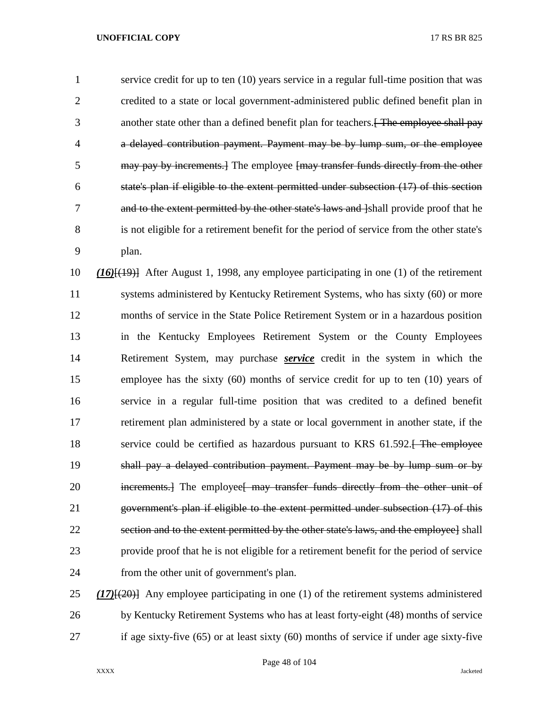service credit for up to ten (10) years service in a regular full-time position that was credited to a state or local government-administered public defined benefit plan in 3 another state other than a defined benefit plan for teachers. The employee shall pay a delayed contribution payment. Payment may be by lump sum, or the employee 5 may pay by increments.] The employee [may transfer funds directly from the other state's plan if eligible to the extent permitted under subsection (17) of this section 7 and to the extent permitted by the other state's laws and [shall provide proof that he is not eligible for a retirement benefit for the period of service from the other state's plan.

 *(16)*[(19)] After August 1, 1998, any employee participating in one (1) of the retirement systems administered by Kentucky Retirement Systems, who has sixty (60) or more months of service in the State Police Retirement System or in a hazardous position in the Kentucky Employees Retirement System or the County Employees Retirement System, may purchase *service* credit in the system in which the employee has the sixty (60) months of service credit for up to ten (10) years of service in a regular full-time position that was credited to a defined benefit retirement plan administered by a state or local government in another state, if the 18 service could be certified as hazardous pursuant to KRS 61.592. The employee shall pay a delayed contribution payment. Payment may be by lump sum or by 20 increments. The employee is may transfer funds directly from the other unit of government's plan if eligible to the extent permitted under subsection (17) of this section and to the extent permitted by the other state's laws, and the employee] shall provide proof that he is not eligible for a retirement benefit for the period of service from the other unit of government's plan.

 *(17)*[(20)] Any employee participating in one (1) of the retirement systems administered by Kentucky Retirement Systems who has at least forty-eight (48) months of service if age sixty-five (65) or at least sixty (60) months of service if under age sixty-five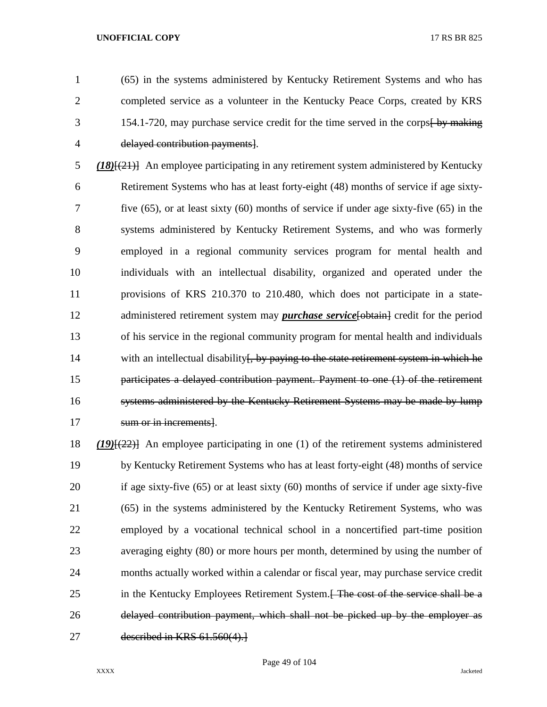(65) in the systems administered by Kentucky Retirement Systems and who has completed service as a volunteer in the Kentucky Peace Corps, created by KRS 3 154.1-720, may purchase service credit for the time served in the corps by making delayed contribution payments].

 *(18)*[(21)] An employee participating in any retirement system administered by Kentucky Retirement Systems who has at least forty-eight (48) months of service if age sixty- five (65), or at least sixty (60) months of service if under age sixty-five (65) in the systems administered by Kentucky Retirement Systems, and who was formerly employed in a regional community services program for mental health and individuals with an intellectual disability, organized and operated under the provisions of KRS 210.370 to 210.480, which does not participate in a state-12 administered retirement system may *purchase service* [-obtain] credit for the period of his service in the regional community program for mental health and individuals 14 with an intellectual disability <del>[, by paying to the state retirement system in which he</del> participates a delayed contribution payment. Payment to one (1) of the retirement systems administered by the Kentucky Retirement Systems may be made by lump 17 sum or in increments.

 *(19)*[(22)] An employee participating in one (1) of the retirement systems administered by Kentucky Retirement Systems who has at least forty-eight (48) months of service if age sixty-five (65) or at least sixty (60) months of service if under age sixty-five (65) in the systems administered by the Kentucky Retirement Systems, who was employed by a vocational technical school in a noncertified part-time position averaging eighty (80) or more hours per month, determined by using the number of months actually worked within a calendar or fiscal year, may purchase service credit 25 in the Kentucky Employees Retirement System. The cost of the service shall be a delayed contribution payment, which shall not be picked up by the employer as described in KRS 61.560(4).]

Page 49 of 104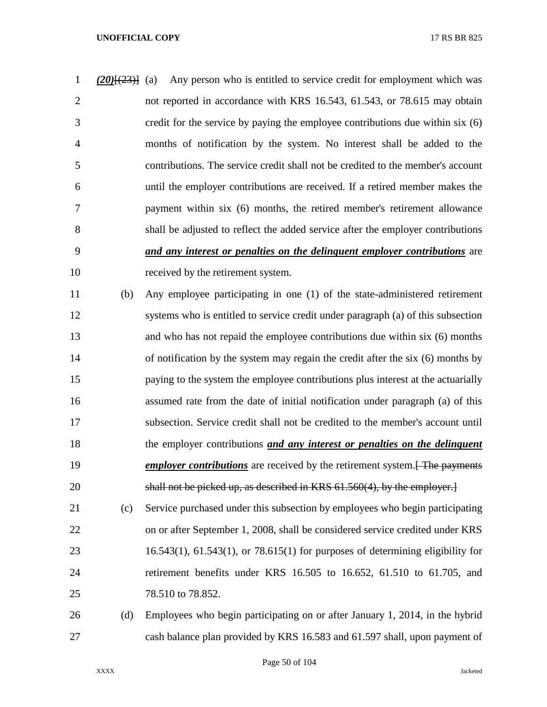*(20)*[(23)] (a) Any person who is entitled to service credit for employment which was not reported in accordance with KRS 16.543, 61.543, or 78.615 may obtain credit for the service by paying the employee contributions due within six (6) months of notification by the system. No interest shall be added to the contributions. The service credit shall not be credited to the member's account until the employer contributions are received. If a retired member makes the payment within six (6) months, the retired member's retirement allowance shall be adjusted to reflect the added service after the employer contributions *and any interest or penalties on the delinquent employer contributions* are received by the retirement system.

 (b) Any employee participating in one (1) of the state-administered retirement systems who is entitled to service credit under paragraph (a) of this subsection and who has not repaid the employee contributions due within six (6) months of notification by the system may regain the credit after the six (6) months by paying to the system the employee contributions plus interest at the actuarially assumed rate from the date of initial notification under paragraph (a) of this subsection. Service credit shall not be credited to the member's account until the employer contributions *and any interest or penalties on the delinquent employer contributions* are received by the retirement system. **The payments** shall not be picked up, as described in KRS 61.560(4), by the employer.]

 (c) Service purchased under this subsection by employees who begin participating on or after September 1, 2008, shall be considered service credited under KRS 16.543(1), 61.543(1), or 78.615(1) for purposes of determining eligibility for retirement benefits under KRS 16.505 to 16.652, 61.510 to 61.705, and 78.510 to 78.852.

 (d) Employees who begin participating on or after January 1, 2014, in the hybrid cash balance plan provided by KRS 16.583 and 61.597 shall, upon payment of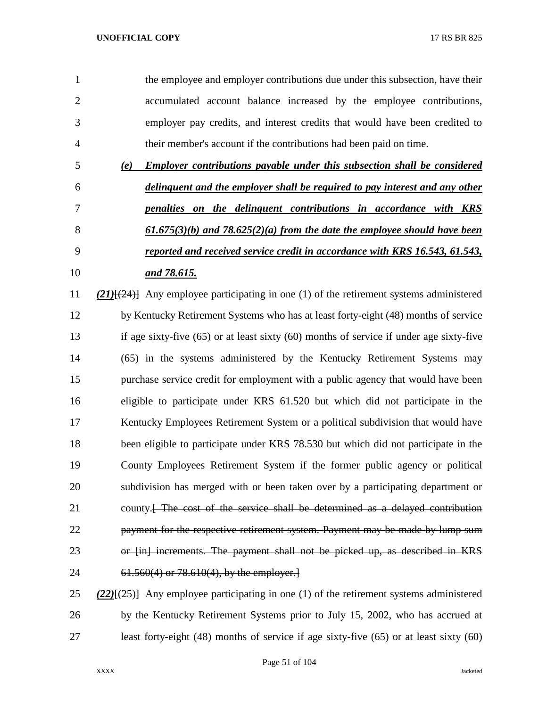| $\mathbf{1}$   |     | the employee and employer contributions due under this subsection, have their   |
|----------------|-----|---------------------------------------------------------------------------------|
| 2              |     | accumulated account balance increased by the employee contributions,            |
| 3              |     | employer pay credits, and interest credits that would have been credited to     |
| $\overline{4}$ |     | their member's account if the contributions had been paid on time.              |
| 5              | (e) | <b>Employer contributions payable under this subsection shall be considered</b> |
| 6              |     | delinguent and the employer shall be required to pay interest and any other     |
| 7              |     | penalties on the delinguent contributions in accordance with KRS                |
| 8              |     | $61.675(3)(b)$ and $78.625(2)(a)$ from the date the employee should have been   |

 *reported and received service credit in accordance with KRS 16.543, 61.543, and 78.615.*

 *(21)*[(24)] Any employee participating in one (1) of the retirement systems administered by Kentucky Retirement Systems who has at least forty-eight (48) months of service if age sixty-five (65) or at least sixty (60) months of service if under age sixty-five (65) in the systems administered by the Kentucky Retirement Systems may purchase service credit for employment with a public agency that would have been eligible to participate under KRS 61.520 but which did not participate in the Kentucky Employees Retirement System or a political subdivision that would have been eligible to participate under KRS 78.530 but which did not participate in the County Employees Retirement System if the former public agency or political subdivision has merged with or been taken over by a participating department or 21 county.<del>[ The cost of the service shall be determined as a delayed contribution</del> **payment for the respective retirement system. Payment may be made by lump sum** 23 or [in] increments. The payment shall not be picked up, as described in KRS 61.560(4) or 78.610(4), by the employer.]

 *(22)*[(25)] Any employee participating in one (1) of the retirement systems administered by the Kentucky Retirement Systems prior to July 15, 2002, who has accrued at least forty-eight (48) months of service if age sixty-five (65) or at least sixty (60)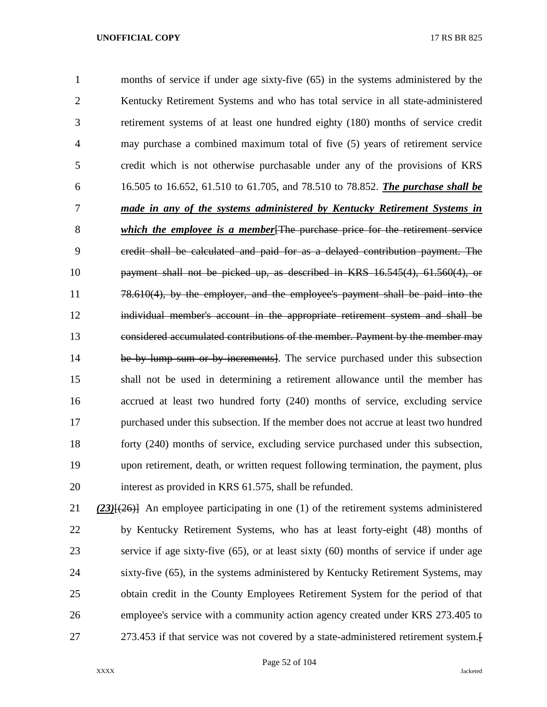months of service if under age sixty-five (65) in the systems administered by the Kentucky Retirement Systems and who has total service in all state-administered retirement systems of at least one hundred eighty (180) months of service credit may purchase a combined maximum total of five (5) years of retirement service credit which is not otherwise purchasable under any of the provisions of KRS 16.505 to 16.652, 61.510 to 61.705, and 78.510 to 78.852. *The purchase shall be made in any of the systems administered by Kentucky Retirement Systems in which the employee is a member*[The purchase price for the retirement service credit shall be calculated and paid for as a delayed contribution payment. The payment shall not be picked up, as described in KRS 16.545(4), 61.560(4), or 11 78.610(4), by the employer, and the employee's payment shall be paid into the individual member's account in the appropriate retirement system and shall be considered accumulated contributions of the member. Payment by the member may 14 be by lump sum or by increments]. The service purchased under this subsection shall not be used in determining a retirement allowance until the member has accrued at least two hundred forty (240) months of service, excluding service purchased under this subsection. If the member does not accrue at least two hundred forty (240) months of service, excluding service purchased under this subsection, upon retirement, death, or written request following termination, the payment, plus interest as provided in KRS 61.575, shall be refunded.

 *(23)*[(26)] An employee participating in one (1) of the retirement systems administered by Kentucky Retirement Systems, who has at least forty-eight (48) months of service if age sixty-five (65), or at least sixty (60) months of service if under age sixty-five (65), in the systems administered by Kentucky Retirement Systems, may obtain credit in the County Employees Retirement System for the period of that employee's service with a community action agency created under KRS 273.405 to 273.453 if that service was not covered by a state-administered retirement system.[

### Page 52 of 104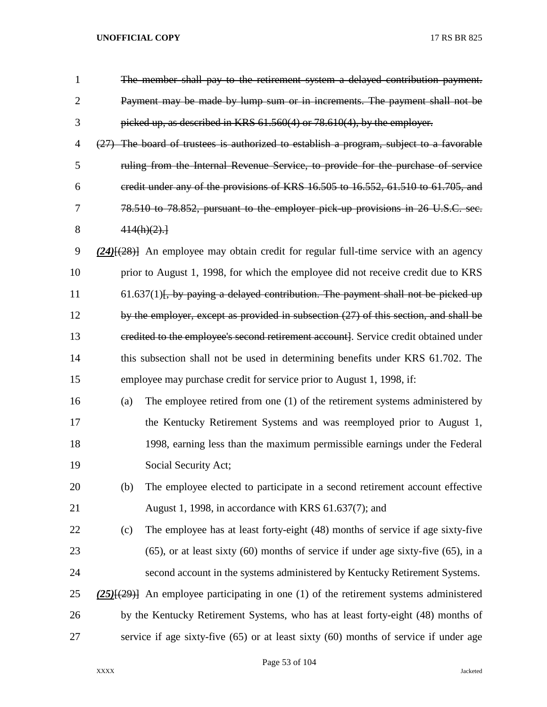| $\mathbf{1}$   |     | The member shall pay to the retirement system a delayed contribution payment.                 |
|----------------|-----|-----------------------------------------------------------------------------------------------|
| $\overline{2}$ |     | Payment may be made by lump sum or in increments. The payment shall not be                    |
| 3              |     | picked up, as described in KRS $61.560(4)$ or $78.610(4)$ , by the employer.                  |
| 4              |     | $(27)$ The board of trustees is authorized to establish a program, subject to a favorable     |
| 5              |     | ruling from the Internal Revenue Service, to provide for the purchase of service              |
| 6              |     | credit under any of the provisions of KRS 16.505 to 16.552, 61.510 to 61.705, and             |
| 7              |     | 78.510 to 78.852, pursuant to the employer pick up provisions in 26 U.S.C. sec.               |
| 8              |     | 414(h)(2).                                                                                    |
| 9              |     | $(24)$ { $(28)$ } An employee may obtain credit for regular full-time service with an agency  |
| 10             |     | prior to August 1, 1998, for which the employee did not receive credit due to KRS             |
| 11             |     | $61.637(1)$ . by paying a delayed contribution. The payment shall not be picked up            |
| 12             |     | by the employer, except as provided in subsection (27) of this section, and shall be          |
| 13             |     | eredited to the employee's second retirement account]. Service credit obtained under          |
| 14             |     | this subsection shall not be used in determining benefits under KRS 61.702. The               |
| 15             |     | employee may purchase credit for service prior to August 1, 1998, if:                         |
| 16             | (a) | The employee retired from one (1) of the retirement systems administered by                   |
| 17             |     | the Kentucky Retirement Systems and was reemployed prior to August 1,                         |
| 18             |     | 1998, earning less than the maximum permissible earnings under the Federal                    |
| 19             |     | Social Security Act;                                                                          |
| 20             | (b) | The employee elected to participate in a second retirement account effective                  |
| 21             |     | August 1, 1998, in accordance with KRS 61.637(7); and                                         |
| 22             | (c) | The employee has at least forty-eight (48) months of service if age sixty-five                |
| 23             |     | $(65)$ , or at least sixty $(60)$ months of service if under age sixty-five $(65)$ , in a     |
| 24             |     | second account in the systems administered by Kentucky Retirement Systems.                    |
| 25             |     | $(25)$ [ $(29)$ ] An employee participating in one (1) of the retirement systems administered |
| 26             |     | by the Kentucky Retirement Systems, who has at least forty-eight (48) months of               |
| 27             |     | service if age sixty-five $(65)$ or at least sixty $(60)$ months of service if under age      |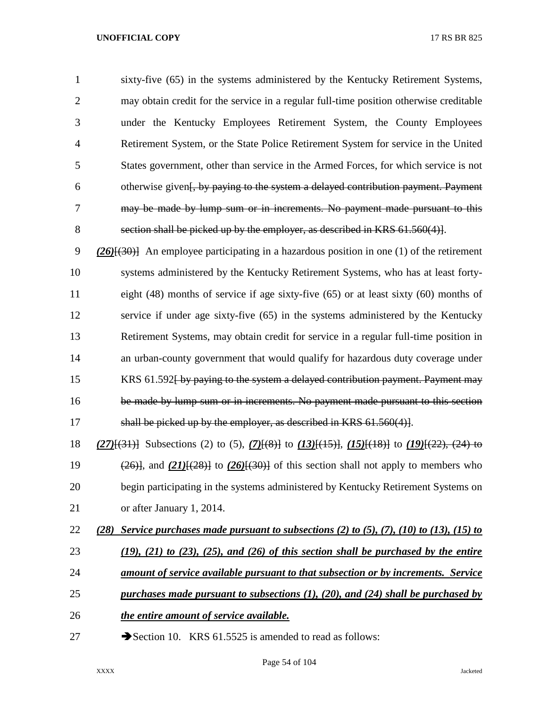sixty-five (65) in the systems administered by the Kentucky Retirement Systems, may obtain credit for the service in a regular full-time position otherwise creditable under the Kentucky Employees Retirement System, the County Employees Retirement System, or the State Police Retirement System for service in the United States government, other than service in the Armed Forces, for which service is not otherwise given[, by paying to the system a delayed contribution payment. Payment may be made by lump sum or in increments. No payment made pursuant to this section shall be picked up by the employer, as described in KRS 61.560(4)].

 *(26)*[(30)] An employee participating in a hazardous position in one (1) of the retirement systems administered by the Kentucky Retirement Systems, who has at least forty- eight (48) months of service if age sixty-five (65) or at least sixty (60) months of service if under age sixty-five (65) in the systems administered by the Kentucky Retirement Systems, may obtain credit for service in a regular full-time position in an urban-county government that would qualify for hazardous duty coverage under 15 KRS 61.592 by paying to the system a delayed contribution payment. Payment may be made by lump sum or in increments. No payment made pursuant to this section 17 shall be picked up by the employer, as described in KRS 61.560(4).

 *(27)*[(31)] Subsections (2) to (5), *(7)*[(8)] to *(13)*[(15)], *(15)*[(18)] to *(19)*[(22), (24) to  $(26)$ , and  $(21)$  $(28)$ } to  $(26)$  $(30)$ } of this section shall not apply to members who begin participating in the systems administered by Kentucky Retirement Systems on or after January 1, 2014.

- *(28) Service purchases made pursuant to subsections (2) to (5), (7), (10) to (13), (15) to*
- *(19), (21) to (23), (25), and (26) of this section shall be purchased by the entire*
- *amount of service available pursuant to that subsection or by increments. Service*
- *purchases made pursuant to subsections (1), (20), and (24) shall be purchased by*
- *the entire amount of service available.*
- 27 Section 10. KRS 61.5525 is amended to read as follows: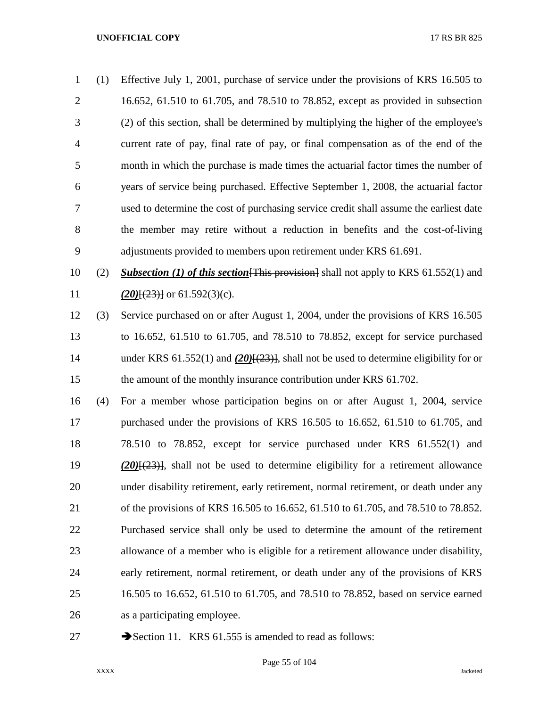(1) Effective July 1, 2001, purchase of service under the provisions of KRS 16.505 to 16.652, 61.510 to 61.705, and 78.510 to 78.852, except as provided in subsection (2) of this section, shall be determined by multiplying the higher of the employee's current rate of pay, final rate of pay, or final compensation as of the end of the month in which the purchase is made times the actuarial factor times the number of years of service being purchased. Effective September 1, 2008, the actuarial factor used to determine the cost of purchasing service credit shall assume the earliest date the member may retire without a reduction in benefits and the cost-of-living adjustments provided to members upon retirement under KRS 61.691. (2) *Subsection (1) of this section*[This provision] shall not apply to KRS 61.552(1) and *(20)* $\{(23)\}$  or 61.592(3)(c). (3) Service purchased on or after August 1, 2004, under the provisions of KRS 16.505

 to 16.652, 61.510 to 61.705, and 78.510 to 78.852, except for service purchased under KRS 61.552(1) and *(20)*[(23)], shall not be used to determine eligibility for or 15 the amount of the monthly insurance contribution under KRS 61.702.

 (4) For a member whose participation begins on or after August 1, 2004, service purchased under the provisions of KRS 16.505 to 16.652, 61.510 to 61.705, and 78.510 to 78.852, except for service purchased under KRS 61.552(1) and *(20)*[(23)], shall not be used to determine eligibility for a retirement allowance under disability retirement, early retirement, normal retirement, or death under any of the provisions of KRS 16.505 to 16.652, 61.510 to 61.705, and 78.510 to 78.852. Purchased service shall only be used to determine the amount of the retirement allowance of a member who is eligible for a retirement allowance under disability, early retirement, normal retirement, or death under any of the provisions of KRS 16.505 to 16.652, 61.510 to 61.705, and 78.510 to 78.852, based on service earned as a participating employee.

- 
- 27 Section 11. KRS 61.555 is amended to read as follows: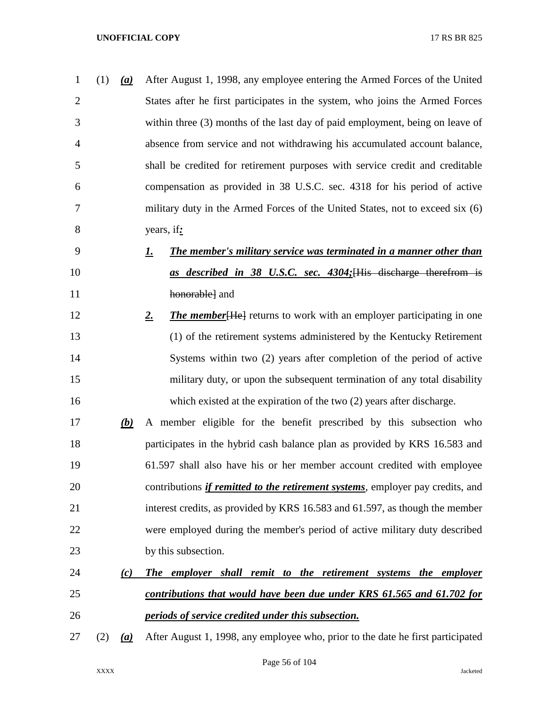| $\mathbf{1}$   | (1)<br>(a) | After August 1, 1998, any employee entering the Armed Forces of the United              |
|----------------|------------|-----------------------------------------------------------------------------------------|
| $\overline{2}$ |            | States after he first participates in the system, who joins the Armed Forces            |
| 3              |            | within three (3) months of the last day of paid employment, being on leave of           |
| $\overline{4}$ |            | absence from service and not withdrawing his accumulated account balance,               |
| 5              |            | shall be credited for retirement purposes with service credit and creditable            |
| 6              |            | compensation as provided in 38 U.S.C. sec. 4318 for his period of active                |
| 7              |            | military duty in the Armed Forces of the United States, not to exceed six (6)           |
| 8              |            | years, if:                                                                              |
| 9              |            | <b>The member's military service was terminated in a manner other than</b><br><u>I.</u> |
| 10             |            | as described in 38 U.S.C. sec. 4304; [His discharge therefrom is                        |
| 11             |            | honorable] and                                                                          |
| 12             |            | <b>The member</b> [He] returns to work with an employer participating in one<br>2.      |
| 13             |            | (1) of the retirement systems administered by the Kentucky Retirement                   |
| 14             |            | Systems within two (2) years after completion of the period of active                   |
| 15             |            | military duty, or upon the subsequent termination of any total disability               |
| 16             |            | which existed at the expiration of the two $(2)$ years after discharge.                 |
| 17             | (b)        | A member eligible for the benefit prescribed by this subsection who                     |
| 18             |            | participates in the hybrid cash balance plan as provided by KRS 16.583 and              |
| 19             |            | 61.597 shall also have his or her member account credited with employee                 |
| 20             |            | contributions <i>if remitted to the retirement systems</i> , employer pay credits, and  |
| 21             |            | interest credits, as provided by KRS 16.583 and 61.597, as though the member            |
| 22             |            | were employed during the member's period of active military duty described              |
| 23             |            | by this subsection.                                                                     |
| 24             | (c)        | The employer shall remit to the retirement systems the employer                         |
| 25             |            | contributions that would have been due under KRS 61.565 and 61.702 for                  |
| 26             |            | periods of service credited under this subsection.                                      |
|                |            |                                                                                         |

(2) *(a)* After August 1, 1998, any employee who, prior to the date he first participated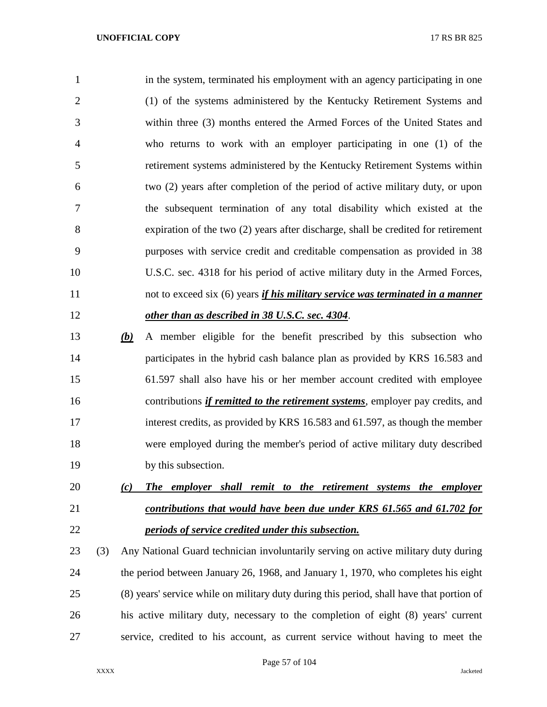in the system, terminated his employment with an agency participating in one (1) of the systems administered by the Kentucky Retirement Systems and within three (3) months entered the Armed Forces of the United States and who returns to work with an employer participating in one (1) of the retirement systems administered by the Kentucky Retirement Systems within two (2) years after completion of the period of active military duty, or upon the subsequent termination of any total disability which existed at the expiration of the two (2) years after discharge, shall be credited for retirement purposes with service credit and creditable compensation as provided in 38 U.S.C. sec. 4318 for his period of active military duty in the Armed Forces, not to exceed six (6) years *if his military service was terminated in a manner other than as described in 38 U.S.C. sec. 4304*.

- *(b)* A member eligible for the benefit prescribed by this subsection who participates in the hybrid cash balance plan as provided by KRS 16.583 and 61.597 shall also have his or her member account credited with employee contributions *if remitted to the retirement systems*, employer pay credits, and interest credits, as provided by KRS 16.583 and 61.597, as though the member were employed during the member's period of active military duty described by this subsection.
- *(c) The employer shall remit to the retirement systems the employer contributions that would have been due under KRS 61.565 and 61.702 for periods of service credited under this subsection.*
- (3) Any National Guard technician involuntarily serving on active military duty during the period between January 26, 1968, and January 1, 1970, who completes his eight (8) years' service while on military duty during this period, shall have that portion of his active military duty, necessary to the completion of eight (8) years' current service, credited to his account, as current service without having to meet the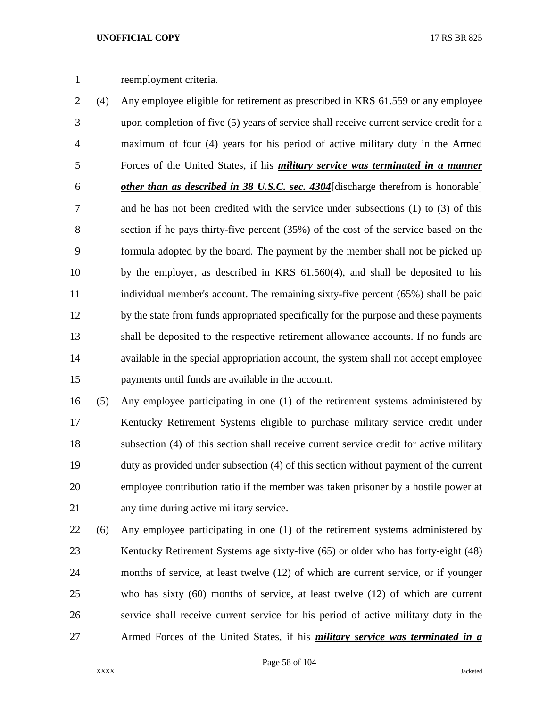# reemployment criteria.

 (4) Any employee eligible for retirement as prescribed in KRS 61.559 or any employee upon completion of five (5) years of service shall receive current service credit for a maximum of four (4) years for his period of active military duty in the Armed Forces of the United States, if his *military service was terminated in a manner other than as described in 38 U.S.C. sec. 4304*[discharge therefrom is honorable] and he has not been credited with the service under subsections (1) to (3) of this section if he pays thirty-five percent (35%) of the cost of the service based on the formula adopted by the board. The payment by the member shall not be picked up by the employer, as described in KRS 61.560(4), and shall be deposited to his individual member's account. The remaining sixty-five percent (65%) shall be paid by the state from funds appropriated specifically for the purpose and these payments shall be deposited to the respective retirement allowance accounts. If no funds are available in the special appropriation account, the system shall not accept employee payments until funds are available in the account.

 (5) Any employee participating in one (1) of the retirement systems administered by Kentucky Retirement Systems eligible to purchase military service credit under subsection (4) of this section shall receive current service credit for active military duty as provided under subsection (4) of this section without payment of the current employee contribution ratio if the member was taken prisoner by a hostile power at any time during active military service.

 (6) Any employee participating in one (1) of the retirement systems administered by Kentucky Retirement Systems age sixty-five (65) or older who has forty-eight (48) months of service, at least twelve (12) of which are current service, or if younger who has sixty (60) months of service, at least twelve (12) of which are current service shall receive current service for his period of active military duty in the Armed Forces of the United States, if his *military service was terminated in a*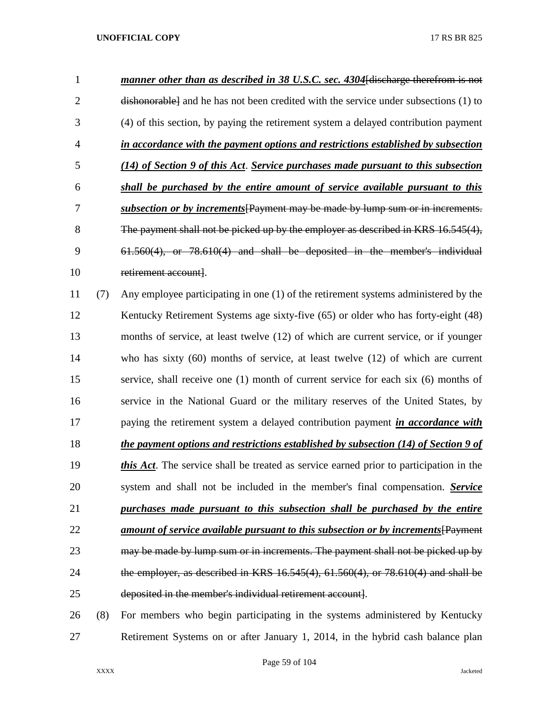| 1              |     | manner other than as described in 38 U.S.C. sec. 4304 [discharge therefrom is not        |
|----------------|-----|------------------------------------------------------------------------------------------|
| $\overline{2}$ |     | dishonorable and he has not been credited with the service under subsections (1) to      |
| 3              |     | (4) of this section, by paying the retirement system a delayed contribution payment      |
| $\overline{4}$ |     | in accordance with the payment options and restrictions established by subsection        |
| 5              |     | (14) of Section 9 of this Act. Service purchases made pursuant to this subsection        |
| 6              |     | shall be purchased by the entire amount of service available pursuant to this            |
| 7              |     | subsection or by increments [Payment may be made by lump sum or in increments.           |
| 8              |     | The payment shall not be picked up by the employer as described in KRS 16.545(4),        |
| 9              |     | $61.560(4)$ , or $78.610(4)$ and shall be deposited in the member's individual           |
| 10             |     | retirement account].                                                                     |
| 11             | (7) | Any employee participating in one (1) of the retirement systems administered by the      |
| 12             |     | Kentucky Retirement Systems age sixty-five (65) or older who has forty-eight (48)        |
| 13             |     | months of service, at least twelve (12) of which are current service, or if younger      |
| 14             |     | who has sixty $(60)$ months of service, at least twelve $(12)$ of which are current      |
| 15             |     | service, shall receive one (1) month of current service for each six (6) months of       |
| 16             |     | service in the National Guard or the military reserves of the United States, by          |
| 17             |     | paying the retirement system a delayed contribution payment <i>in accordance with</i>    |
| 18             |     | the payment options and restrictions established by subsection (14) of Section 9 of      |
| 19             |     | this Act. The service shall be treated as service earned prior to participation in the   |
| 20             |     | system and shall not be included in the member's final compensation. Service             |
| 21             |     | purchases made pursuant to this subsection shall be purchased by the entire              |
| 22             |     | <u>amount of service available pursuant to this subsection or by increments</u> [Payment |
| 23             |     | may be made by lump sum or in increments. The payment shall not be picked up by          |
| 24             |     | the employer, as described in KRS 16.545(4), 61.560(4), or 78.610(4) and shall be        |
| 25             |     | deposited in the member's individual retirement account].                                |
| 26             | (8) | For members who begin participating in the systems administered by Kentucky              |
| 27             |     | Retirement Systems on or after January 1, 2014, in the hybrid cash balance plan          |

Page 59 of 104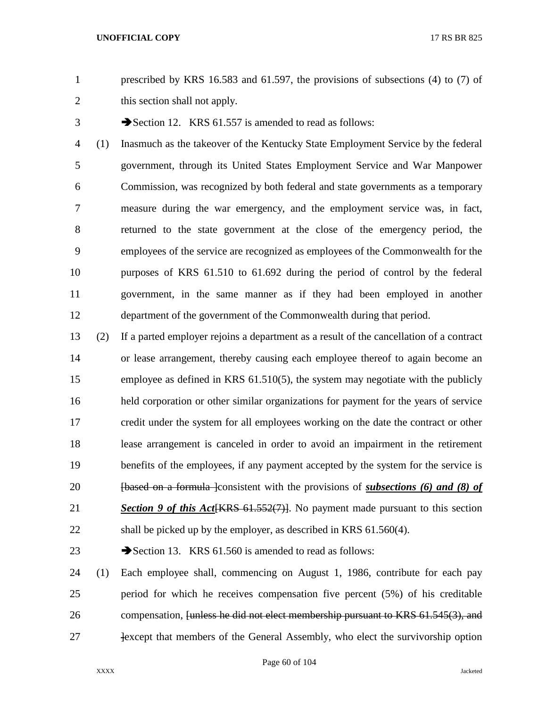prescribed by KRS 16.583 and 61.597, the provisions of subsections (4) to (7) of this section shall not apply.

3 Section 12. KRS 61.557 is amended to read as follows:

 (1) Inasmuch as the takeover of the Kentucky State Employment Service by the federal government, through its United States Employment Service and War Manpower Commission, was recognized by both federal and state governments as a temporary measure during the war emergency, and the employment service was, in fact, returned to the state government at the close of the emergency period, the employees of the service are recognized as employees of the Commonwealth for the purposes of KRS 61.510 to 61.692 during the period of control by the federal government, in the same manner as if they had been employed in another department of the government of the Commonwealth during that period.

- (2) If a parted employer rejoins a department as a result of the cancellation of a contract or lease arrangement, thereby causing each employee thereof to again become an employee as defined in KRS 61.510(5), the system may negotiate with the publicly held corporation or other similar organizations for payment for the years of service credit under the system for all employees working on the date the contract or other lease arrangement is canceled in order to avoid an impairment in the retirement benefits of the employees, if any payment accepted by the system for the service is [based on a formula ]consistent with the provisions of *subsections (6) and (8) of Section 9 of this Act*[KRS 61.552(7)]. No payment made pursuant to this section 22 shall be picked up by the employer, as described in KRS 61.560(4).
- 23 Section 13. KRS 61.560 is amended to read as follows:

 (1) Each employee shall, commencing on August 1, 1986, contribute for each pay period for which he receives compensation five percent (5%) of his creditable 26 compensation, <del>[unless he did not elect membership pursuant to KRS 61.545(3), and</del> **Except that members of the General Assembly, who elect the survivorship option**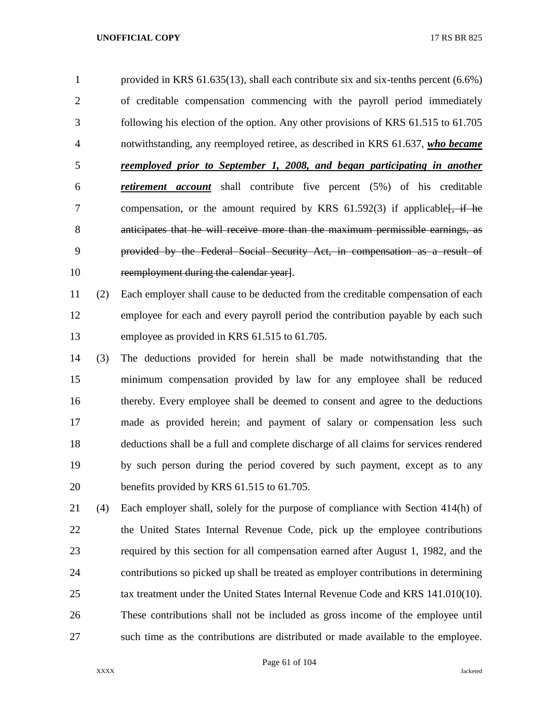provided in KRS 61.635(13), shall each contribute six and six-tenths percent (6.6%) of creditable compensation commencing with the payroll period immediately following his election of the option. Any other provisions of KRS 61.515 to 61.705 notwithstanding, any reemployed retiree, as described in KRS 61.637, *who became reemployed prior to September 1, 2008, and began participating in another retirement account* shall contribute five percent (5%) of his creditable 7 compensation, or the amount required by KRS 61.592(3) if applicable  $\frac{1}{2}$ , if he anticipates that he will receive more than the maximum permissible earnings, as provided by the Federal Social Security Act, in compensation as a result of 10 reemployment during the calendar year].

 (2) Each employer shall cause to be deducted from the creditable compensation of each employee for each and every payroll period the contribution payable by each such employee as provided in KRS 61.515 to 61.705.

- (3) The deductions provided for herein shall be made notwithstanding that the minimum compensation provided by law for any employee shall be reduced thereby. Every employee shall be deemed to consent and agree to the deductions made as provided herein; and payment of salary or compensation less such deductions shall be a full and complete discharge of all claims for services rendered by such person during the period covered by such payment, except as to any benefits provided by KRS 61.515 to 61.705.
- (4) Each employer shall, solely for the purpose of compliance with Section 414(h) of the United States Internal Revenue Code, pick up the employee contributions required by this section for all compensation earned after August 1, 1982, and the contributions so picked up shall be treated as employer contributions in determining tax treatment under the United States Internal Revenue Code and KRS 141.010(10). These contributions shall not be included as gross income of the employee until such time as the contributions are distributed or made available to the employee.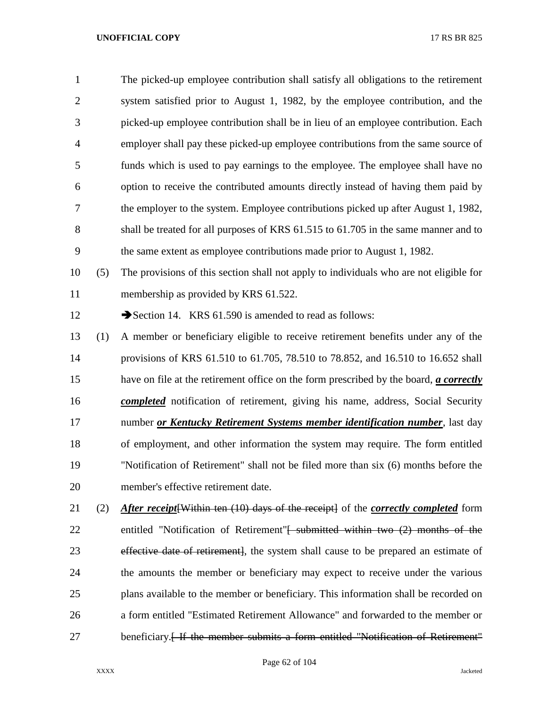The picked-up employee contribution shall satisfy all obligations to the retirement system satisfied prior to August 1, 1982, by the employee contribution, and the picked-up employee contribution shall be in lieu of an employee contribution. Each employer shall pay these picked-up employee contributions from the same source of funds which is used to pay earnings to the employee. The employee shall have no option to receive the contributed amounts directly instead of having them paid by the employer to the system. Employee contributions picked up after August 1, 1982, shall be treated for all purposes of KRS 61.515 to 61.705 in the same manner and to the same extent as employee contributions made prior to August 1, 1982.

 (5) The provisions of this section shall not apply to individuals who are not eligible for membership as provided by KRS 61.522.

12 Section 14. KRS 61.590 is amended to read as follows:

 (1) A member or beneficiary eligible to receive retirement benefits under any of the provisions of KRS 61.510 to 61.705, 78.510 to 78.852, and 16.510 to 16.652 shall have on file at the retirement office on the form prescribed by the board, *a correctly completed* notification of retirement, giving his name, address, Social Security number *or Kentucky Retirement Systems member identification number*, last day of employment, and other information the system may require. The form entitled "Notification of Retirement" shall not be filed more than six (6) months before the member's effective retirement date.

 (2) *After receipt*[Within ten (10) days of the receipt] of the *correctly completed* form 22 entitled "Notification of Retirement"<del>[ submitted within two (2) months of the</del> effective date of retirement], the system shall cause to be prepared an estimate of the amounts the member or beneficiary may expect to receive under the various plans available to the member or beneficiary. This information shall be recorded on a form entitled "Estimated Retirement Allowance" and forwarded to the member or 27 beneficiary.<del>[ If the member submits a form entitled "Notification of Retirement"</del>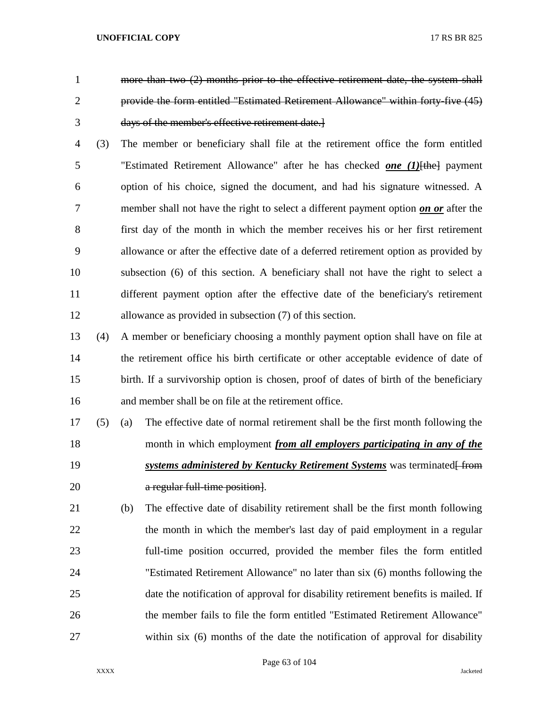- 
- 
- more than two (2) months prior to the effective retirement date, the system shall provide the form entitled "Estimated Retirement Allowance" within forty-five (45) days of the member's effective retirement date.]
- (3) The member or beneficiary shall file at the retirement office the form entitled "Estimated Retirement Allowance" after he has checked *one (1)*[the] payment option of his choice, signed the document, and had his signature witnessed. A member shall not have the right to select a different payment option *on or* after the first day of the month in which the member receives his or her first retirement allowance or after the effective date of a deferred retirement option as provided by subsection (6) of this section. A beneficiary shall not have the right to select a different payment option after the effective date of the beneficiary's retirement allowance as provided in subsection (7) of this section.
- (4) A member or beneficiary choosing a monthly payment option shall have on file at the retirement office his birth certificate or other acceptable evidence of date of birth. If a survivorship option is chosen, proof of dates of birth of the beneficiary and member shall be on file at the retirement office.
- (5) (a) The effective date of normal retirement shall be the first month following the month in which employment *from all employers participating in any of the systems administered by Kentucky Retirement Systems* was terminated from **a regular full-time position**.
- (b) The effective date of disability retirement shall be the first month following 22 the month in which the member's last day of paid employment in a regular full-time position occurred, provided the member files the form entitled "Estimated Retirement Allowance" no later than six (6) months following the date the notification of approval for disability retirement benefits is mailed. If the member fails to file the form entitled "Estimated Retirement Allowance" within six (6) months of the date the notification of approval for disability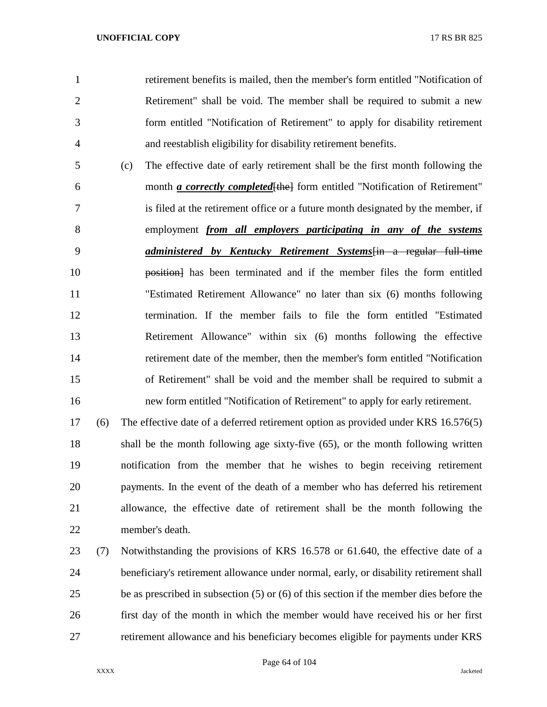retirement benefits is mailed, then the member's form entitled "Notification of Retirement" shall be void. The member shall be required to submit a new form entitled "Notification of Retirement" to apply for disability retirement and reestablish eligibility for disability retirement benefits.

 (c) The effective date of early retirement shall be the first month following the month *a correctly completed*[the] form entitled "Notification of Retirement" is filed at the retirement office or a future month designated by the member, if employment *from all employers participating in any of the systems administered by Kentucky Retirement Systems*[in a regular full-time position] has been terminated and if the member files the form entitled "Estimated Retirement Allowance" no later than six (6) months following termination. If the member fails to file the form entitled "Estimated Retirement Allowance" within six (6) months following the effective retirement date of the member, then the member's form entitled "Notification of Retirement" shall be void and the member shall be required to submit a new form entitled "Notification of Retirement" to apply for early retirement.

 (6) The effective date of a deferred retirement option as provided under KRS 16.576(5) shall be the month following age sixty-five (65), or the month following written notification from the member that he wishes to begin receiving retirement payments. In the event of the death of a member who has deferred his retirement allowance, the effective date of retirement shall be the month following the member's death.

 (7) Notwithstanding the provisions of KRS 16.578 or 61.640, the effective date of a beneficiary's retirement allowance under normal, early, or disability retirement shall be as prescribed in subsection (5) or (6) of this section if the member dies before the first day of the month in which the member would have received his or her first retirement allowance and his beneficiary becomes eligible for payments under KRS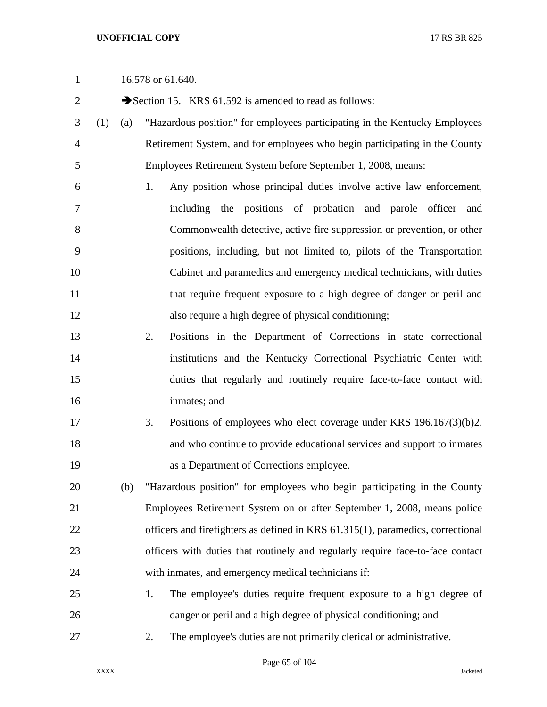2 Section 15. KRS 61.592 is amended to read as follows:

- (1) (a) "Hazardous position" for employees participating in the Kentucky Employees Retirement System, and for employees who begin participating in the County Employees Retirement System before September 1, 2008, means:
- 1. Any position whose principal duties involve active law enforcement, including the positions of probation and parole officer and Commonwealth detective, active fire suppression or prevention, or other positions, including, but not limited to, pilots of the Transportation Cabinet and paramedics and emergency medical technicians, with duties 11 that require frequent exposure to a high degree of danger or peril and also require a high degree of physical conditioning;
- 2. Positions in the Department of Corrections in state correctional institutions and the Kentucky Correctional Psychiatric Center with duties that regularly and routinely require face-to-face contact with inmates; and
- 3. Positions of employees who elect coverage under KRS 196.167(3)(b)2. and who continue to provide educational services and support to inmates as a Department of Corrections employee.
- (b) "Hazardous position" for employees who begin participating in the County Employees Retirement System on or after September 1, 2008, means police officers and firefighters as defined in KRS 61.315(1), paramedics, correctional officers with duties that routinely and regularly require face-to-face contact with inmates, and emergency medical technicians if:
- 1. The employee's duties require frequent exposure to a high degree of danger or peril and a high degree of physical conditioning; and
- 2. The employee's duties are not primarily clerical or administrative.

Page 65 of 104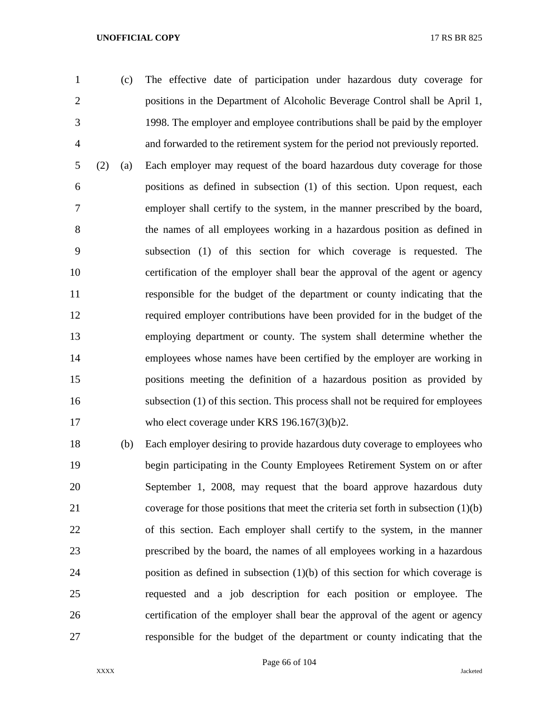(c) The effective date of participation under hazardous duty coverage for positions in the Department of Alcoholic Beverage Control shall be April 1, 1998. The employer and employee contributions shall be paid by the employer and forwarded to the retirement system for the period not previously reported. (2) (a) Each employer may request of the board hazardous duty coverage for those positions as defined in subsection (1) of this section. Upon request, each employer shall certify to the system, in the manner prescribed by the board, the names of all employees working in a hazardous position as defined in subsection (1) of this section for which coverage is requested. The certification of the employer shall bear the approval of the agent or agency responsible for the budget of the department or county indicating that the required employer contributions have been provided for in the budget of the employing department or county. The system shall determine whether the employees whose names have been certified by the employer are working in positions meeting the definition of a hazardous position as provided by subsection (1) of this section. This process shall not be required for employees 17 who elect coverage under KRS 196.167(3)(b)2.

 (b) Each employer desiring to provide hazardous duty coverage to employees who begin participating in the County Employees Retirement System on or after September 1, 2008, may request that the board approve hazardous duty coverage for those positions that meet the criteria set forth in subsection (1)(b) of this section. Each employer shall certify to the system, in the manner prescribed by the board, the names of all employees working in a hazardous position as defined in subsection (1)(b) of this section for which coverage is requested and a job description for each position or employee. The certification of the employer shall bear the approval of the agent or agency responsible for the budget of the department or county indicating that the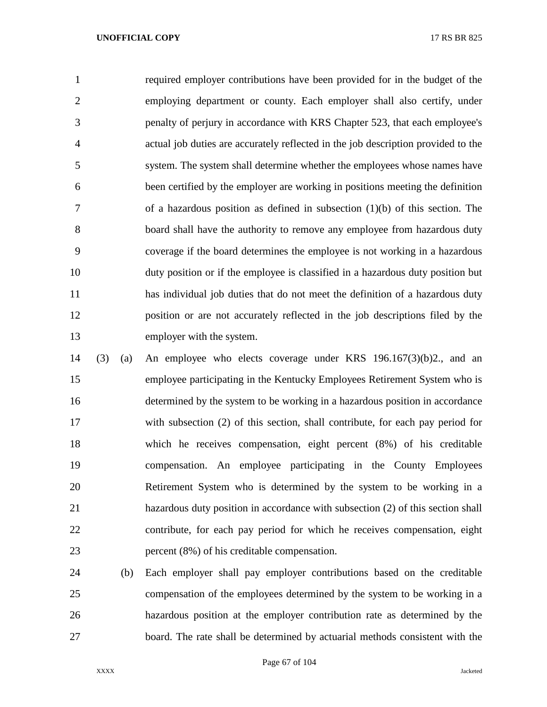required employer contributions have been provided for in the budget of the employing department or county. Each employer shall also certify, under penalty of perjury in accordance with KRS Chapter 523, that each employee's actual job duties are accurately reflected in the job description provided to the system. The system shall determine whether the employees whose names have been certified by the employer are working in positions meeting the definition of a hazardous position as defined in subsection (1)(b) of this section. The board shall have the authority to remove any employee from hazardous duty coverage if the board determines the employee is not working in a hazardous duty position or if the employee is classified in a hazardous duty position but has individual job duties that do not meet the definition of a hazardous duty position or are not accurately reflected in the job descriptions filed by the employer with the system.

- (3) (a) An employee who elects coverage under KRS 196.167(3)(b)2., and an employee participating in the Kentucky Employees Retirement System who is determined by the system to be working in a hazardous position in accordance with subsection (2) of this section, shall contribute, for each pay period for which he receives compensation, eight percent (8%) of his creditable compensation. An employee participating in the County Employees Retirement System who is determined by the system to be working in a hazardous duty position in accordance with subsection (2) of this section shall contribute, for each pay period for which he receives compensation, eight percent (8%) of his creditable compensation.
- (b) Each employer shall pay employer contributions based on the creditable compensation of the employees determined by the system to be working in a hazardous position at the employer contribution rate as determined by the board. The rate shall be determined by actuarial methods consistent with the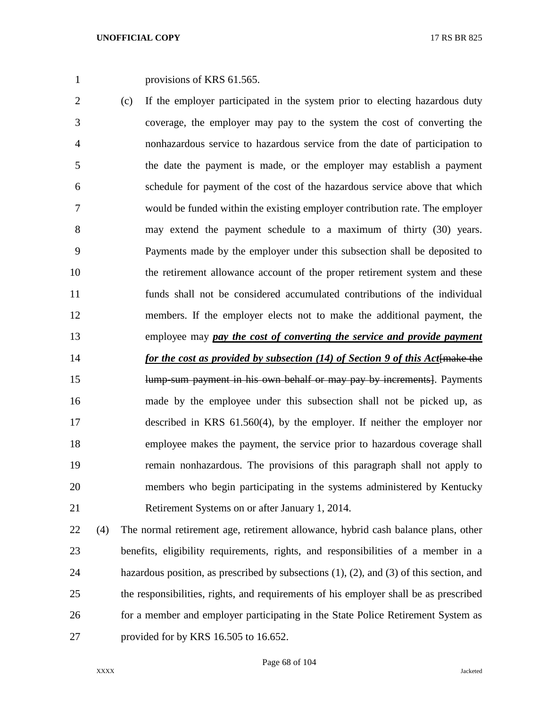1 provisions of KRS 61.565.

 (c) If the employer participated in the system prior to electing hazardous duty coverage, the employer may pay to the system the cost of converting the nonhazardous service to hazardous service from the date of participation to the date the payment is made, or the employer may establish a payment schedule for payment of the cost of the hazardous service above that which would be funded within the existing employer contribution rate. The employer may extend the payment schedule to a maximum of thirty (30) years. Payments made by the employer under this subsection shall be deposited to the retirement allowance account of the proper retirement system and these funds shall not be considered accumulated contributions of the individual members. If the employer elects not to make the additional payment, the employee may *pay the cost of converting the service and provide payment for the cost as provided by subsection (14) of Section 9 of this Act* **{make the lump-sum-payment in his own behalf or may pay by increments**. Payments made by the employee under this subsection shall not be picked up, as described in KRS 61.560(4), by the employer. If neither the employer nor employee makes the payment, the service prior to hazardous coverage shall remain nonhazardous. The provisions of this paragraph shall not apply to members who begin participating in the systems administered by Kentucky Retirement Systems on or after January 1, 2014.

 (4) The normal retirement age, retirement allowance, hybrid cash balance plans, other benefits, eligibility requirements, rights, and responsibilities of a member in a hazardous position, as prescribed by subsections (1), (2), and (3) of this section, and the responsibilities, rights, and requirements of his employer shall be as prescribed for a member and employer participating in the State Police Retirement System as provided for by KRS 16.505 to 16.652.

Page 68 of 104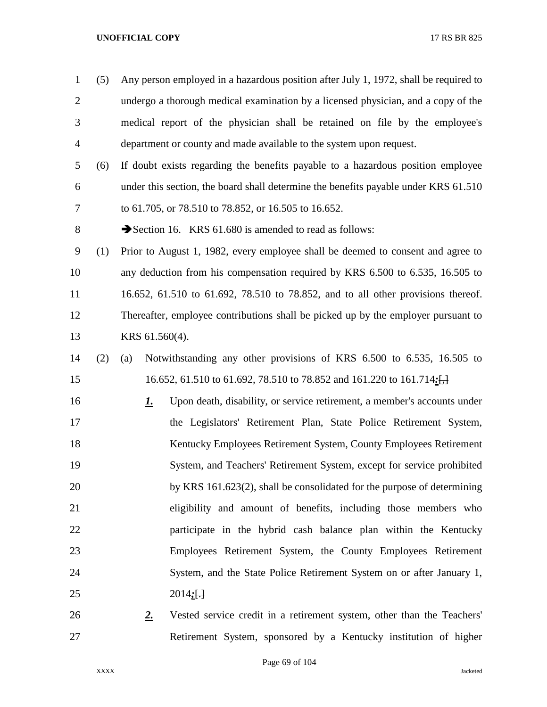| $\mathbf{1}$   | (5) | Any person employed in a hazardous position after July 1, 1972, shall be required to  |
|----------------|-----|---------------------------------------------------------------------------------------|
| $\overline{2}$ |     | undergo a thorough medical examination by a licensed physician, and a copy of the     |
| 3              |     | medical report of the physician shall be retained on file by the employee's           |
| $\overline{4}$ |     | department or county and made available to the system upon request.                   |
| 5              | (6) | If doubt exists regarding the benefits payable to a hazardous position employee       |
| 6              |     | under this section, the board shall determine the benefits payable under KRS 61.510   |
| 7              |     | to 61.705, or 78.510 to 78.852, or 16.505 to 16.652.                                  |
| $8\,$          |     | Section 16. KRS 61.680 is amended to read as follows:                                 |
| 9              | (1) | Prior to August 1, 1982, every employee shall be deemed to consent and agree to       |
| 10             |     | any deduction from his compensation required by KRS 6.500 to 6.535, 16.505 to         |
| 11             |     | 16.652, 61.510 to 61.692, 78.510 to 78.852, and to all other provisions thereof.      |
| 12             |     | Thereafter, employee contributions shall be picked up by the employer pursuant to     |
| 13             |     | KRS 61.560(4).                                                                        |
| 14             | (2) | Notwithstanding any other provisions of KRS 6.500 to 6.535, 16.505 to<br>(a)          |
| 15             |     | 16.652, 61.510 to 61.692, 78.510 to 78.852 and 161.220 to 161.714: $\frac{1}{1}$      |
| 16             |     | Upon death, disability, or service retirement, a member's accounts under<br><u>1.</u> |
| 17             |     | the Legislators' Retirement Plan, State Police Retirement System,                     |
| 18             |     | Kentucky Employees Retirement System, County Employees Retirement                     |
| 19             |     | System, and Teachers' Retirement System, except for service prohibited                |
| 20             |     | by KRS 161.623(2), shall be consolidated for the purpose of determining               |
| 21             |     | eligibility and amount of benefits, including those members who                       |
| 22             |     | participate in the hybrid cash balance plan within the Kentucky                       |
| 23             |     | Employees Retirement System, the County Employees Retirement                          |
| 24             |     | System, and the State Police Retirement System on or after January 1,                 |
| 25             |     | 2014; H                                                                               |
| 26             |     | 2.<br>Vested service credit in a retirement system, other than the Teachers'          |
| 27             |     | Retirement System, sponsored by a Kentucky institution of higher                      |

Page 69 of 104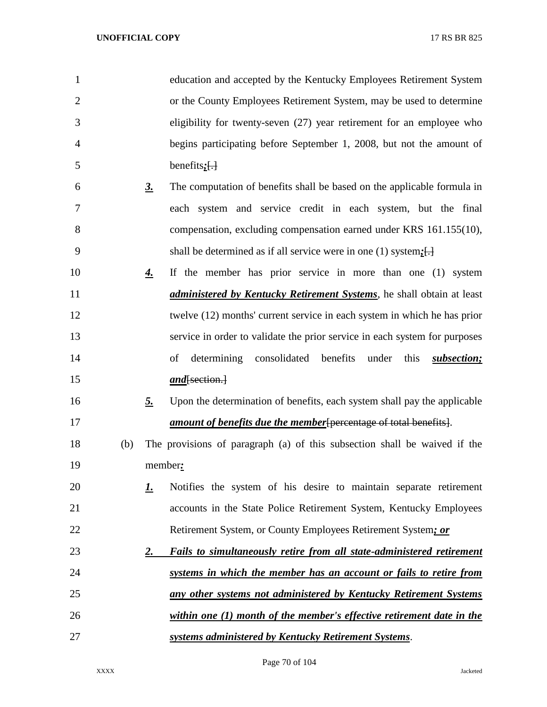| $\mathbf{1}$   |     |               | education and accepted by the Kentucky Employees Retirement System                     |
|----------------|-----|---------------|----------------------------------------------------------------------------------------|
| $\overline{2}$ |     |               | or the County Employees Retirement System, may be used to determine                    |
| 3              |     |               | eligibility for twenty-seven (27) year retirement for an employee who                  |
| 4              |     |               | begins participating before September 1, 2008, but not the amount of                   |
| 5              |     |               | benefits $:\fbox{}$                                                                    |
| 6              |     | $\frac{3}{2}$ | The computation of benefits shall be based on the applicable formula in                |
| 7              |     |               | each system and service credit in each system, but the final                           |
| 8              |     |               | compensation, excluding compensation earned under KRS 161.155(10),                     |
| 9              |     |               | shall be determined as if all service were in one (1) system; $\left\{ \cdot \right\}$ |
| 10             |     | <u>4.</u>     | If the member has prior service in more than one (1) system                            |
| 11             |     |               | <i>administered by Kentucky Retirement Systems</i> , he shall obtain at least          |
| 12             |     |               | twelve (12) months' current service in each system in which he has prior               |
| 13             |     |               | service in order to validate the prior service in each system for purposes             |
| 14             |     |               | consolidated<br>benefits<br>under<br>of<br>determining<br>this<br>subsection;          |
| 15             |     |               | $and$ [section.]                                                                       |
| 16             |     | <u>5.</u>     | Upon the determination of benefits, each system shall pay the applicable               |
| 17             |     |               | <i>amount of benefits due the member</i> [percentage of total benefits].               |
| 18             | (b) |               | The provisions of paragraph (a) of this subsection shall be waived if the              |
| 19             |     |               | member:                                                                                |
| 20             |     | <u>L.</u>     | Notifies the system of his desire to maintain separate retirement                      |
| 21             |     |               | accounts in the State Police Retirement System, Kentucky Employees                     |
| 22             |     |               | Retirement System, or County Employees Retirement System; or                           |
| 23             |     | <u>2.</u>     | Fails to simultaneously retire from all state-administered retirement                  |
| 24             |     |               | systems in which the member has an account or fails to retire from                     |
| 25             |     |               | any other systems not administered by Kentucky Retirement Systems                      |
| 26             |     |               | within one (1) month of the member's effective retirement date in the                  |
| 27             |     |               | systems administered by Kentucky Retirement Systems.                                   |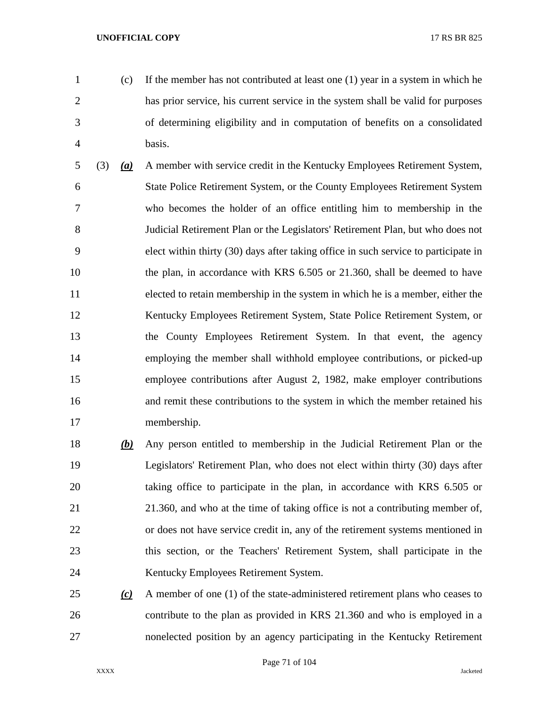- 
- (c) If the member has not contributed at least one (1) year in a system in which he has prior service, his current service in the system shall be valid for purposes of determining eligibility and in computation of benefits on a consolidated basis.
- (3) *(a)* A member with service credit in the Kentucky Employees Retirement System, State Police Retirement System, or the County Employees Retirement System who becomes the holder of an office entitling him to membership in the Judicial Retirement Plan or the Legislators' Retirement Plan, but who does not elect within thirty (30) days after taking office in such service to participate in 10 the plan, in accordance with KRS 6.505 or 21.360, shall be deemed to have elected to retain membership in the system in which he is a member, either the Kentucky Employees Retirement System, State Police Retirement System, or the County Employees Retirement System. In that event, the agency employing the member shall withhold employee contributions, or picked-up employee contributions after August 2, 1982, make employer contributions and remit these contributions to the system in which the member retained his membership.
- *(b)* Any person entitled to membership in the Judicial Retirement Plan or the Legislators' Retirement Plan, who does not elect within thirty (30) days after taking office to participate in the plan, in accordance with KRS 6.505 or 21.360, and who at the time of taking office is not a contributing member of, or does not have service credit in, any of the retirement systems mentioned in this section, or the Teachers' Retirement System, shall participate in the Kentucky Employees Retirement System.
- *(c)* A member of one (1) of the state-administered retirement plans who ceases to contribute to the plan as provided in KRS 21.360 and who is employed in a nonelected position by an agency participating in the Kentucky Retirement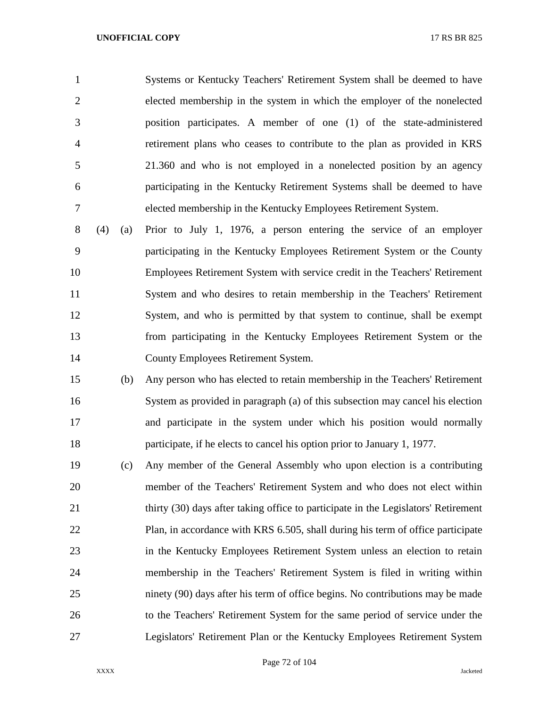Systems or Kentucky Teachers' Retirement System shall be deemed to have elected membership in the system in which the employer of the nonelected position participates. A member of one (1) of the state-administered retirement plans who ceases to contribute to the plan as provided in KRS 21.360 and who is not employed in a nonelected position by an agency participating in the Kentucky Retirement Systems shall be deemed to have elected membership in the Kentucky Employees Retirement System.

 (4) (a) Prior to July 1, 1976, a person entering the service of an employer participating in the Kentucky Employees Retirement System or the County Employees Retirement System with service credit in the Teachers' Retirement System and who desires to retain membership in the Teachers' Retirement System, and who is permitted by that system to continue, shall be exempt from participating in the Kentucky Employees Retirement System or the County Employees Retirement System.

 (b) Any person who has elected to retain membership in the Teachers' Retirement System as provided in paragraph (a) of this subsection may cancel his election and participate in the system under which his position would normally 18 participate, if he elects to cancel his option prior to January 1, 1977.

 (c) Any member of the General Assembly who upon election is a contributing member of the Teachers' Retirement System and who does not elect within thirty (30) days after taking office to participate in the Legislators' Retirement Plan, in accordance with KRS 6.505, shall during his term of office participate in the Kentucky Employees Retirement System unless an election to retain membership in the Teachers' Retirement System is filed in writing within ninety (90) days after his term of office begins. No contributions may be made to the Teachers' Retirement System for the same period of service under the Legislators' Retirement Plan or the Kentucky Employees Retirement System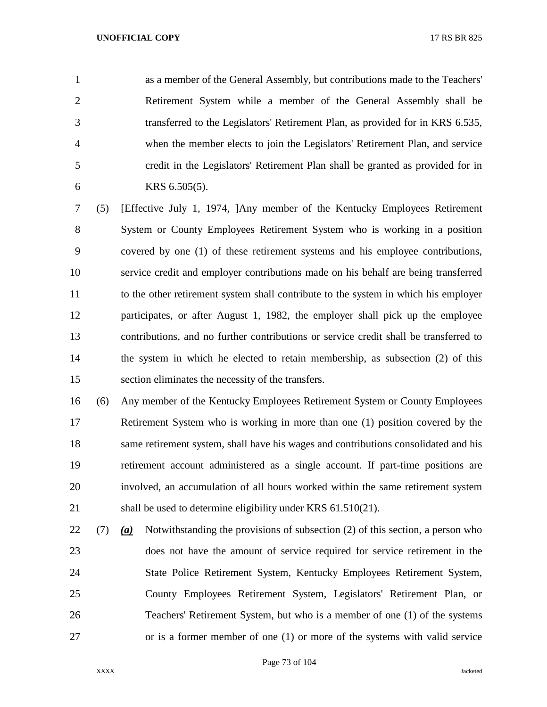as a member of the General Assembly, but contributions made to the Teachers' Retirement System while a member of the General Assembly shall be transferred to the Legislators' Retirement Plan, as provided for in KRS 6.535, when the member elects to join the Legislators' Retirement Plan, and service credit in the Legislators' Retirement Plan shall be granted as provided for in KRS 6.505(5).

 (5) [Effective July 1, 1974, ]Any member of the Kentucky Employees Retirement System or County Employees Retirement System who is working in a position covered by one (1) of these retirement systems and his employee contributions, service credit and employer contributions made on his behalf are being transferred to the other retirement system shall contribute to the system in which his employer participates, or after August 1, 1982, the employer shall pick up the employee contributions, and no further contributions or service credit shall be transferred to the system in which he elected to retain membership, as subsection (2) of this section eliminates the necessity of the transfers.

 (6) Any member of the Kentucky Employees Retirement System or County Employees Retirement System who is working in more than one (1) position covered by the same retirement system, shall have his wages and contributions consolidated and his retirement account administered as a single account. If part-time positions are involved, an accumulation of all hours worked within the same retirement system 21 shall be used to determine eligibility under KRS 61.510(21).

 (7) *(a)* Notwithstanding the provisions of subsection (2) of this section, a person who does not have the amount of service required for service retirement in the State Police Retirement System, Kentucky Employees Retirement System, County Employees Retirement System, Legislators' Retirement Plan, or Teachers' Retirement System, but who is a member of one (1) of the systems or is a former member of one (1) or more of the systems with valid service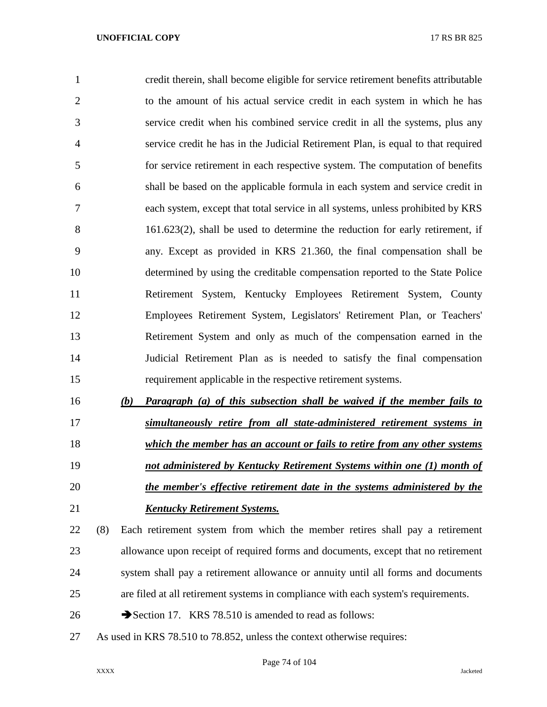| $\mathbf{1}$   | credit therein, shall become eligible for service retirement benefits attributable |
|----------------|------------------------------------------------------------------------------------|
| $\overline{2}$ | to the amount of his actual service credit in each system in which he has          |
| 3              | service credit when his combined service credit in all the systems, plus any       |
| $\overline{4}$ | service credit he has in the Judicial Retirement Plan, is equal to that required   |
| 5              | for service retirement in each respective system. The computation of benefits      |
| 6              | shall be based on the applicable formula in each system and service credit in      |
| 7              | each system, except that total service in all systems, unless prohibited by KRS    |
| 8              | $161.623(2)$ , shall be used to determine the reduction for early retirement, if   |
| 9              | any. Except as provided in KRS 21.360, the final compensation shall be             |
| 10             | determined by using the creditable compensation reported to the State Police       |
| 11             | Retirement System, Kentucky Employees Retirement System, County                    |
| 12             | Employees Retirement System, Legislators' Retirement Plan, or Teachers'            |
| 13             | Retirement System and only as much of the compensation earned in the               |
| 14             | Judicial Retirement Plan as is needed to satisfy the final compensation            |
| 15             | requirement applicable in the respective retirement systems.                       |
|                |                                                                                    |

 *(b) Paragraph (a) of this subsection shall be waived if the member fails to simultaneously retire from all state-administered retirement systems in which the member has an account or fails to retire from any other systems not administered by Kentucky Retirement Systems within one (1) month of the member's effective retirement date in the systems administered by the Kentucky Retirement Systems.*

 (8) Each retirement system from which the member retires shall pay a retirement allowance upon receipt of required forms and documents, except that no retirement system shall pay a retirement allowance or annuity until all forms and documents are filed at all retirement systems in compliance with each system's requirements.

- 26 Section 17. KRS 78.510 is amended to read as follows:
- As used in KRS 78.510 to 78.852, unless the context otherwise requires: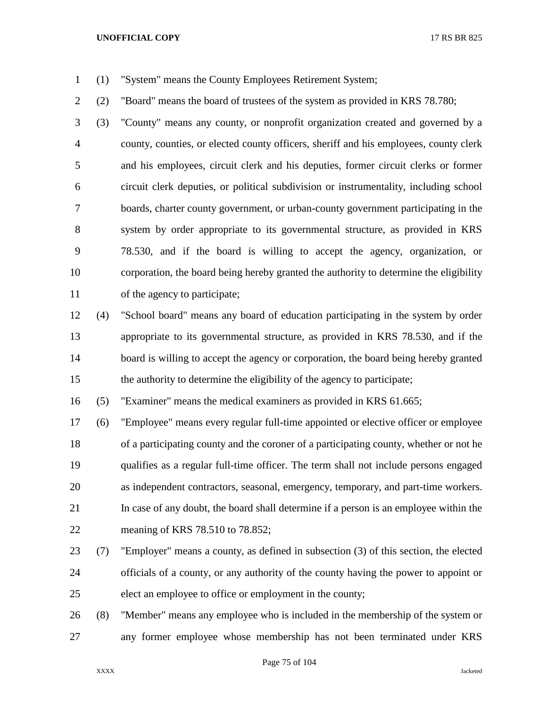- (1) "System" means the County Employees Retirement System;
- (2) "Board" means the board of trustees of the system as provided in KRS 78.780;

 (3) "County" means any county, or nonprofit organization created and governed by a county, counties, or elected county officers, sheriff and his employees, county clerk and his employees, circuit clerk and his deputies, former circuit clerks or former circuit clerk deputies, or political subdivision or instrumentality, including school boards, charter county government, or urban-county government participating in the system by order appropriate to its governmental structure, as provided in KRS 78.530, and if the board is willing to accept the agency, organization, or corporation, the board being hereby granted the authority to determine the eligibility of the agency to participate;

 (4) "School board" means any board of education participating in the system by order appropriate to its governmental structure, as provided in KRS 78.530, and if the 14 board is willing to accept the agency or corporation, the board being hereby granted the authority to determine the eligibility of the agency to participate;

(5) "Examiner" means the medical examiners as provided in KRS 61.665;

 (6) "Employee" means every regular full-time appointed or elective officer or employee of a participating county and the coroner of a participating county, whether or not he qualifies as a regular full-time officer. The term shall not include persons engaged as independent contractors, seasonal, emergency, temporary, and part-time workers. In case of any doubt, the board shall determine if a person is an employee within the meaning of KRS 78.510 to 78.852;

 (7) "Employer" means a county, as defined in subsection (3) of this section, the elected officials of a county, or any authority of the county having the power to appoint or elect an employee to office or employment in the county;

 (8) "Member" means any employee who is included in the membership of the system or any former employee whose membership has not been terminated under KRS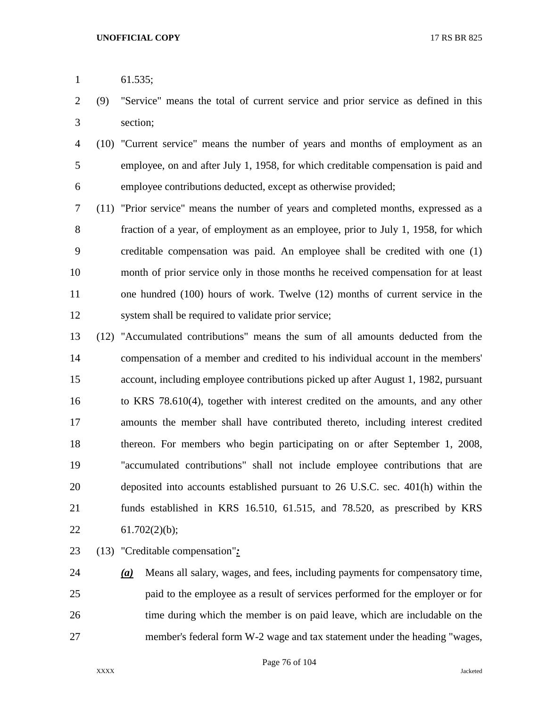- 61.535;
- (9) "Service" means the total of current service and prior service as defined in this section;
- (10) "Current service" means the number of years and months of employment as an employee, on and after July 1, 1958, for which creditable compensation is paid and employee contributions deducted, except as otherwise provided;
- (11) "Prior service" means the number of years and completed months, expressed as a fraction of a year, of employment as an employee, prior to July 1, 1958, for which creditable compensation was paid. An employee shall be credited with one (1) month of prior service only in those months he received compensation for at least one hundred (100) hours of work. Twelve (12) months of current service in the system shall be required to validate prior service;
- (12) "Accumulated contributions" means the sum of all amounts deducted from the compensation of a member and credited to his individual account in the members' account, including employee contributions picked up after August 1, 1982, pursuant to KRS 78.610(4), together with interest credited on the amounts, and any other amounts the member shall have contributed thereto, including interest credited thereon. For members who begin participating on or after September 1, 2008, "accumulated contributions" shall not include employee contributions that are deposited into accounts established pursuant to 26 U.S.C. sec. 401(h) within the funds established in KRS 16.510, 61.515, and 78.520, as prescribed by KRS 22  $61.702(2)(b)$ ;
- (13) "Creditable compensation"*:*

 *(a)* Means all salary, wages, and fees, including payments for compensatory time, paid to the employee as a result of services performed for the employer or for time during which the member is on paid leave, which are includable on the member's federal form W-2 wage and tax statement under the heading "wages,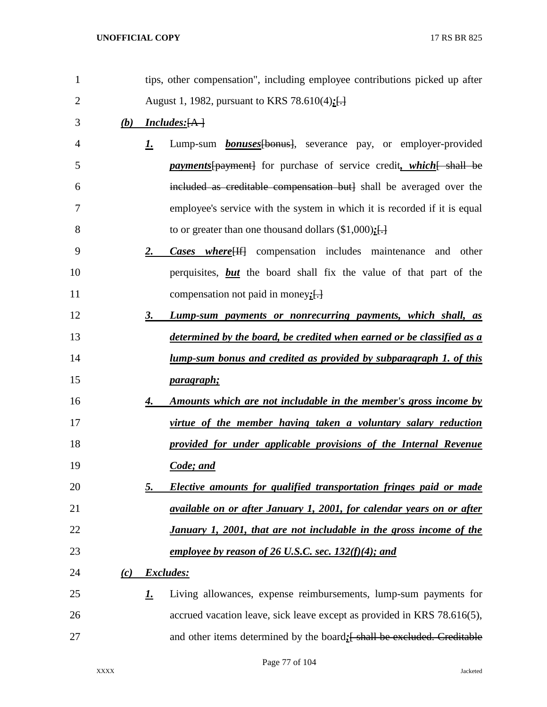| $\mathbf{1}$ |     |           | tips, other compensation", including employee contributions picked up after                    |
|--------------|-----|-----------|------------------------------------------------------------------------------------------------|
| 2            |     |           | August 1, 1982, pursuant to KRS 78.610(4):[-]                                                  |
| 3            | (b) |           | <b>Includes:</b> [A]                                                                           |
| 4            |     | <u>1.</u> | Lump-sum <b>bonuses</b> [bonus], severance pay, or employer-provided                           |
| 5            |     |           | <i>payments</i> [payment] for purchase of service credit, <i>which</i> [shall be               |
| 6            |     |           | included as creditable compensation but] shall be averaged over the                            |
| 7            |     |           | employee's service with the system in which it is recorded if it is equal                      |
| 8            |     |           | to or greater than one thousand dollars $(\$1,000)$ ; []                                       |
| 9            |     | 2.        | <b>Cases</b> where $\left\{ \text{If} \right\}$ compensation includes maintenance<br>and other |
| 10           |     |           | perquisites, but the board shall fix the value of that part of the                             |
| 11           |     |           | compensation not paid in money; $\left\{\cdot\right\}$                                         |
| 12           |     | 3.        | Lump-sum payments or nonrecurring payments, which shall, as                                    |
| 13           |     |           | determined by the board, be credited when earned or be classified as a                         |
| 14           |     |           | <u>lump-sum bonus and credited as provided by subparagraph 1. of this</u>                      |
| 15           |     |           | <u>paragraph;</u>                                                                              |
| 16           |     | 4.        | Amounts which are not includable in the member's gross income by                               |
| 17           |     |           | virtue of the member having taken a voluntary salary reduction                                 |
| 18           |     |           | provided for under applicable provisions of the Internal Revenue                               |
| 19           |     |           | Code; and                                                                                      |
| 20           |     | 5.        | Elective amounts for qualified transportation fringes paid or made                             |
| 21           |     |           | available on or after January 1, 2001, for calendar years on or after                          |
| 22           |     |           | January 1, 2001, that are not includable in the gross income of the                            |
| 23           |     |           | employee by reason of 26 U.S.C. sec. $132(f)(4)$ ; and                                         |
| 24           | (c) | Excludes: |                                                                                                |
| 25           |     | <u>1.</u> | Living allowances, expense reimbursements, lump-sum payments for                               |
| 26           |     |           | accrued vacation leave, sick leave except as provided in KRS 78.616(5),                        |
| 27           |     |           | and other items determined by the board: [ shall be excluded. Creditable                       |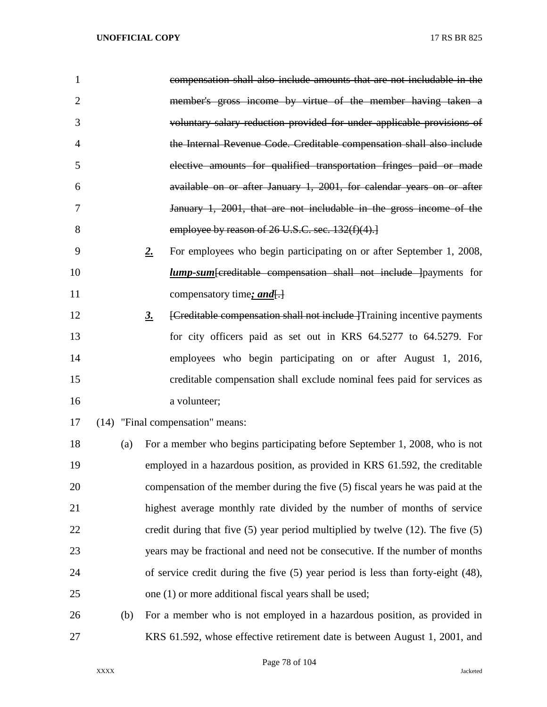| 1              |     | compensation shall also include amounts that are not includable in the                       |
|----------------|-----|----------------------------------------------------------------------------------------------|
| $\overline{2}$ |     | member's gross income by virtue of the member having taken a                                 |
| 3              |     | voluntary salary reduction provided for under applicable provisions of                       |
| $\overline{4}$ |     | the Internal Revenue Code. Creditable compensation shall also include                        |
| 5              |     | elective amounts for qualified transportation fringes paid or made                           |
| 6              |     | available on or after January 1, 2001, for calendar years on or after                        |
| 7              |     | January 1, 2001, that are not includable in the gross income of the                          |
| 8              |     | employee by reason of 26 U.S.C. sec. 132(f)(4).                                              |
| 9              |     | 2.<br>For employees who begin participating on or after September 1, 2008,                   |
| 10             |     | <i>lump-sum</i> [creditable compensation shall not include ] payments for                    |
| 11             |     | compensatory time; and.                                                                      |
| 12             |     | [Creditable compensation shall not include ]Training incentive payments<br>$\underline{3}$ . |
| 13             |     | for city officers paid as set out in KRS 64.5277 to 64.5279. For                             |
| 14             |     | employees who begin participating on or after August 1, 2016,                                |
| 15             |     | creditable compensation shall exclude nominal fees paid for services as                      |
| 16             |     | a volunteer;                                                                                 |
| 17             |     | (14) "Final compensation" means:                                                             |
| 18             | (a) | For a member who begins participating before September 1, 2008, who is not                   |
| 19             |     | employed in a hazardous position, as provided in KRS 61.592, the creditable                  |
| 20             |     | compensation of the member during the five (5) fiscal years he was paid at the               |
| 21             |     | highest average monthly rate divided by the number of months of service                      |
| 22             |     | credit during that five $(5)$ year period multiplied by twelve $(12)$ . The five $(5)$       |
| 23             |     | years may be fractional and need not be consecutive. If the number of months                 |
| 24             |     | of service credit during the five $(5)$ year period is less than forty-eight $(48)$ ,        |
| 25             |     | one (1) or more additional fiscal years shall be used;                                       |
| 26             | (b) | For a member who is not employed in a hazardous position, as provided in                     |
| 27             |     | KRS 61.592, whose effective retirement date is between August 1, 2001, and                   |

Page 78 of 104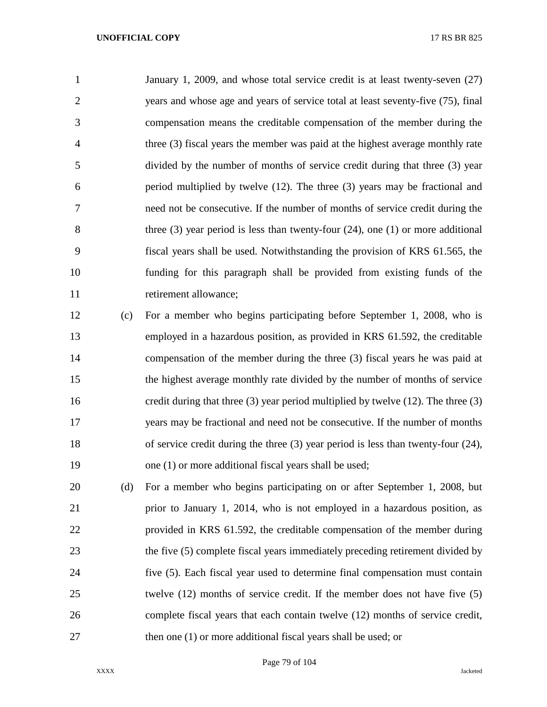January 1, 2009, and whose total service credit is at least twenty-seven (27) years and whose age and years of service total at least seventy-five (75), final compensation means the creditable compensation of the member during the three (3) fiscal years the member was paid at the highest average monthly rate divided by the number of months of service credit during that three (3) year period multiplied by twelve (12). The three (3) years may be fractional and need not be consecutive. If the number of months of service credit during the three (3) year period is less than twenty-four (24), one (1) or more additional fiscal years shall be used. Notwithstanding the provision of KRS 61.565, the funding for this paragraph shall be provided from existing funds of the 11 retirement allowance;

 (c) For a member who begins participating before September 1, 2008, who is employed in a hazardous position, as provided in KRS 61.592, the creditable compensation of the member during the three (3) fiscal years he was paid at the highest average monthly rate divided by the number of months of service credit during that three (3) year period multiplied by twelve (12). The three (3) years may be fractional and need not be consecutive. If the number of months of service credit during the three (3) year period is less than twenty-four (24), one (1) or more additional fiscal years shall be used;

 (d) For a member who begins participating on or after September 1, 2008, but prior to January 1, 2014, who is not employed in a hazardous position, as provided in KRS 61.592, the creditable compensation of the member during 23 the five (5) complete fiscal years immediately preceding retirement divided by five (5). Each fiscal year used to determine final compensation must contain twelve (12) months of service credit. If the member does not have five (5) complete fiscal years that each contain twelve (12) months of service credit, 27 then one (1) or more additional fiscal years shall be used; or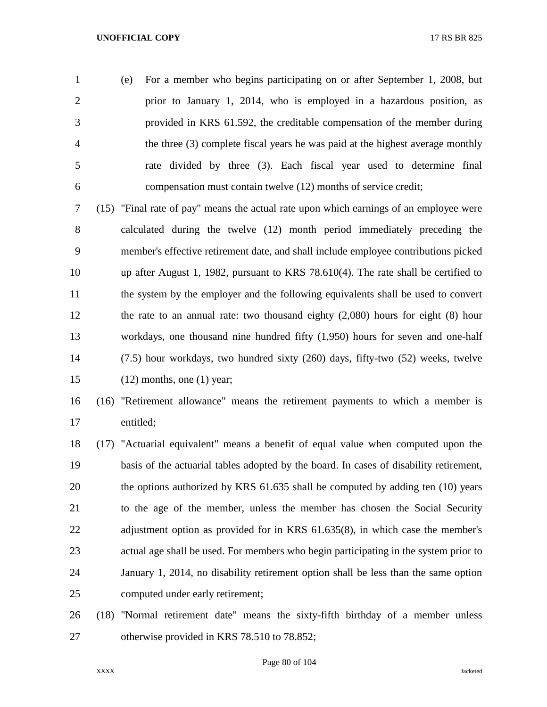(e) For a member who begins participating on or after September 1, 2008, but prior to January 1, 2014, who is employed in a hazardous position, as provided in KRS 61.592, the creditable compensation of the member during the three (3) complete fiscal years he was paid at the highest average monthly rate divided by three (3). Each fiscal year used to determine final compensation must contain twelve (12) months of service credit;

 (15) "Final rate of pay" means the actual rate upon which earnings of an employee were calculated during the twelve (12) month period immediately preceding the member's effective retirement date, and shall include employee contributions picked up after August 1, 1982, pursuant to KRS 78.610(4). The rate shall be certified to the system by the employer and the following equivalents shall be used to convert the rate to an annual rate: two thousand eighty (2,080) hours for eight (8) hour workdays, one thousand nine hundred fifty (1,950) hours for seven and one-half (7.5) hour workdays, two hundred sixty (260) days, fifty-two (52) weeks, twelve (12) months, one (1) year;

# (16) "Retirement allowance" means the retirement payments to which a member is entitled;

 (17) "Actuarial equivalent" means a benefit of equal value when computed upon the basis of the actuarial tables adopted by the board. In cases of disability retirement, the options authorized by KRS 61.635 shall be computed by adding ten (10) years to the age of the member, unless the member has chosen the Social Security 22 adjustment option as provided for in KRS 61.635(8), in which case the member's actual age shall be used. For members who begin participating in the system prior to January 1, 2014, no disability retirement option shall be less than the same option computed under early retirement;

 (18) "Normal retirement date" means the sixty-fifth birthday of a member unless otherwise provided in KRS 78.510 to 78.852;

Page 80 of 104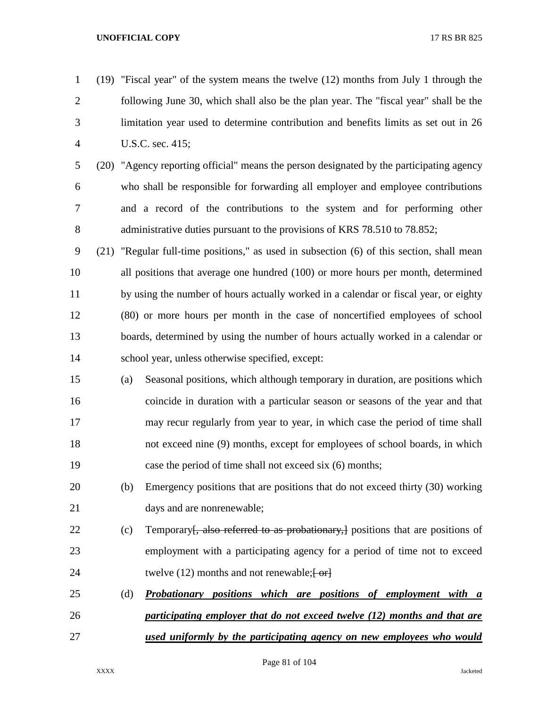| $\mathbf{1}$   |      |     | (19) "Fiscal year" of the system means the twelve (12) months from July 1 through the    |
|----------------|------|-----|------------------------------------------------------------------------------------------|
| $\overline{2}$ |      |     | following June 30, which shall also be the plan year. The "fiscal year" shall be the     |
| 3              |      |     | limitation year used to determine contribution and benefits limits as set out in 26      |
| $\overline{4}$ |      |     | U.S.C. sec. 415;                                                                         |
| 5              |      |     | (20) "Agency reporting official" means the person designated by the participating agency |
| 6              |      |     | who shall be responsible for forwarding all employer and employee contributions          |
| 7              |      |     | and a record of the contributions to the system and for performing other                 |
| 8              |      |     | administrative duties pursuant to the provisions of KRS 78.510 to 78.852;                |
| 9              | (21) |     | "Regular full-time positions," as used in subsection (6) of this section, shall mean     |
| 10             |      |     | all positions that average one hundred (100) or more hours per month, determined         |
| 11             |      |     | by using the number of hours actually worked in a calendar or fiscal year, or eighty     |
| 12             |      |     | (80) or more hours per month in the case of noncertified employees of school             |
| 13             |      |     | boards, determined by using the number of hours actually worked in a calendar or         |
| 14             |      |     | school year, unless otherwise specified, except:                                         |
| 15             |      | (a) | Seasonal positions, which although temporary in duration, are positions which            |
| 16             |      |     | coincide in duration with a particular season or seasons of the year and that            |
| 17             |      |     | may recur regularly from year to year, in which case the period of time shall            |
| 18             |      |     | not exceed nine (9) months, except for employees of school boards, in which              |
| 19             |      |     | case the period of time shall not exceed six (6) months;                                 |
| 20             |      | (b) | Emergency positions that are positions that do not exceed thirty (30) working            |
| 21             |      |     | days and are nonrenewable;                                                               |
| 22             |      | (c) | Temporary, also referred to as probationary, positions that are positions of             |
| 23             |      |     | employment with a participating agency for a period of time not to exceed                |
| 24             |      |     | twelve $(12)$ months and not renewable; $\frac{1}{2}$                                    |
| 25             |      | (d) | <b>Probationary</b><br>positions which are positions of employment with a                |
| 26             |      |     | participating employer that do not exceed twelve (12) months and that are                |
| 27             |      |     | used uniformly by the participating agency on new employees who would                    |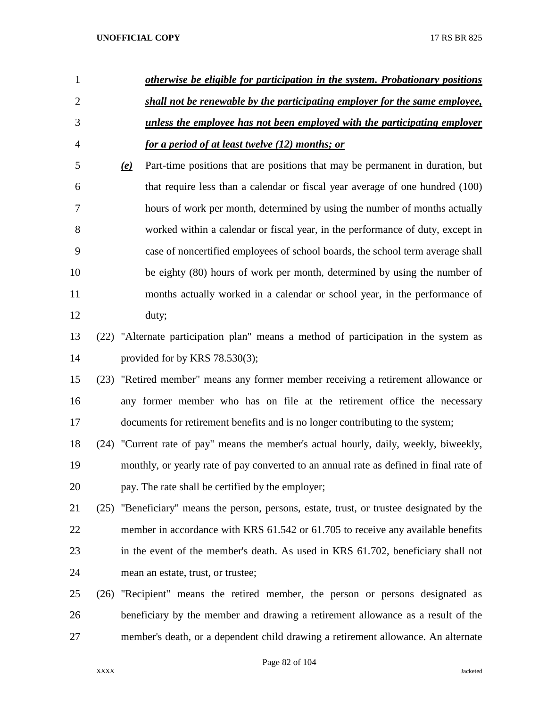| 1              |                           | otherwise be eligible for participation in the system. Probationary positions             |
|----------------|---------------------------|-------------------------------------------------------------------------------------------|
| $\overline{2}$ |                           | shall not be renewable by the participating employer for the same employee,               |
| 3              |                           | unless the employee has not been employed with the participating employer                 |
| $\overline{4}$ |                           | for a period of at least twelve (12) months; or                                           |
| 5              | $\left(\mathbf{e}\right)$ | Part-time positions that are positions that may be permanent in duration, but             |
| 6              |                           | that require less than a calendar or fiscal year average of one hundred (100)             |
| 7              |                           | hours of work per month, determined by using the number of months actually                |
| 8              |                           | worked within a calendar or fiscal year, in the performance of duty, except in            |
| 9              |                           | case of noncertified employees of school boards, the school term average shall            |
| 10             |                           | be eighty (80) hours of work per month, determined by using the number of                 |
| 11             |                           | months actually worked in a calendar or school year, in the performance of                |
| 12             |                           | duty;                                                                                     |
| 13             |                           | (22) "Alternate participation plan" means a method of participation in the system as      |
| 14             |                           | provided for by KRS $78.530(3)$ ;                                                         |
| 15             |                           | (23) "Retired member" means any former member receiving a retirement allowance or         |
| 16             |                           | any former member who has on file at the retirement office the necessary                  |
| 17             |                           | documents for retirement benefits and is no longer contributing to the system;            |
| 18             |                           | (24) "Current rate of pay" means the member's actual hourly, daily, weekly, biweekly,     |
| 19             |                           | monthly, or yearly rate of pay converted to an annual rate as defined in final rate of    |
| 20             |                           | pay. The rate shall be certified by the employer;                                         |
| 21             |                           | (25) "Beneficiary" means the person, persons, estate, trust, or trustee designated by the |
| 22             |                           | member in accordance with KRS 61.542 or 61.705 to receive any available benefits          |
| 23             |                           | in the event of the member's death. As used in KRS 61.702, beneficiary shall not          |
| 24             |                           | mean an estate, trust, or trustee;                                                        |
| 25             |                           | (26) "Recipient" means the retired member, the person or persons designated as            |
| 26             |                           | beneficiary by the member and drawing a retirement allowance as a result of the           |
| 27             |                           | member's death, or a dependent child drawing a retirement allowance. An alternate         |

Page 82 of 104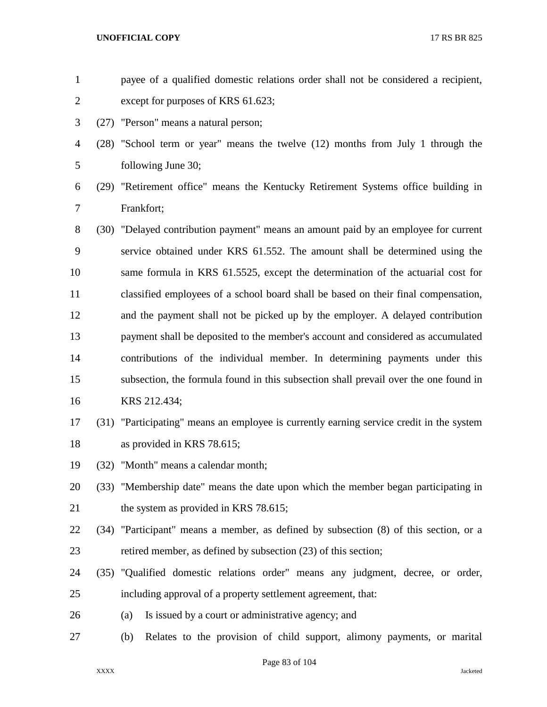| $\mathbf{1}$   |      | payee of a qualified domestic relations order shall not be considered a recipient,       |
|----------------|------|------------------------------------------------------------------------------------------|
| $\overline{2}$ |      | except for purposes of KRS 61.623;                                                       |
| 3              |      | (27) "Person" means a natural person;                                                    |
| $\overline{4}$ |      | (28) "School term or year" means the twelve (12) months from July 1 through the          |
| 5              |      | following June 30;                                                                       |
| 6              | (29) | "Retirement office" means the Kentucky Retirement Systems office building in             |
| 7              |      | Frankfort;                                                                               |
| 8              | (30) | "Delayed contribution payment" means an amount paid by an employee for current           |
| 9              |      | service obtained under KRS 61.552. The amount shall be determined using the              |
| 10             |      | same formula in KRS 61.5525, except the determination of the actuarial cost for          |
| 11             |      | classified employees of a school board shall be based on their final compensation,       |
| 12             |      | and the payment shall not be picked up by the employer. A delayed contribution           |
| 13             |      | payment shall be deposited to the member's account and considered as accumulated         |
| 14             |      | contributions of the individual member. In determining payments under this               |
| 15             |      | subsection, the formula found in this subsection shall prevail over the one found in     |
| 16             |      | KRS 212.434;                                                                             |
| 17             |      | (31) "Participating" means an employee is currently earning service credit in the system |
| 18             |      | as provided in KRS 78.615;                                                               |
| 19             |      | (32) "Month" means a calendar month;                                                     |
| 20             |      | (33) "Membership date" means the date upon which the member began participating in       |
| 21             |      | the system as provided in KRS 78.615;                                                    |
| 22             |      | (34) "Participant" means a member, as defined by subsection (8) of this section, or a    |
| 23             |      | retired member, as defined by subsection (23) of this section;                           |
| 24             |      | (35) "Qualified domestic relations order" means any judgment, decree, or order,          |
| 25             |      | including approval of a property settlement agreement, that:                             |
| 26             |      | Is issued by a court or administrative agency; and<br>(a)                                |
| 27             |      | Relates to the provision of child support, alimony payments, or marital<br>(b)           |
|                |      |                                                                                          |

Page 83 of 104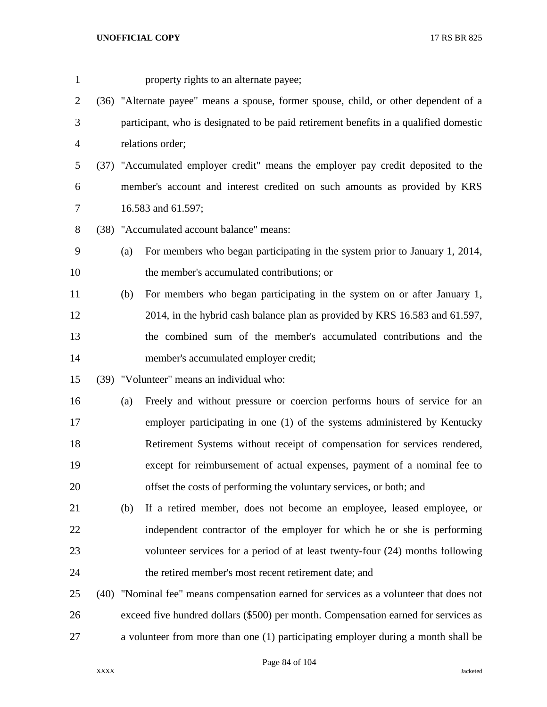| $\mathbf{1}$   |                                                                                      | property rights to an alternate payee;                                                 |  |  |
|----------------|--------------------------------------------------------------------------------------|----------------------------------------------------------------------------------------|--|--|
| $\overline{2}$ | (36) "Alternate payee" means a spouse, former spouse, child, or other dependent of a |                                                                                        |  |  |
| 3              |                                                                                      | participant, who is designated to be paid retirement benefits in a qualified domestic  |  |  |
| $\overline{4}$ |                                                                                      | relations order;                                                                       |  |  |
| 5              |                                                                                      | (37) "Accumulated employer credit" means the employer pay credit deposited to the      |  |  |
| 6              |                                                                                      | member's account and interest credited on such amounts as provided by KRS              |  |  |
| 7              |                                                                                      | 16.583 and 61.597;                                                                     |  |  |
| 8              |                                                                                      | (38) "Accumulated account balance" means:                                              |  |  |
| 9              | (a)                                                                                  | For members who began participating in the system prior to January 1, 2014,            |  |  |
| 10             |                                                                                      | the member's accumulated contributions; or                                             |  |  |
| 11             | (b)                                                                                  | For members who began participating in the system on or after January 1,               |  |  |
| 12             |                                                                                      | 2014, in the hybrid cash balance plan as provided by KRS 16.583 and 61.597,            |  |  |
| 13             |                                                                                      | the combined sum of the member's accumulated contributions and the                     |  |  |
| 14             |                                                                                      | member's accumulated employer credit;                                                  |  |  |
| 15             |                                                                                      | (39) "Volunteer" means an individual who:                                              |  |  |
| 16             | (a)                                                                                  | Freely and without pressure or coercion performs hours of service for an               |  |  |
| 17             |                                                                                      | employer participating in one (1) of the systems administered by Kentucky              |  |  |
| 18             |                                                                                      | Retirement Systems without receipt of compensation for services rendered,              |  |  |
| 19             |                                                                                      | except for reimbursement of actual expenses, payment of a nominal fee to               |  |  |
| 20             |                                                                                      | offset the costs of performing the voluntary services, or both; and                    |  |  |
| 21             | (b)                                                                                  | If a retired member, does not become an employee, leased employee, or                  |  |  |
| 22             |                                                                                      | independent contractor of the employer for which he or she is performing               |  |  |
| 23             |                                                                                      | volunteer services for a period of at least twenty-four (24) months following          |  |  |
| 24             |                                                                                      | the retired member's most recent retirement date; and                                  |  |  |
| 25             |                                                                                      | (40) "Nominal fee" means compensation earned for services as a volunteer that does not |  |  |
| 26             |                                                                                      | exceed five hundred dollars (\$500) per month. Compensation earned for services as     |  |  |
| 27             |                                                                                      | a volunteer from more than one (1) participating employer during a month shall be      |  |  |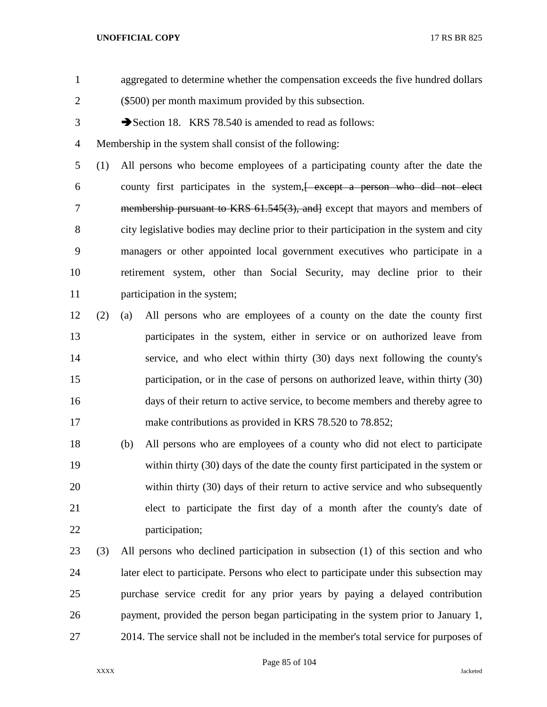- aggregated to determine whether the compensation exceeds the five hundred dollars (\$500) per month maximum provided by this subsection. 3 Section 18. KRS 78.540 is amended to read as follows: Membership in the system shall consist of the following: (1) All persons who become employees of a participating county after the date the county first participates in the system,[ except a person who did not elect 7 membership pursuant to KRS 61.545(3), and except that mayors and members of city legislative bodies may decline prior to their participation in the system and city managers or other appointed local government executives who participate in a retirement system, other than Social Security, may decline prior to their participation in the system; (2) (a) All persons who are employees of a county on the date the county first participates in the system, either in service or on authorized leave from
- service, and who elect within thirty (30) days next following the county's participation, or in the case of persons on authorized leave, within thirty (30) days of their return to active service, to become members and thereby agree to 17 make contributions as provided in KRS 78.520 to 78.852;
- (b) All persons who are employees of a county who did not elect to participate within thirty (30) days of the date the county first participated in the system or within thirty (30) days of their return to active service and who subsequently elect to participate the first day of a month after the county's date of participation;
- (3) All persons who declined participation in subsection (1) of this section and who later elect to participate. Persons who elect to participate under this subsection may purchase service credit for any prior years by paying a delayed contribution payment, provided the person began participating in the system prior to January 1, 2014. The service shall not be included in the member's total service for purposes of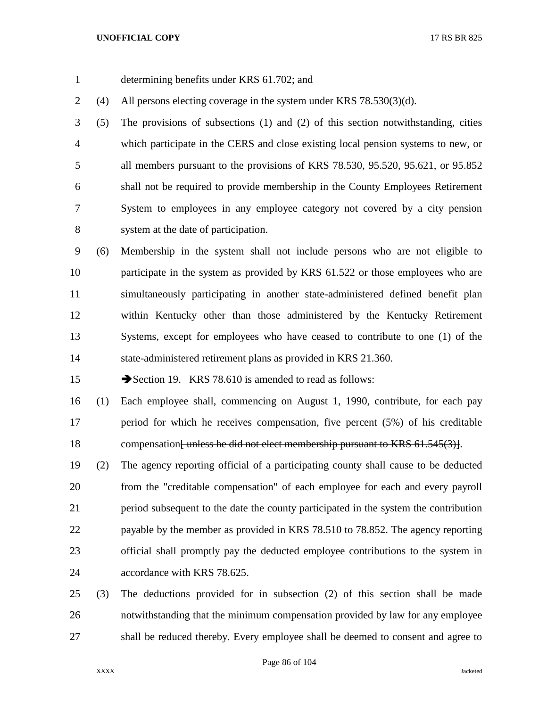- determining benefits under KRS 61.702; and
- (4) All persons electing coverage in the system under KRS 78.530(3)(d).

 (5) The provisions of subsections (1) and (2) of this section notwithstanding, cities which participate in the CERS and close existing local pension systems to new, or all members pursuant to the provisions of KRS 78.530, 95.520, 95.621, or 95.852 shall not be required to provide membership in the County Employees Retirement System to employees in any employee category not covered by a city pension system at the date of participation.

 (6) Membership in the system shall not include persons who are not eligible to 10 participate in the system as provided by KRS 61.522 or those employees who are simultaneously participating in another state-administered defined benefit plan within Kentucky other than those administered by the Kentucky Retirement Systems, except for employees who have ceased to contribute to one (1) of the state-administered retirement plans as provided in KRS 21.360.

15 Section 19. KRS 78.610 is amended to read as follows:

 (1) Each employee shall, commencing on August 1, 1990, contribute, for each pay period for which he receives compensation, five percent (5%) of his creditable 18 compensation<del>[unless he did not elect membership pursuant to KRS 61.545(3)]</del>.

 (2) The agency reporting official of a participating county shall cause to be deducted from the "creditable compensation" of each employee for each and every payroll period subsequent to the date the county participated in the system the contribution payable by the member as provided in KRS 78.510 to 78.852. The agency reporting official shall promptly pay the deducted employee contributions to the system in accordance with KRS 78.625.

 (3) The deductions provided for in subsection (2) of this section shall be made notwithstanding that the minimum compensation provided by law for any employee shall be reduced thereby. Every employee shall be deemed to consent and agree to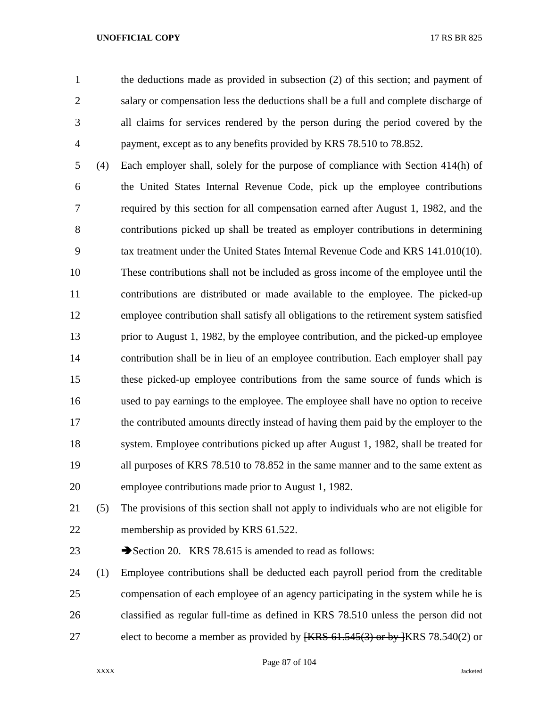the deductions made as provided in subsection (2) of this section; and payment of salary or compensation less the deductions shall be a full and complete discharge of all claims for services rendered by the person during the period covered by the payment, except as to any benefits provided by KRS 78.510 to 78.852.

 (4) Each employer shall, solely for the purpose of compliance with Section 414(h) of the United States Internal Revenue Code, pick up the employee contributions required by this section for all compensation earned after August 1, 1982, and the contributions picked up shall be treated as employer contributions in determining tax treatment under the United States Internal Revenue Code and KRS 141.010(10). These contributions shall not be included as gross income of the employee until the contributions are distributed or made available to the employee. The picked-up employee contribution shall satisfy all obligations to the retirement system satisfied prior to August 1, 1982, by the employee contribution, and the picked-up employee contribution shall be in lieu of an employee contribution. Each employer shall pay these picked-up employee contributions from the same source of funds which is used to pay earnings to the employee. The employee shall have no option to receive the contributed amounts directly instead of having them paid by the employer to the system. Employee contributions picked up after August 1, 1982, shall be treated for all purposes of KRS 78.510 to 78.852 in the same manner and to the same extent as employee contributions made prior to August 1, 1982.

 (5) The provisions of this section shall not apply to individuals who are not eligible for membership as provided by KRS 61.522.

23 Section 20. KRS 78.615 is amended to read as follows:

 (1) Employee contributions shall be deducted each payroll period from the creditable compensation of each employee of an agency participating in the system while he is classified as regular full-time as defined in KRS 78.510 unless the person did not 27 elect to become a member as provided by  $\{\text{KRS } 61.545(3) \text{ or by } \{\text{KRS } 78.540(2) \text{ or } \text{Cov } 20\}$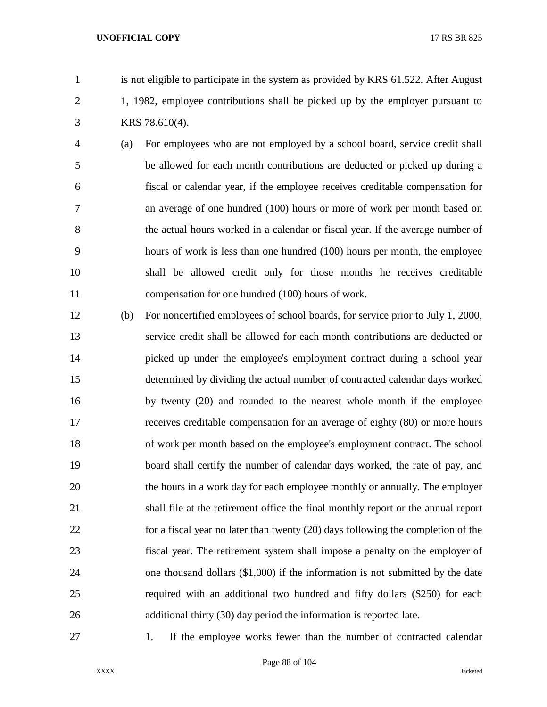- is not eligible to participate in the system as provided by KRS 61.522. After August 1, 1982, employee contributions shall be picked up by the employer pursuant to KRS 78.610(4).
- (a) For employees who are not employed by a school board, service credit shall be allowed for each month contributions are deducted or picked up during a fiscal or calendar year, if the employee receives creditable compensation for an average of one hundred (100) hours or more of work per month based on the actual hours worked in a calendar or fiscal year. If the average number of hours of work is less than one hundred (100) hours per month, the employee shall be allowed credit only for those months he receives creditable compensation for one hundred (100) hours of work.
- (b) For noncertified employees of school boards, for service prior to July 1, 2000, service credit shall be allowed for each month contributions are deducted or picked up under the employee's employment contract during a school year determined by dividing the actual number of contracted calendar days worked by twenty (20) and rounded to the nearest whole month if the employee receives creditable compensation for an average of eighty (80) or more hours 18 of work per month based on the employee's employment contract. The school board shall certify the number of calendar days worked, the rate of pay, and the hours in a work day for each employee monthly or annually. The employer shall file at the retirement office the final monthly report or the annual report for a fiscal year no later than twenty (20) days following the completion of the fiscal year. The retirement system shall impose a penalty on the employer of one thousand dollars (\$1,000) if the information is not submitted by the date required with an additional two hundred and fifty dollars (\$250) for each additional thirty (30) day period the information is reported late.
- 

27 1. If the employee works fewer than the number of contracted calendar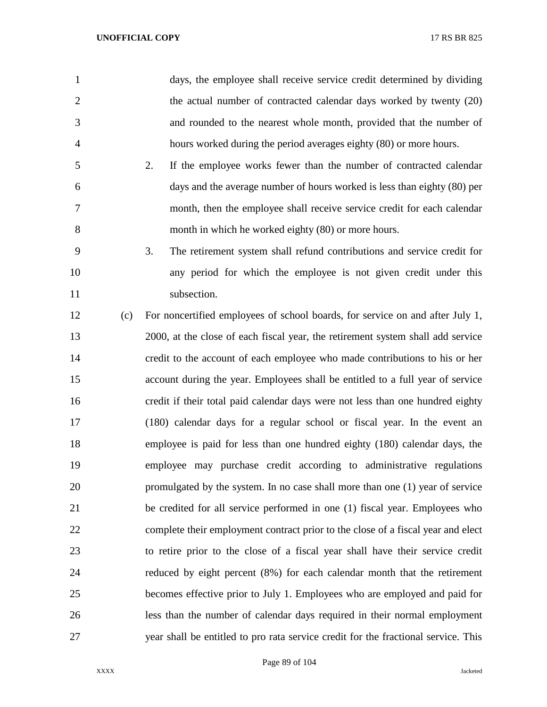| $\mathbf{1}$   |     | days, the employee shall receive service credit determined by dividing             |
|----------------|-----|------------------------------------------------------------------------------------|
| $\overline{2}$ |     | the actual number of contracted calendar days worked by twenty (20)                |
| 3              |     | and rounded to the nearest whole month, provided that the number of                |
| 4              |     | hours worked during the period averages eighty (80) or more hours.                 |
| 5              |     | 2.<br>If the employee works fewer than the number of contracted calendar           |
| 6              |     | days and the average number of hours worked is less than eighty (80) per           |
| 7              |     | month, then the employee shall receive service credit for each calendar            |
| 8              |     | month in which he worked eighty (80) or more hours.                                |
| 9              |     | 3.<br>The retirement system shall refund contributions and service credit for      |
| 10             |     | any period for which the employee is not given credit under this                   |
| 11             |     | subsection.                                                                        |
| 12             | (c) | For noncertified employees of school boards, for service on and after July 1,      |
| 13             |     | 2000, at the close of each fiscal year, the retirement system shall add service    |
| 14             |     | credit to the account of each employee who made contributions to his or her        |
| 15             |     | account during the year. Employees shall be entitled to a full year of service     |
| 16             |     | credit if their total paid calendar days were not less than one hundred eighty     |
| 17             |     | (180) calendar days for a regular school or fiscal year. In the event an           |
| 18             |     | employee is paid for less than one hundred eighty (180) calendar days, the         |
| 19             |     | employee may purchase credit according to administrative regulations               |
| 20             |     | promulgated by the system. In no case shall more than one (1) year of service      |
| 21             |     | be credited for all service performed in one (1) fiscal year. Employees who        |
| 22             |     | complete their employment contract prior to the close of a fiscal year and elect   |
| 23             |     | to retire prior to the close of a fiscal year shall have their service credit      |
| 24             |     | reduced by eight percent (8%) for each calendar month that the retirement          |
| 25             |     | becomes effective prior to July 1. Employees who are employed and paid for         |
| 26             |     | less than the number of calendar days required in their normal employment          |
| 27             |     | year shall be entitled to pro rata service credit for the fractional service. This |

Page 89 of 104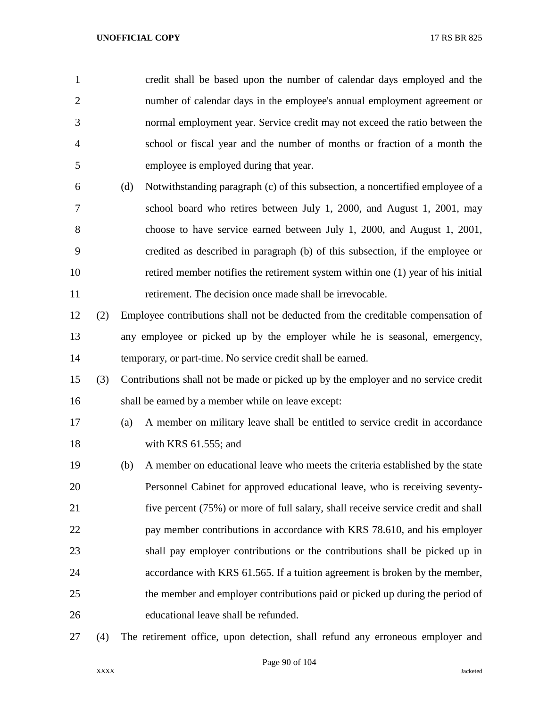| $\mathbf{1}$   |     |     | credit shall be based upon the number of calendar days employed and the            |
|----------------|-----|-----|------------------------------------------------------------------------------------|
| $\overline{2}$ |     |     | number of calendar days in the employee's annual employment agreement or           |
| 3              |     |     | normal employment year. Service credit may not exceed the ratio between the        |
| $\overline{4}$ |     |     | school or fiscal year and the number of months or fraction of a month the          |
| 5              |     |     | employee is employed during that year.                                             |
| 6              |     | (d) | Notwithstanding paragraph (c) of this subsection, a noncertified employee of a     |
| 7              |     |     | school board who retires between July 1, 2000, and August 1, 2001, may             |
| 8              |     |     | choose to have service earned between July 1, 2000, and August 1, 2001,            |
| 9              |     |     | credited as described in paragraph (b) of this subsection, if the employee or      |
| 10             |     |     | retired member notifies the retirement system within one (1) year of his initial   |
| 11             |     |     | retirement. The decision once made shall be irrevocable.                           |
| 12             | (2) |     | Employee contributions shall not be deducted from the creditable compensation of   |
| 13             |     |     | any employee or picked up by the employer while he is seasonal, emergency,         |
| 14             |     |     | temporary, or part-time. No service credit shall be earned.                        |
| 15             | (3) |     | Contributions shall not be made or picked up by the employer and no service credit |
| 16             |     |     | shall be earned by a member while on leave except:                                 |
| 17             |     | (a) | A member on military leave shall be entitled to service credit in accordance       |
| 18             |     |     | with KRS $61.555$ ; and                                                            |
| 19             |     | (b) | A member on educational leave who meets the criteria established by the state      |
| 20             |     |     | Personnel Cabinet for approved educational leave, who is receiving seventy-        |
| 21             |     |     | five percent (75%) or more of full salary, shall receive service credit and shall  |
| 22             |     |     | pay member contributions in accordance with KRS 78.610, and his employer           |
| 23             |     |     | shall pay employer contributions or the contributions shall be picked up in        |
| 24             |     |     | accordance with KRS 61.565. If a tuition agreement is broken by the member,        |
| 25             |     |     | the member and employer contributions paid or picked up during the period of       |
| 26             |     |     | educational leave shall be refunded.                                               |
|                |     |     |                                                                                    |

(4) The retirement office, upon detection, shall refund any erroneous employer and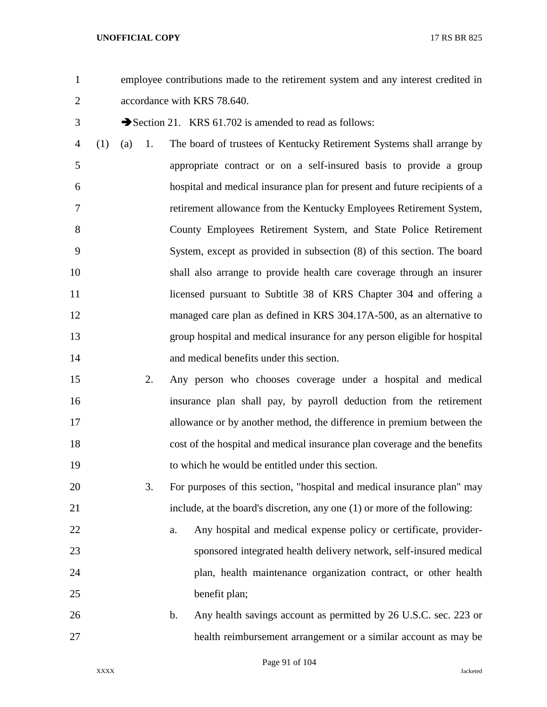employee contributions made to the retirement system and any interest credited in accordance with KRS 78.640.

- 3 Section 21. KRS 61.702 is amended to read as follows:
- (1) (a) 1. The board of trustees of Kentucky Retirement Systems shall arrange by appropriate contract or on a self-insured basis to provide a group hospital and medical insurance plan for present and future recipients of a retirement allowance from the Kentucky Employees Retirement System, County Employees Retirement System, and State Police Retirement System, except as provided in subsection (8) of this section. The board shall also arrange to provide health care coverage through an insurer 11 licensed pursuant to Subtitle 38 of KRS Chapter 304 and offering a managed care plan as defined in KRS 304.17A-500, as an alternative to group hospital and medical insurance for any person eligible for hospital and medical benefits under this section.
- 2. Any person who chooses coverage under a hospital and medical insurance plan shall pay, by payroll deduction from the retirement allowance or by another method, the difference in premium between the cost of the hospital and medical insurance plan coverage and the benefits to which he would be entitled under this section.
- 3. For purposes of this section, "hospital and medical insurance plan" may include, at the board's discretion, any one (1) or more of the following:
- a. Any hospital and medical expense policy or certificate, provider- sponsored integrated health delivery network, self-insured medical plan, health maintenance organization contract, or other health benefit plan;
- b. Any health savings account as permitted by 26 U.S.C. sec. 223 or health reimbursement arrangement or a similar account as may be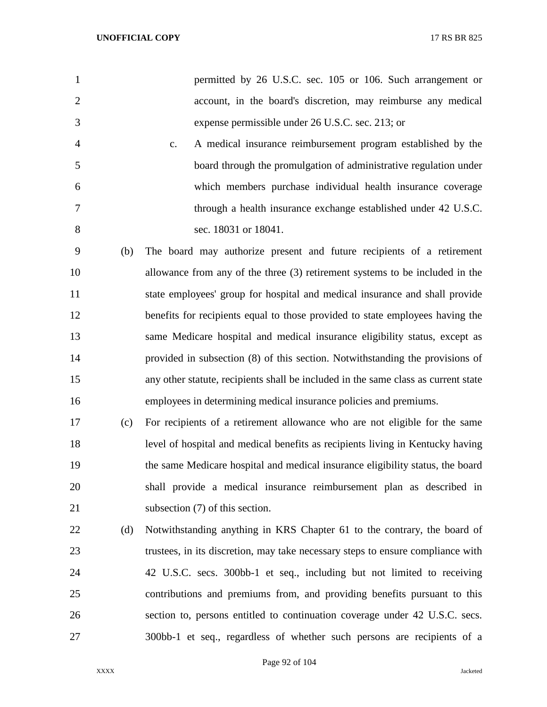|               | permitted by 26 U.S.C. sec. 105 or 106. Such arrangement or   |
|---------------|---------------------------------------------------------------|
|               | account, in the board's discretion, may reimburse any medical |
| $\mathcal{R}$ | expense permissible under 26 U.S.C. sec. 213; or              |

- c. A medical insurance reimbursement program established by the board through the promulgation of administrative regulation under which members purchase individual health insurance coverage through a health insurance exchange established under 42 U.S.C. sec. 18031 or 18041.
- (b) The board may authorize present and future recipients of a retirement allowance from any of the three (3) retirement systems to be included in the state employees' group for hospital and medical insurance and shall provide benefits for recipients equal to those provided to state employees having the same Medicare hospital and medical insurance eligibility status, except as provided in subsection (8) of this section. Notwithstanding the provisions of any other statute, recipients shall be included in the same class as current state employees in determining medical insurance policies and premiums.
- (c) For recipients of a retirement allowance who are not eligible for the same level of hospital and medical benefits as recipients living in Kentucky having the same Medicare hospital and medical insurance eligibility status, the board shall provide a medical insurance reimbursement plan as described in 21 subsection (7) of this section.
- (d) Notwithstanding anything in KRS Chapter 61 to the contrary, the board of trustees, in its discretion, may take necessary steps to ensure compliance with 42 U.S.C. secs. 300bb-1 et seq., including but not limited to receiving contributions and premiums from, and providing benefits pursuant to this section to, persons entitled to continuation coverage under 42 U.S.C. secs. 300bb-1 et seq., regardless of whether such persons are recipients of a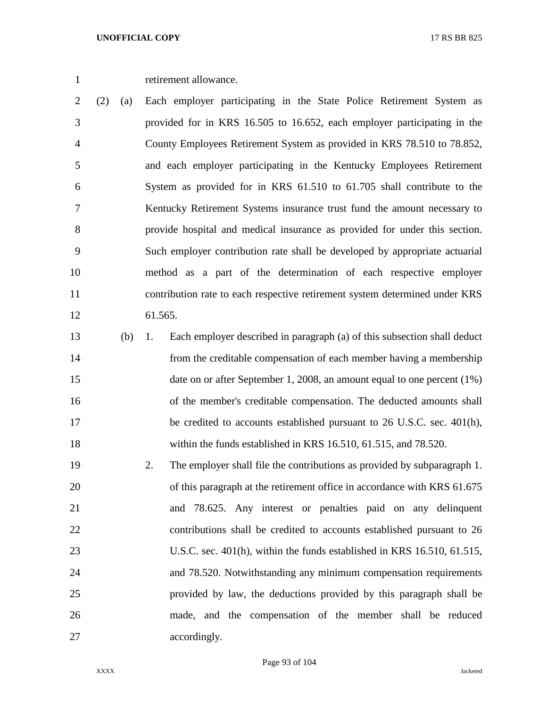retirement allowance.

 (2) (a) Each employer participating in the State Police Retirement System as provided for in KRS 16.505 to 16.652, each employer participating in the County Employees Retirement System as provided in KRS 78.510 to 78.852, and each employer participating in the Kentucky Employees Retirement System as provided for in KRS 61.510 to 61.705 shall contribute to the Kentucky Retirement Systems insurance trust fund the amount necessary to provide hospital and medical insurance as provided for under this section. Such employer contribution rate shall be developed by appropriate actuarial method as a part of the determination of each respective employer contribution rate to each respective retirement system determined under KRS 61.565.

 (b) 1. Each employer described in paragraph (a) of this subsection shall deduct from the creditable compensation of each member having a membership 15 date on or after September 1, 2008, an amount equal to one percent (1%) of the member's creditable compensation. The deducted amounts shall 17 be credited to accounts established pursuant to 26 U.S.C. sec. 401(h), within the funds established in KRS 16.510, 61.515, and 78.520.

 2. The employer shall file the contributions as provided by subparagraph 1. 20 of this paragraph at the retirement office in accordance with KRS 61.675 and 78.625. Any interest or penalties paid on any delinquent contributions shall be credited to accounts established pursuant to 26 U.S.C. sec. 401(h), within the funds established in KRS 16.510, 61.515, and 78.520. Notwithstanding any minimum compensation requirements provided by law, the deductions provided by this paragraph shall be made, and the compensation of the member shall be reduced 27 accordingly.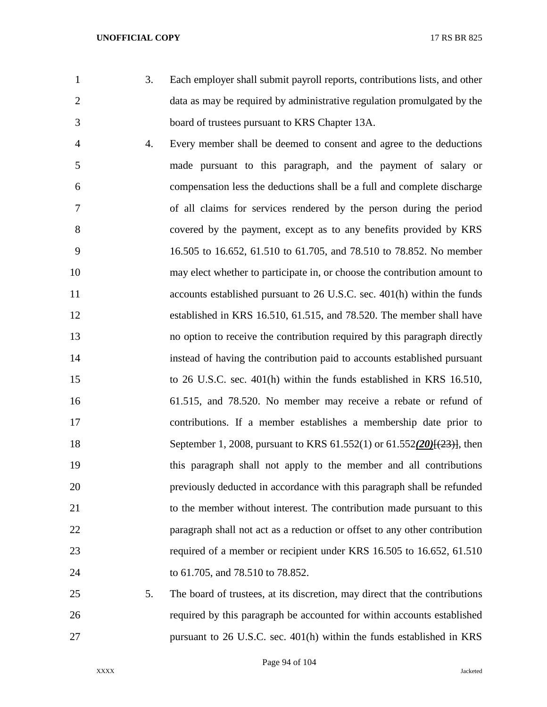- 
- 3. Each employer shall submit payroll reports, contributions lists, and other 2 data as may be required by administrative regulation promulgated by the board of trustees pursuant to KRS Chapter 13A.
- 4. Every member shall be deemed to consent and agree to the deductions made pursuant to this paragraph, and the payment of salary or compensation less the deductions shall be a full and complete discharge of all claims for services rendered by the person during the period covered by the payment, except as to any benefits provided by KRS 16.505 to 16.652, 61.510 to 61.705, and 78.510 to 78.852. No member may elect whether to participate in, or choose the contribution amount to 11 accounts established pursuant to 26 U.S.C. sec. 401(h) within the funds established in KRS 16.510, 61.515, and 78.520. The member shall have no option to receive the contribution required by this paragraph directly instead of having the contribution paid to accounts established pursuant to 26 U.S.C. sec. 401(h) within the funds established in KRS 16.510, 61.515, and 78.520. No member may receive a rebate or refund of contributions. If a member establishes a membership date prior to September 1, 2008, pursuant to KRS 61.552(1) or 61.552*(20)*[(23)], then this paragraph shall not apply to the member and all contributions previously deducted in accordance with this paragraph shall be refunded 21 to the member without interest. The contribution made pursuant to this paragraph shall not act as a reduction or offset to any other contribution required of a member or recipient under KRS 16.505 to 16.652, 61.510 to 61.705, and 78.510 to 78.852.
- 5. The board of trustees, at its discretion, may direct that the contributions required by this paragraph be accounted for within accounts established pursuant to 26 U.S.C. sec. 401(h) within the funds established in KRS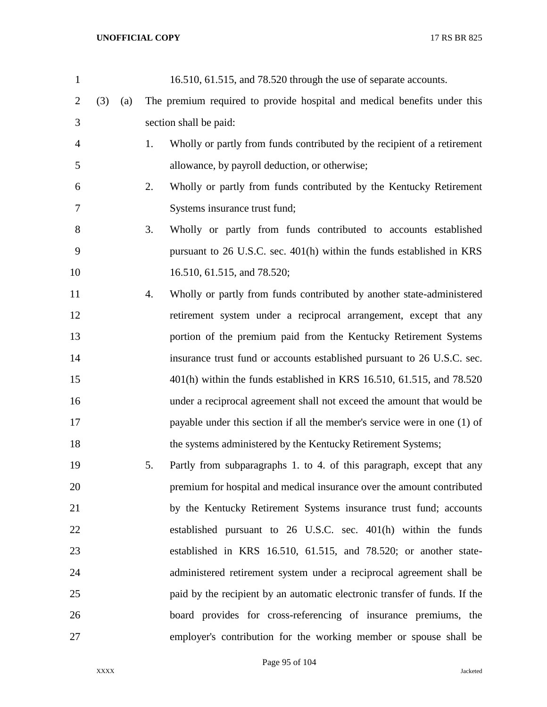| $\mathbf{1}$   |     |     |    | 16.510, 61.515, and 78.520 through the use of separate accounts.           |
|----------------|-----|-----|----|----------------------------------------------------------------------------|
| $\overline{2}$ | (3) | (a) |    | The premium required to provide hospital and medical benefits under this   |
| 3              |     |     |    | section shall be paid:                                                     |
| $\overline{4}$ |     |     | 1. | Wholly or partly from funds contributed by the recipient of a retirement   |
| 5              |     |     |    | allowance, by payroll deduction, or otherwise;                             |
| 6              |     |     | 2. | Wholly or partly from funds contributed by the Kentucky Retirement         |
| 7              |     |     |    | Systems insurance trust fund;                                              |
| 8              |     |     | 3. | Wholly or partly from funds contributed to accounts established            |
| 9              |     |     |    | pursuant to 26 U.S.C. sec. 401(h) within the funds established in KRS      |
| 10             |     |     |    | 16.510, 61.515, and 78.520;                                                |
| 11             |     |     | 4. | Wholly or partly from funds contributed by another state-administered      |
| 12             |     |     |    | retirement system under a reciprocal arrangement, except that any          |
| 13             |     |     |    | portion of the premium paid from the Kentucky Retirement Systems           |
| 14             |     |     |    | insurance trust fund or accounts established pursuant to 26 U.S.C. sec.    |
| 15             |     |     |    | 401(h) within the funds established in KRS 16.510, 61.515, and 78.520      |
| 16             |     |     |    | under a reciprocal agreement shall not exceed the amount that would be     |
| 17             |     |     |    | payable under this section if all the member's service were in one (1) of  |
| 18             |     |     |    | the systems administered by the Kentucky Retirement Systems;               |
| 19             |     |     | 5. | Partly from subparagraphs 1. to 4. of this paragraph, except that any      |
| 20             |     |     |    | premium for hospital and medical insurance over the amount contributed     |
| 21             |     |     |    | by the Kentucky Retirement Systems insurance trust fund; accounts          |
| 22             |     |     |    | established pursuant to 26 U.S.C. sec. 401(h) within the funds             |
| 23             |     |     |    | established in KRS 16.510, 61.515, and 78.520; or another state-           |
| 24             |     |     |    | administered retirement system under a reciprocal agreement shall be       |
| 25             |     |     |    | paid by the recipient by an automatic electronic transfer of funds. If the |
| 26             |     |     |    | board provides for cross-referencing of insurance premiums, the            |
| 27             |     |     |    | employer's contribution for the working member or spouse shall be          |

Page 95 of 104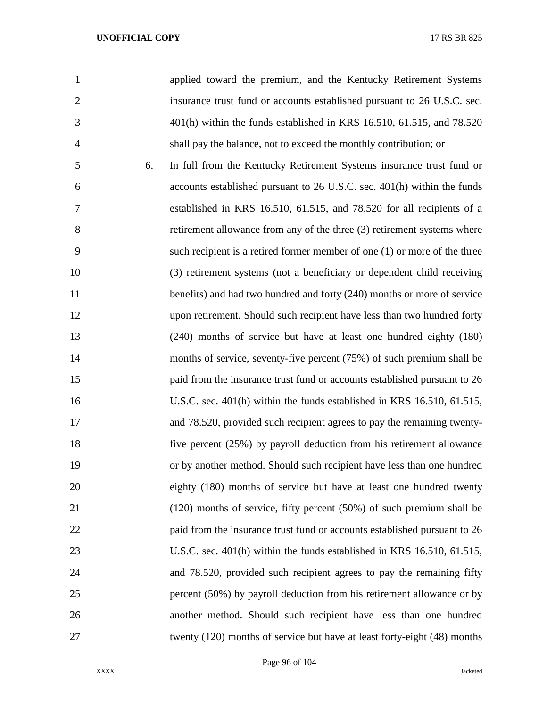| $\mathbf{1}$   |    | applied toward the premium, and the Kentucky Retirement Systems           |
|----------------|----|---------------------------------------------------------------------------|
| $\overline{2}$ |    | insurance trust fund or accounts established pursuant to 26 U.S.C. sec.   |
| 3              |    | 401(h) within the funds established in KRS 16.510, 61.515, and 78.520     |
| $\overline{4}$ |    | shall pay the balance, not to exceed the monthly contribution; or         |
| 5              | 6. | In full from the Kentucky Retirement Systems insurance trust fund or      |
| 6              |    | accounts established pursuant to 26 U.S.C. sec. 401(h) within the funds   |
| 7              |    | established in KRS 16.510, 61.515, and 78.520 for all recipients of a     |
| 8              |    | retirement allowance from any of the three (3) retirement systems where   |
| 9              |    | such recipient is a retired former member of one (1) or more of the three |
| 10             |    | (3) retirement systems (not a beneficiary or dependent child receiving    |
| 11             |    | benefits) and had two hundred and forty (240) months or more of service   |
| 12             |    | upon retirement. Should such recipient have less than two hundred forty   |
| 13             |    | (240) months of service but have at least one hundred eighty (180)        |
| 14             |    | months of service, seventy-five percent (75%) of such premium shall be    |
| 15             |    | paid from the insurance trust fund or accounts established pursuant to 26 |
| 16             |    | U.S.C. sec. 401(h) within the funds established in KRS 16.510, 61.515,    |
| 17             |    | and 78.520, provided such recipient agrees to pay the remaining twenty-   |
| 18             |    | five percent (25%) by payroll deduction from his retirement allowance     |
| 19             |    | or by another method. Should such recipient have less than one hundred    |
| 20             |    | eighty (180) months of service but have at least one hundred twenty       |
| 21             |    | $(120)$ months of service, fifty percent $(50%)$ of such premium shall be |
| 22             |    | paid from the insurance trust fund or accounts established pursuant to 26 |
| 23             |    | U.S.C. sec. 401(h) within the funds established in KRS 16.510, 61.515,    |
| 24             |    | and 78.520, provided such recipient agrees to pay the remaining fifty     |
| 25             |    | percent (50%) by payroll deduction from his retirement allowance or by    |
| 26             |    | another method. Should such recipient have less than one hundred          |
| 27             |    | twenty (120) months of service but have at least forty-eight (48) months  |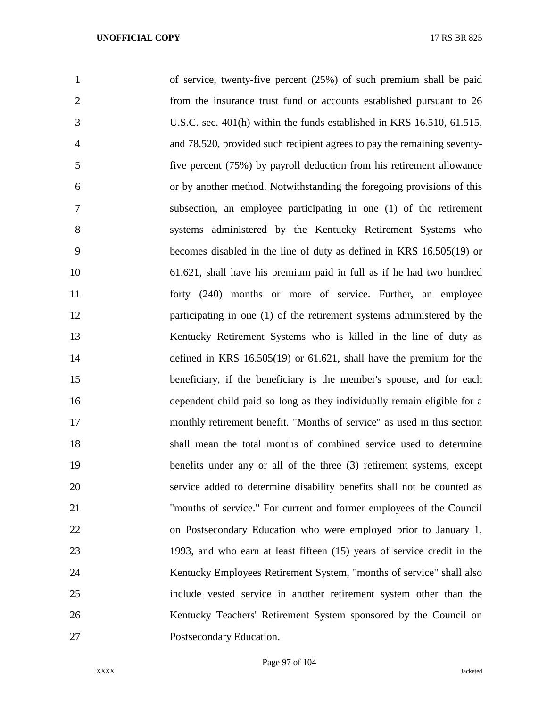| $\mathbf{1}$   | of service, twenty-five percent (25%) of such premium shall be paid      |
|----------------|--------------------------------------------------------------------------|
| $\overline{2}$ | from the insurance trust fund or accounts established pursuant to 26     |
| 3              | U.S.C. sec. 401(h) within the funds established in KRS 16.510, 61.515,   |
| $\overline{4}$ | and 78.520, provided such recipient agrees to pay the remaining seventy- |
| 5              | five percent (75%) by payroll deduction from his retirement allowance    |
| 6              | or by another method. Notwithstanding the foregoing provisions of this   |
| 7              | subsection, an employee participating in one (1) of the retirement       |
| 8              | systems administered by the Kentucky Retirement Systems who              |
| 9              | becomes disabled in the line of duty as defined in KRS 16.505(19) or     |
| 10             | 61.621, shall have his premium paid in full as if he had two hundred     |
| 11             | forty (240) months or more of service. Further, an employee              |
| 12             | participating in one (1) of the retirement systems administered by the   |
| 13             | Kentucky Retirement Systems who is killed in the line of duty as         |
| 14             | defined in KRS $16.505(19)$ or $61.621$ , shall have the premium for the |
| 15             | beneficiary, if the beneficiary is the member's spouse, and for each     |
| 16             | dependent child paid so long as they individually remain eligible for a  |
| 17             | monthly retirement benefit. "Months of service" as used in this section  |
| 18             | shall mean the total months of combined service used to determine        |
| 19             | benefits under any or all of the three (3) retirement systems, except    |
| 20             | service added to determine disability benefits shall not be counted as   |
| 21             | "months of service." For current and former employees of the Council     |
| 22             | on Postsecondary Education who were employed prior to January 1,         |
| 23             | 1993, and who earn at least fifteen (15) years of service credit in the  |
| 24             | Kentucky Employees Retirement System, "months of service" shall also     |
| 25             | include vested service in another retirement system other than the       |
| 26             | Kentucky Teachers' Retirement System sponsored by the Council on         |
| 27             | Postsecondary Education.                                                 |

Page 97 of 104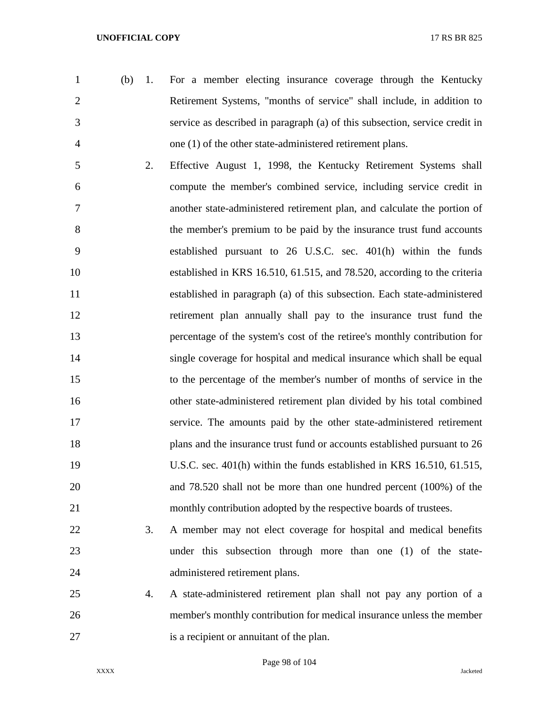- (b) 1. For a member electing insurance coverage through the Kentucky Retirement Systems, "months of service" shall include, in addition to service as described in paragraph (a) of this subsection, service credit in one (1) of the other state-administered retirement plans.
- 2. Effective August 1, 1998, the Kentucky Retirement Systems shall compute the member's combined service, including service credit in another state-administered retirement plan, and calculate the portion of the member's premium to be paid by the insurance trust fund accounts established pursuant to 26 U.S.C. sec. 401(h) within the funds established in KRS 16.510, 61.515, and 78.520, according to the criteria established in paragraph (a) of this subsection. Each state-administered retirement plan annually shall pay to the insurance trust fund the percentage of the system's cost of the retiree's monthly contribution for single coverage for hospital and medical insurance which shall be equal to the percentage of the member's number of months of service in the other state-administered retirement plan divided by his total combined service. The amounts paid by the other state-administered retirement plans and the insurance trust fund or accounts established pursuant to 26 U.S.C. sec. 401(h) within the funds established in KRS 16.510, 61.515, and 78.520 shall not be more than one hundred percent (100%) of the monthly contribution adopted by the respective boards of trustees.
- 3. A member may not elect coverage for hospital and medical benefits under this subsection through more than one (1) of the state-administered retirement plans.
- 4. A state-administered retirement plan shall not pay any portion of a member's monthly contribution for medical insurance unless the member is a recipient or annuitant of the plan.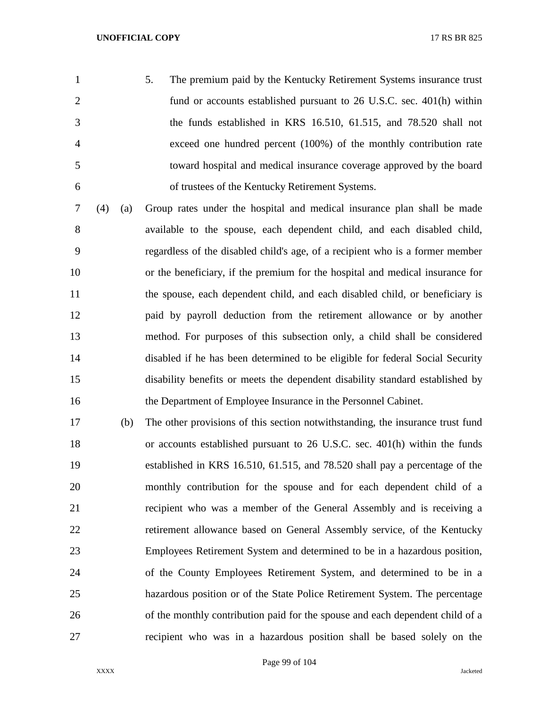- 5. The premium paid by the Kentucky Retirement Systems insurance trust fund or accounts established pursuant to 26 U.S.C. sec. 401(h) within the funds established in KRS 16.510, 61.515, and 78.520 shall not exceed one hundred percent (100%) of the monthly contribution rate toward hospital and medical insurance coverage approved by the board of trustees of the Kentucky Retirement Systems.
- (4) (a) Group rates under the hospital and medical insurance plan shall be made available to the spouse, each dependent child, and each disabled child, regardless of the disabled child's age, of a recipient who is a former member or the beneficiary, if the premium for the hospital and medical insurance for the spouse, each dependent child, and each disabled child, or beneficiary is paid by payroll deduction from the retirement allowance or by another method. For purposes of this subsection only, a child shall be considered disabled if he has been determined to be eligible for federal Social Security disability benefits or meets the dependent disability standard established by the Department of Employee Insurance in the Personnel Cabinet.
- (b) The other provisions of this section notwithstanding, the insurance trust fund or accounts established pursuant to 26 U.S.C. sec. 401(h) within the funds established in KRS 16.510, 61.515, and 78.520 shall pay a percentage of the monthly contribution for the spouse and for each dependent child of a recipient who was a member of the General Assembly and is receiving a retirement allowance based on General Assembly service, of the Kentucky Employees Retirement System and determined to be in a hazardous position, of the County Employees Retirement System, and determined to be in a hazardous position or of the State Police Retirement System. The percentage of the monthly contribution paid for the spouse and each dependent child of a recipient who was in a hazardous position shall be based solely on the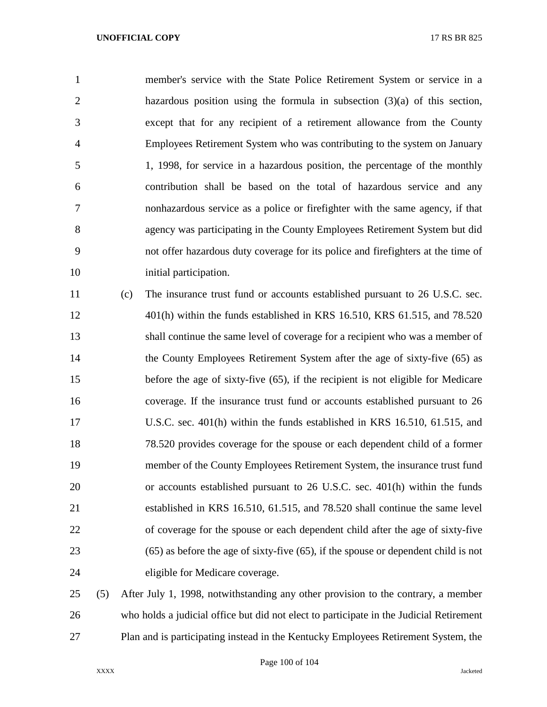member's service with the State Police Retirement System or service in a hazardous position using the formula in subsection (3)(a) of this section, except that for any recipient of a retirement allowance from the County Employees Retirement System who was contributing to the system on January 1, 1998, for service in a hazardous position, the percentage of the monthly contribution shall be based on the total of hazardous service and any nonhazardous service as a police or firefighter with the same agency, if that agency was participating in the County Employees Retirement System but did not offer hazardous duty coverage for its police and firefighters at the time of 10 initial participation.

 (c) The insurance trust fund or accounts established pursuant to 26 U.S.C. sec. 401(h) within the funds established in KRS 16.510, KRS 61.515, and 78.520 shall continue the same level of coverage for a recipient who was a member of 14 the County Employees Retirement System after the age of sixty-five (65) as before the age of sixty-five (65), if the recipient is not eligible for Medicare coverage. If the insurance trust fund or accounts established pursuant to 26 U.S.C. sec. 401(h) within the funds established in KRS 16.510, 61.515, and 78.520 provides coverage for the spouse or each dependent child of a former member of the County Employees Retirement System, the insurance trust fund or accounts established pursuant to 26 U.S.C. sec. 401(h) within the funds established in KRS 16.510, 61.515, and 78.520 shall continue the same level of coverage for the spouse or each dependent child after the age of sixty-five (65) as before the age of sixty-five (65), if the spouse or dependent child is not eligible for Medicare coverage.

 (5) After July 1, 1998, notwithstanding any other provision to the contrary, a member who holds a judicial office but did not elect to participate in the Judicial Retirement Plan and is participating instead in the Kentucky Employees Retirement System, the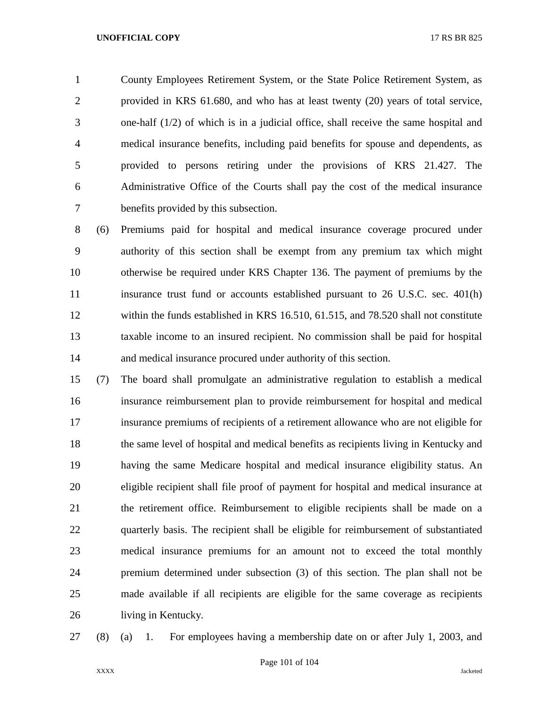County Employees Retirement System, or the State Police Retirement System, as provided in KRS 61.680, and who has at least twenty (20) years of total service, one-half (1/2) of which is in a judicial office, shall receive the same hospital and medical insurance benefits, including paid benefits for spouse and dependents, as provided to persons retiring under the provisions of KRS 21.427. The Administrative Office of the Courts shall pay the cost of the medical insurance benefits provided by this subsection.

 (6) Premiums paid for hospital and medical insurance coverage procured under authority of this section shall be exempt from any premium tax which might otherwise be required under KRS Chapter 136. The payment of premiums by the insurance trust fund or accounts established pursuant to 26 U.S.C. sec. 401(h) within the funds established in KRS 16.510, 61.515, and 78.520 shall not constitute taxable income to an insured recipient. No commission shall be paid for hospital and medical insurance procured under authority of this section.

 (7) The board shall promulgate an administrative regulation to establish a medical insurance reimbursement plan to provide reimbursement for hospital and medical insurance premiums of recipients of a retirement allowance who are not eligible for the same level of hospital and medical benefits as recipients living in Kentucky and having the same Medicare hospital and medical insurance eligibility status. An eligible recipient shall file proof of payment for hospital and medical insurance at the retirement office. Reimbursement to eligible recipients shall be made on a quarterly basis. The recipient shall be eligible for reimbursement of substantiated medical insurance premiums for an amount not to exceed the total monthly premium determined under subsection (3) of this section. The plan shall not be made available if all recipients are eligible for the same coverage as recipients living in Kentucky.

(8) (a) 1. For employees having a membership date on or after July 1, 2003, and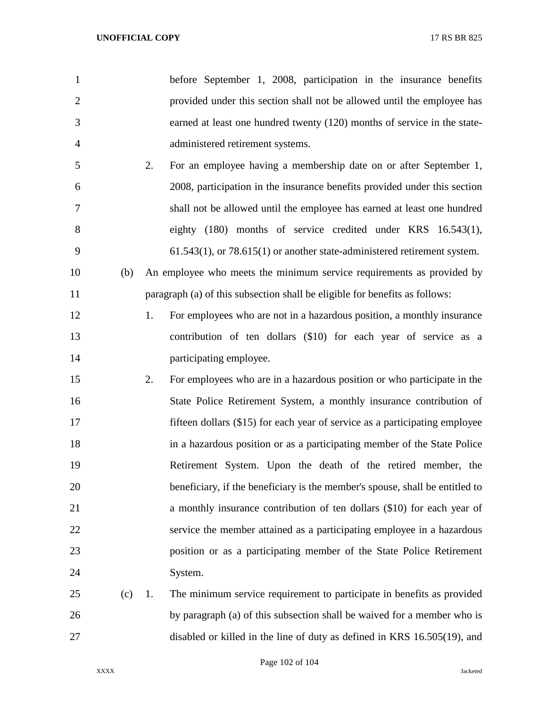| $\mathbf{1}$   | before September 1, 2008, participation in the insurance benefits             |
|----------------|-------------------------------------------------------------------------------|
| $\overline{2}$ | provided under this section shall not be allowed until the employee has       |
| 3              | earned at least one hundred twenty (120) months of service in the state-      |
| $\overline{4}$ | administered retirement systems.                                              |
| 5              | 2.<br>For an employee having a membership date on or after September 1,       |
| 6              | 2008, participation in the insurance benefits provided under this section     |
| 7              | shall not be allowed until the employee has earned at least one hundred       |
| 8              | eighty (180) months of service credited under KRS 16.543(1),                  |
| 9              | $61.543(1)$ , or $78.615(1)$ or another state-administered retirement system. |
| 10<br>(b)      | An employee who meets the minimum service requirements as provided by         |
| 11             | paragraph (a) of this subsection shall be eligible for benefits as follows:   |
| 12             | 1.<br>For employees who are not in a hazardous position, a monthly insurance  |
| 13             | contribution of ten dollars (\$10) for each year of service as a              |
| 14             | participating employee.                                                       |
| 15             | 2.<br>For employees who are in a hazardous position or who participate in the |
| 16             | State Police Retirement System, a monthly insurance contribution of           |
| 17             | fifteen dollars (\$15) for each year of service as a participating employee   |
| 18             | in a hazardous position or as a participating member of the State Police      |
| 19             | Retirement System. Upon the death of the retired member, the                  |
| 20             | beneficiary, if the beneficiary is the member's spouse, shall be entitled to  |
| 21             | a monthly insurance contribution of ten dollars (\$10) for each year of       |
| 22             | service the member attained as a participating employee in a hazardous        |
| 23             | position or as a participating member of the State Police Retirement          |
| 24             | System.                                                                       |
| 25<br>(c)      | The minimum service requirement to participate in benefits as provided<br>1.  |
| 26             | by paragraph (a) of this subsection shall be waived for a member who is       |
| 27             | disabled or killed in the line of duty as defined in KRS 16.505(19), and      |

Page 102 of 104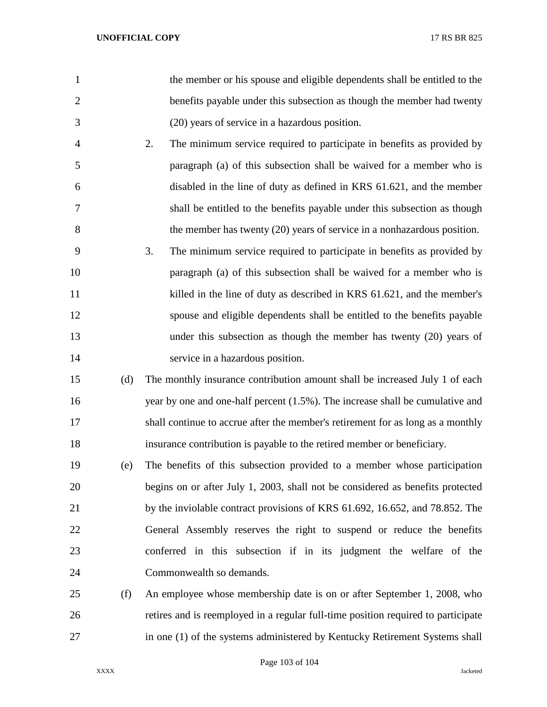| $\mathbf{1}$   |     | the member or his spouse and eligible dependents shall be entitled to the         |
|----------------|-----|-----------------------------------------------------------------------------------|
| $\overline{2}$ |     | benefits payable under this subsection as though the member had twenty            |
| 3              |     | (20) years of service in a hazardous position.                                    |
| 4              |     | 2.<br>The minimum service required to participate in benefits as provided by      |
| 5              |     | paragraph (a) of this subsection shall be waived for a member who is              |
| 6              |     | disabled in the line of duty as defined in KRS 61.621, and the member             |
| 7              |     | shall be entitled to the benefits payable under this subsection as though         |
| 8              |     | the member has twenty (20) years of service in a nonhazardous position.           |
| 9              |     | 3.<br>The minimum service required to participate in benefits as provided by      |
| 10             |     | paragraph (a) of this subsection shall be waived for a member who is              |
| 11             |     | killed in the line of duty as described in KRS 61.621, and the member's           |
| 12             |     | spouse and eligible dependents shall be entitled to the benefits payable          |
| 13             |     | under this subsection as though the member has twenty $(20)$ years of             |
| 14             |     | service in a hazardous position.                                                  |
| 15             | (d) | The monthly insurance contribution amount shall be increased July 1 of each       |
| 16             |     | year by one and one-half percent (1.5%). The increase shall be cumulative and     |
| 17             |     | shall continue to accrue after the member's retirement for as long as a monthly   |
| 18             |     | insurance contribution is payable to the retired member or beneficiary.           |
| 19             | (e) | The benefits of this subsection provided to a member whose participation          |
| 20             |     | begins on or after July 1, 2003, shall not be considered as benefits protected    |
| 21             |     | by the inviolable contract provisions of KRS 61.692, 16.652, and 78.852. The      |
| 22             |     | General Assembly reserves the right to suspend or reduce the benefits             |
| 23             |     | conferred in this subsection if in its judgment the welfare of the                |
| 24             |     | Commonwealth so demands.                                                          |
| 25             | (f) | An employee whose membership date is on or after September 1, 2008, who           |
| 26             |     | retires and is reemployed in a regular full-time position required to participate |
| 27             |     | in one (1) of the systems administered by Kentucky Retirement Systems shall       |

Page 103 of 104